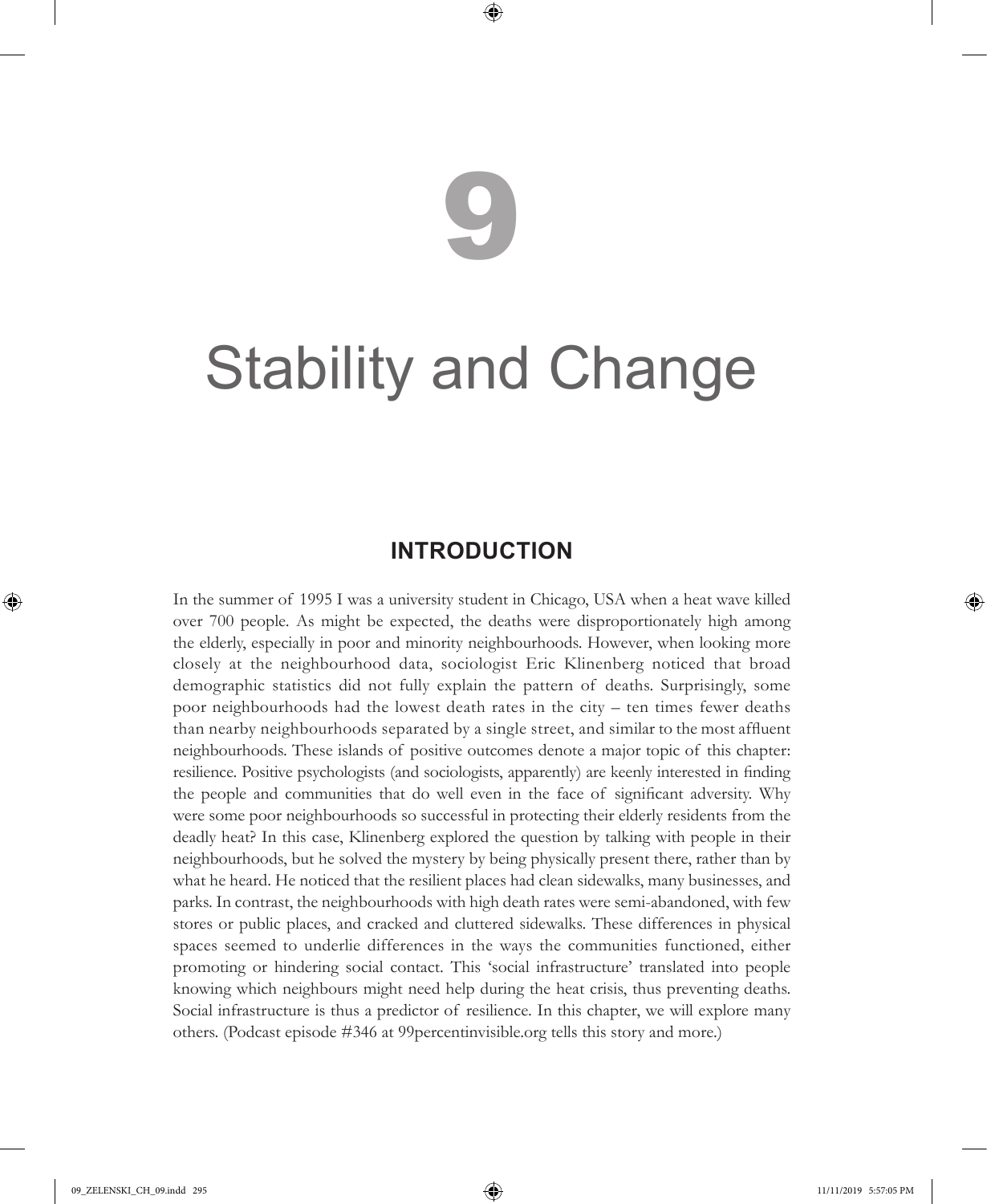# 9

 $\bigoplus$ 

## Stability and Change

### **INTRODUCTION**

In the summer of 1995 I was a university student in Chicago, USA when a heat wave killed over 700 people. As might be expected, the deaths were disproportionately high among the elderly, especially in poor and minority neighbourhoods. However, when looking more closely at the neighbourhood data, sociologist Eric Klinenberg noticed that broad demographic statistics did not fully explain the pattern of deaths. Surprisingly, some poor neighbourhoods had the lowest death rates in the city – ten times fewer deaths than nearby neighbourhoods separated by a single street, and similar to the most affluent neighbourhoods. These islands of positive outcomes denote a major topic of this chapter: resilience. Positive psychologists (and sociologists, apparently) are keenly interested in finding the people and communities that do well even in the face of significant adversity. Why were some poor neighbourhoods so successful in protecting their elderly residents from the deadly heat? In this case, Klinenberg explored the question by talking with people in their neighbourhoods, but he solved the mystery by being physically present there, rather than by what he heard. He noticed that the resilient places had clean sidewalks, many businesses, and parks. In contrast, the neighbourhoods with high death rates were semi-abandoned, with few stores or public places, and cracked and cluttered sidewalks. These differences in physical spaces seemed to underlie differences in the ways the communities functioned, either promoting or hindering social contact. This 'social infrastructure' translated into people knowing which neighbours might need help during the heat crisis, thus preventing deaths. Social infrastructure is thus a predictor of resilience. In this chapter, we will explore many others. (Podcast episode #346 at 99percentinvisible.org tells this story and more.)

⊕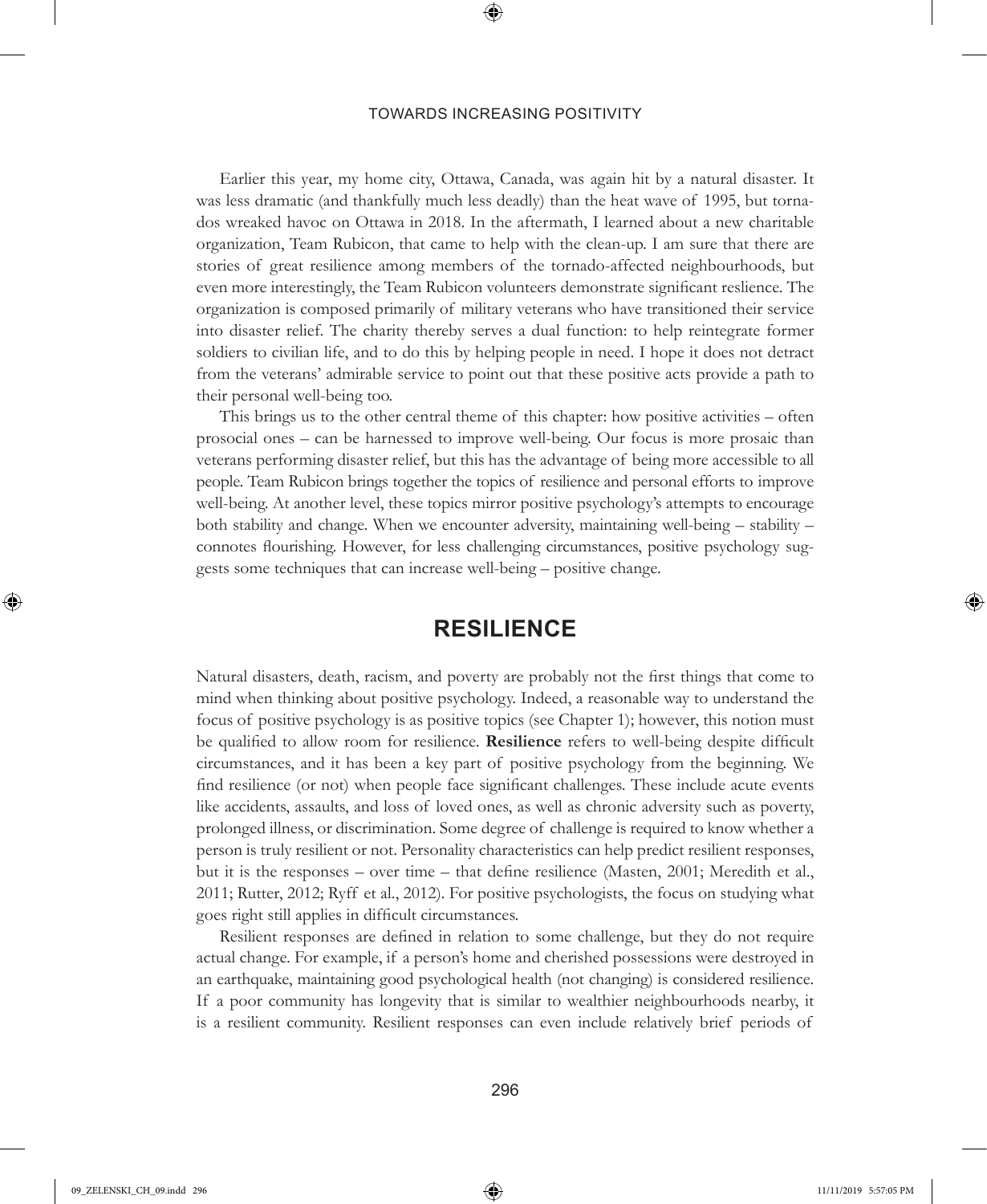⊕

Earlier this year, my home city, Ottawa, Canada, was again hit by a natural disaster. It was less dramatic (and thankfully much less deadly) than the heat wave of 1995, but tornados wreaked havoc on Ottawa in 2018. In the aftermath, I learned about a new charitable organization, Team Rubicon, that came to help with the clean-up. I am sure that there are stories of great resilience among members of the tornado-affected neighbourhoods, but even more interestingly, the Team Rubicon volunteers demonstrate significant reslience. The organization is composed primarily of military veterans who have transitioned their service into disaster relief. The charity thereby serves a dual function: to help reintegrate former soldiers to civilian life, and to do this by helping people in need. I hope it does not detract from the veterans' admirable service to point out that these positive acts provide a path to their personal well-being too.

This brings us to the other central theme of this chapter: how positive activities – often prosocial ones – can be harnessed to improve well-being. Our focus is more prosaic than veterans performing disaster relief, but this has the advantage of being more accessible to all people. Team Rubicon brings together the topics of resilience and personal efforts to improve well-being. At another level, these topics mirror positive psychology's attempts to encourage both stability and change. When we encounter adversity, maintaining well-being – stability – connotes flourishing. However, for less challenging circumstances, positive psychology suggests some techniques that can increase well-being – positive change.

### **RESILIENCE**

Natural disasters, death, racism, and poverty are probably not the first things that come to mind when thinking about positive psychology. Indeed, a reasonable way to understand the focus of positive psychology is as positive topics (see Chapter 1); however, this notion must be qualified to allow room for resilience. **Resilience** refers to well-being despite difficult circumstances, and it has been a key part of positive psychology from the beginning. We find resilience (or not) when people face significant challenges. These include acute events like accidents, assaults, and loss of loved ones, as well as chronic adversity such as poverty, prolonged illness, or discrimination. Some degree of challenge is required to know whether a person is truly resilient or not. Personality characteristics can help predict resilient responses, but it is the responses – over time – that define resilience (Masten, 2001; Meredith et al., 2011; Rutter, 2012; Ryff et al., 2012). For positive psychologists, the focus on studying what goes right still applies in difficult circumstances.

Resilient responses are defined in relation to some challenge, but they do not require actual change. For example, if a person's home and cherished possessions were destroyed in an earthquake, maintaining good psychological health (not changing) is considered resilience. If a poor community has longevity that is similar to wealthier neighbourhoods nearby, it is a resilient community. Resilient responses can even include relatively brief periods of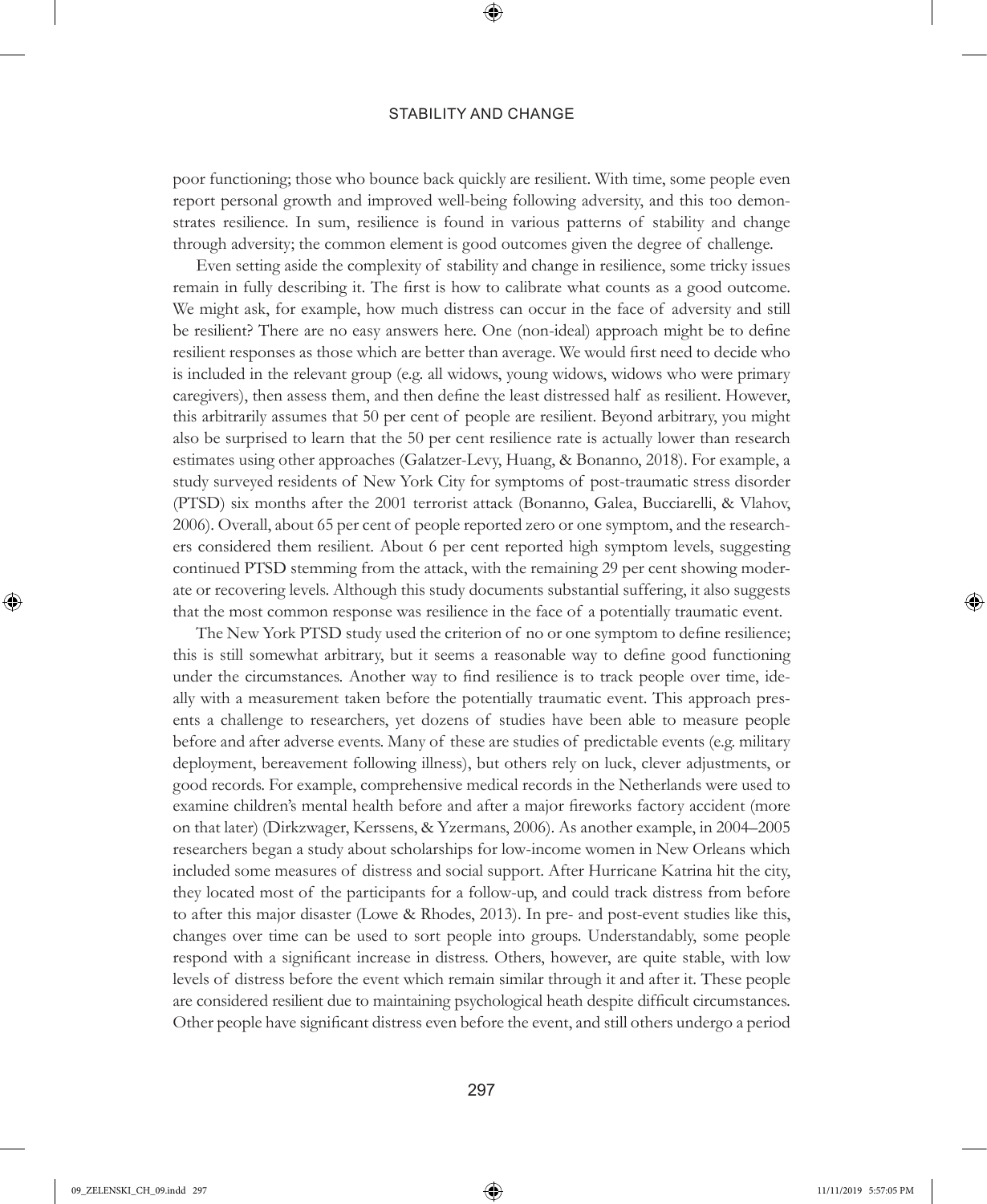⊕

poor functioning; those who bounce back quickly are resilient. With time, some people even report personal growth and improved well-being following adversity, and this too demonstrates resilience. In sum, resilience is found in various patterns of stability and change through adversity; the common element is good outcomes given the degree of challenge.

Even setting aside the complexity of stability and change in resilience, some tricky issues remain in fully describing it. The first is how to calibrate what counts as a good outcome. We might ask, for example, how much distress can occur in the face of adversity and still be resilient? There are no easy answers here. One (non-ideal) approach might be to define resilient responses as those which are better than average. We would first need to decide who is included in the relevant group (e.g. all widows, young widows, widows who were primary caregivers), then assess them, and then define the least distressed half as resilient. However, this arbitrarily assumes that 50 per cent of people are resilient. Beyond arbitrary, you might also be surprised to learn that the 50 per cent resilience rate is actually lower than research estimates using other approaches (Galatzer-Levy, Huang, & Bonanno, 2018). For example, a study surveyed residents of New York City for symptoms of post-traumatic stress disorder (PTSD) six months after the 2001 terrorist attack (Bonanno, Galea, Bucciarelli, & Vlahov, 2006). Overall, about 65 per cent of people reported zero or one symptom, and the researchers considered them resilient. About 6 per cent reported high symptom levels, suggesting continued PTSD stemming from the attack, with the remaining 29 per cent showing moderate or recovering levels. Although this study documents substantial suffering, it also suggests that the most common response was resilience in the face of a potentially traumatic event.

The New York PTSD study used the criterion of no or one symptom to define resilience; this is still somewhat arbitrary, but it seems a reasonable way to define good functioning under the circumstances. Another way to find resilience is to track people over time, ideally with a measurement taken before the potentially traumatic event. This approach presents a challenge to researchers, yet dozens of studies have been able to measure people before and after adverse events. Many of these are studies of predictable events (e.g. military deployment, bereavement following illness), but others rely on luck, clever adjustments, or good records. For example, comprehensive medical records in the Netherlands were used to examine children's mental health before and after a major fireworks factory accident (more on that later) (Dirkzwager, Kerssens, & Yzermans, 2006). As another example, in 2004–2005 researchers began a study about scholarships for low-income women in New Orleans which included some measures of distress and social support. After Hurricane Katrina hit the city, they located most of the participants for a follow-up, and could track distress from before to after this major disaster (Lowe & Rhodes, 2013). In pre- and post-event studies like this, changes over time can be used to sort people into groups. Understandably, some people respond with a significant increase in distress. Others, however, are quite stable, with low levels of distress before the event which remain similar through it and after it. These people are considered resilient due to maintaining psychological heath despite difficult circumstances. Other people have significant distress even before the event, and still others undergo a period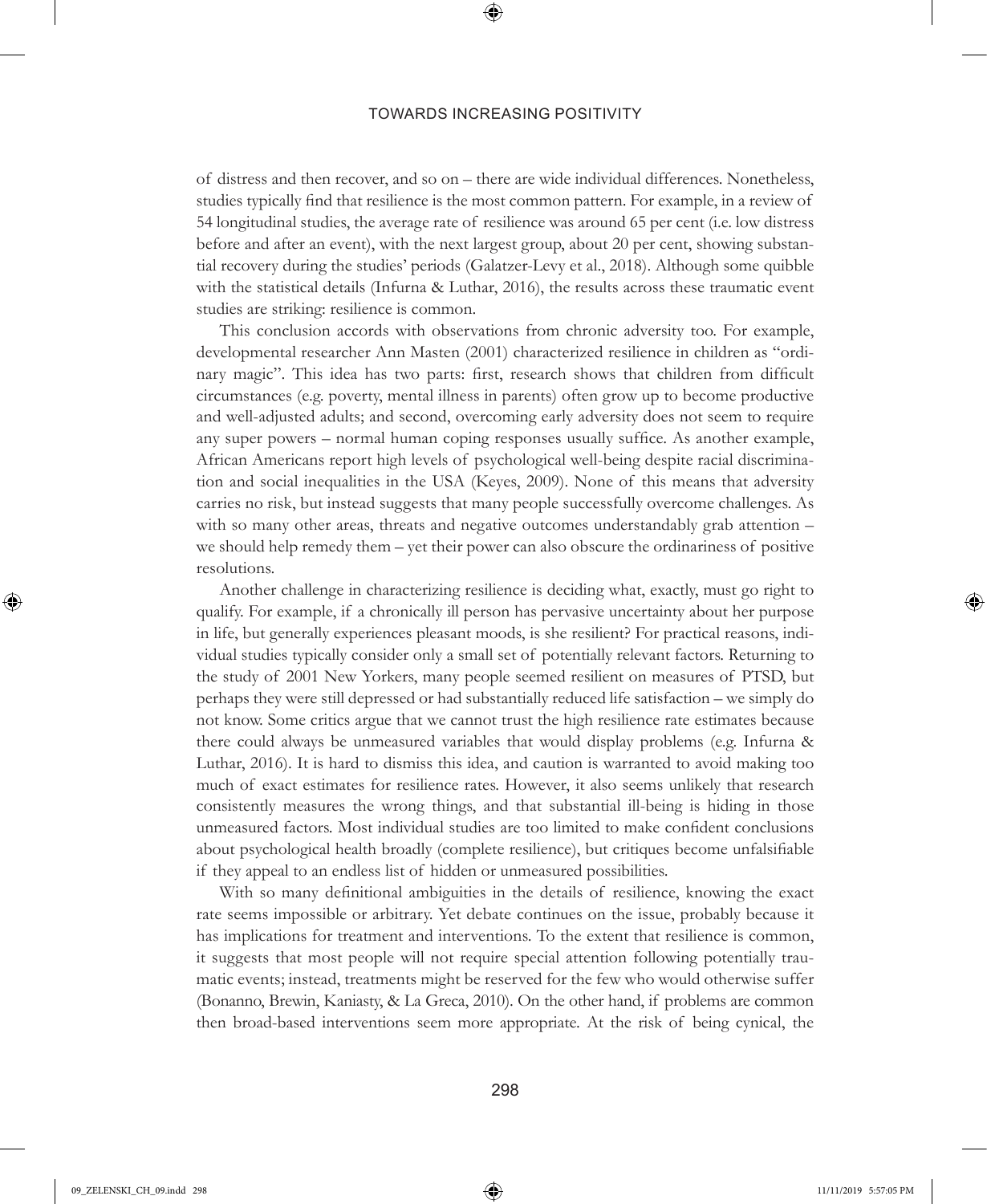⊕

of distress and then recover, and so on – there are wide individual differences. Nonetheless, studies typically find that resilience is the most common pattern. For example, in a review of 54 longitudinal studies, the average rate of resilience was around 65 per cent (i.e. low distress before and after an event), with the next largest group, about 20 per cent, showing substantial recovery during the studies' periods (Galatzer-Levy et al., 2018). Although some quibble with the statistical details (Infurna & Luthar, 2016), the results across these traumatic event studies are striking: resilience is common.

This conclusion accords with observations from chronic adversity too. For example, developmental researcher Ann Masten (2001) characterized resilience in children as "ordinary magic". This idea has two parts: first, research shows that children from difficult circumstances (e.g. poverty, mental illness in parents) often grow up to become productive and well-adjusted adults; and second, overcoming early adversity does not seem to require any super powers – normal human coping responses usually suffice. As another example, African Americans report high levels of psychological well-being despite racial discrimination and social inequalities in the USA (Keyes, 2009). None of this means that adversity carries no risk, but instead suggests that many people successfully overcome challenges. As with so many other areas, threats and negative outcomes understandably grab attention – we should help remedy them – yet their power can also obscure the ordinariness of positive resolutions.

Another challenge in characterizing resilience is deciding what, exactly, must go right to qualify. For example, if a chronically ill person has pervasive uncertainty about her purpose in life, but generally experiences pleasant moods, is she resilient? For practical reasons, individual studies typically consider only a small set of potentially relevant factors. Returning to the study of 2001 New Yorkers, many people seemed resilient on measures of PTSD, but perhaps they were still depressed or had substantially reduced life satisfaction – we simply do not know. Some critics argue that we cannot trust the high resilience rate estimates because there could always be unmeasured variables that would display problems (e.g. Infurna & Luthar, 2016). It is hard to dismiss this idea, and caution is warranted to avoid making too much of exact estimates for resilience rates. However, it also seems unlikely that research consistently measures the wrong things, and that substantial ill-being is hiding in those unmeasured factors. Most individual studies are too limited to make confident conclusions about psychological health broadly (complete resilience), but critiques become unfalsifiable if they appeal to an endless list of hidden or unmeasured possibilities.

With so many definitional ambiguities in the details of resilience, knowing the exact rate seems impossible or arbitrary. Yet debate continues on the issue, probably because it has implications for treatment and interventions. To the extent that resilience is common, it suggests that most people will not require special attention following potentially traumatic events; instead, treatments might be reserved for the few who would otherwise suffer (Bonanno, Brewin, Kaniasty, & La Greca, 2010). On the other hand, if problems are common then broad-based interventions seem more appropriate. At the risk of being cynical, the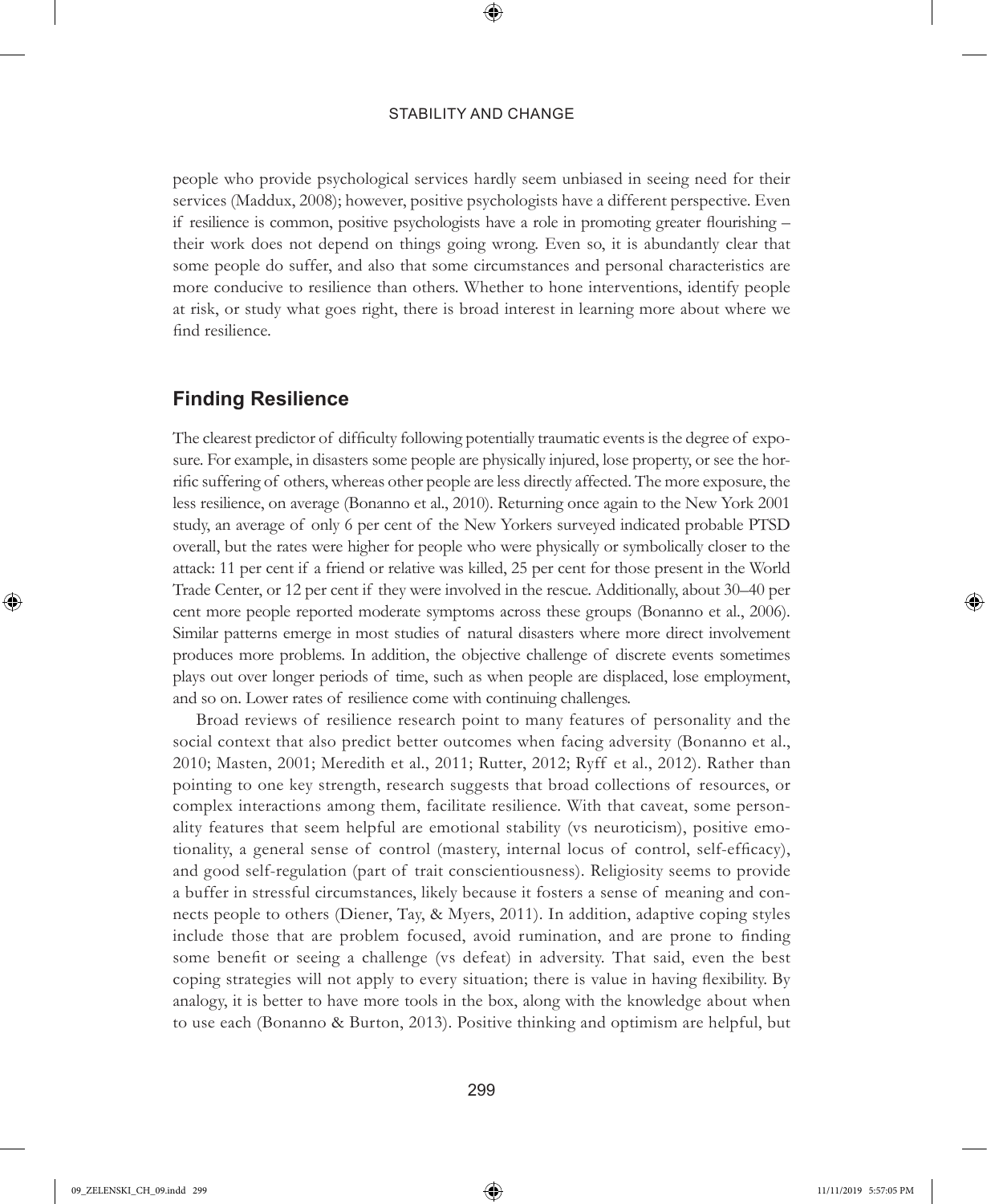⊕

people who provide psychological services hardly seem unbiased in seeing need for their services (Maddux, 2008); however, positive psychologists have a different perspective. Even if resilience is common, positive psychologists have a role in promoting greater flourishing – their work does not depend on things going wrong. Even so, it is abundantly clear that some people do suffer, and also that some circumstances and personal characteristics are more conducive to resilience than others. Whether to hone interventions, identify people at risk, or study what goes right, there is broad interest in learning more about where we find resilience.

### **Finding Resilience**

The clearest predictor of difficulty following potentially traumatic events is the degree of exposure. For example, in disasters some people are physically injured, lose property, or see the horrific suffering of others, whereas other people are less directly affected. The more exposure, the less resilience, on average (Bonanno et al., 2010). Returning once again to the New York 2001 study, an average of only 6 per cent of the New Yorkers surveyed indicated probable PTSD overall, but the rates were higher for people who were physically or symbolically closer to the attack: 11 per cent if a friend or relative was killed, 25 per cent for those present in the World Trade Center, or 12 per cent if they were involved in the rescue. Additionally, about 30–40 per cent more people reported moderate symptoms across these groups (Bonanno et al., 2006). Similar patterns emerge in most studies of natural disasters where more direct involvement produces more problems. In addition, the objective challenge of discrete events sometimes plays out over longer periods of time, such as when people are displaced, lose employment, and so on. Lower rates of resilience come with continuing challenges.

Broad reviews of resilience research point to many features of personality and the social context that also predict better outcomes when facing adversity (Bonanno et al., 2010; Masten, 2001; Meredith et al., 2011; Rutter, 2012; Ryff et al., 2012). Rather than pointing to one key strength, research suggests that broad collections of resources, or complex interactions among them, facilitate resilience. With that caveat, some personality features that seem helpful are emotional stability (vs neuroticism), positive emotionality, a general sense of control (mastery, internal locus of control, self-efficacy), and good self-regulation (part of trait conscientiousness). Religiosity seems to provide a buffer in stressful circumstances, likely because it fosters a sense of meaning and connects people to others (Diener, Tay, & Myers, 2011). In addition, adaptive coping styles include those that are problem focused, avoid rumination, and are prone to finding some benefit or seeing a challenge (vs defeat) in adversity. That said, even the best coping strategies will not apply to every situation; there is value in having flexibility. By analogy, it is better to have more tools in the box, along with the knowledge about when to use each (Bonanno & Burton, 2013). Positive thinking and optimism are helpful, but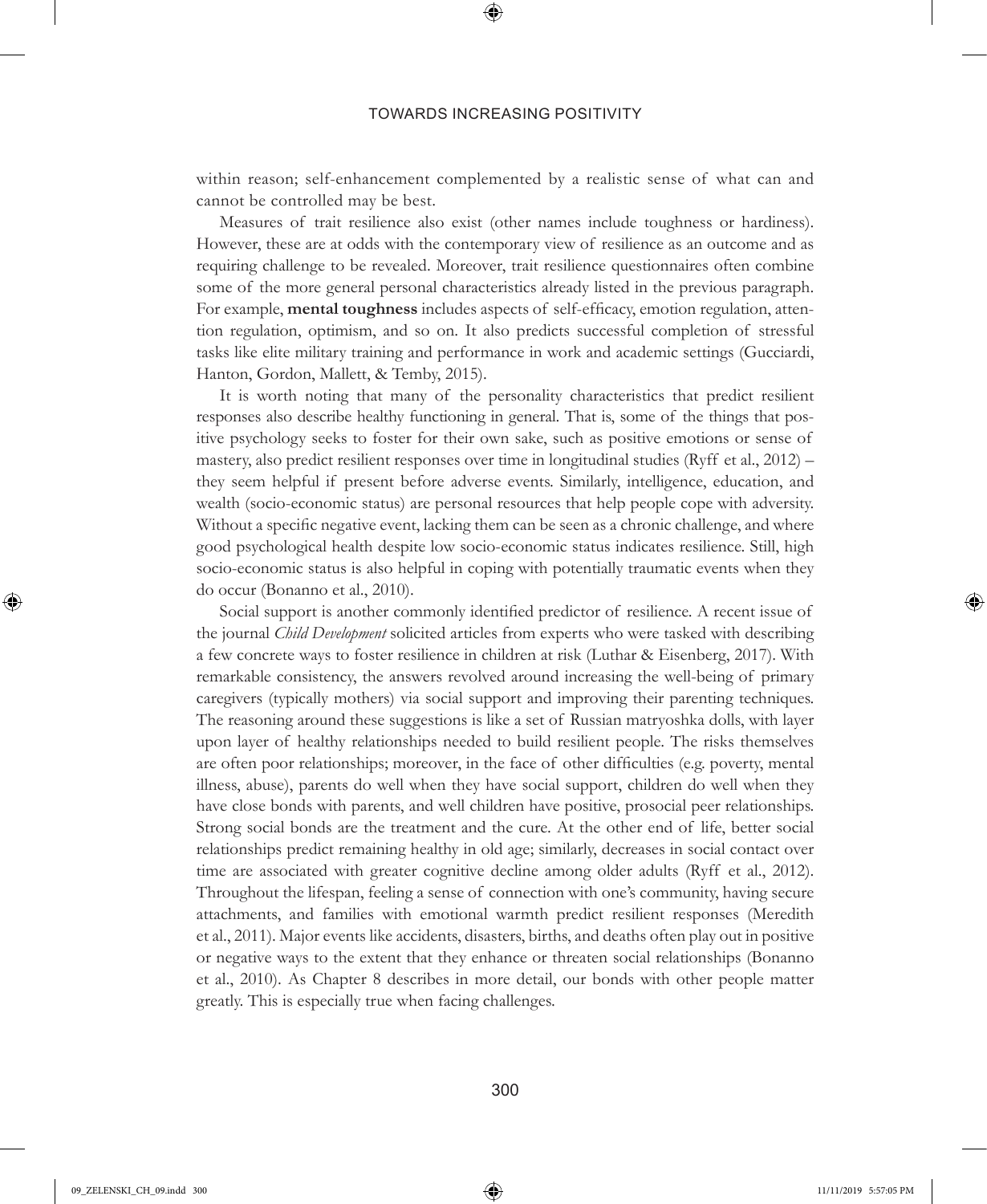⊕

within reason; self-enhancement complemented by a realistic sense of what can and cannot be controlled may be best.

Measures of trait resilience also exist (other names include toughness or hardiness). However, these are at odds with the contemporary view of resilience as an outcome and as requiring challenge to be revealed. Moreover, trait resilience questionnaires often combine some of the more general personal characteristics already listed in the previous paragraph. For example, **mental toughness** includes aspects of self-efficacy, emotion regulation, attention regulation, optimism, and so on. It also predicts successful completion of stressful tasks like elite military training and performance in work and academic settings (Gucciardi, Hanton, Gordon, Mallett, & Temby, 2015).

It is worth noting that many of the personality characteristics that predict resilient responses also describe healthy functioning in general. That is, some of the things that positive psychology seeks to foster for their own sake, such as positive emotions or sense of mastery, also predict resilient responses over time in longitudinal studies (Ryff et al., 2012) – they seem helpful if present before adverse events. Similarly, intelligence, education, and wealth (socio-economic status) are personal resources that help people cope with adversity. Without a specific negative event, lacking them can be seen as a chronic challenge, and where good psychological health despite low socio-economic status indicates resilience. Still, high socio-economic status is also helpful in coping with potentially traumatic events when they do occur (Bonanno et al., 2010).

Social support is another commonly identified predictor of resilience. A recent issue of the journal *Child Development* solicited articles from experts who were tasked with describing a few concrete ways to foster resilience in children at risk (Luthar & Eisenberg, 2017). With remarkable consistency, the answers revolved around increasing the well-being of primary caregivers (typically mothers) via social support and improving their parenting techniques. The reasoning around these suggestions is like a set of Russian matryoshka dolls, with layer upon layer of healthy relationships needed to build resilient people. The risks themselves are often poor relationships; moreover, in the face of other difficulties (e.g. poverty, mental illness, abuse), parents do well when they have social support, children do well when they have close bonds with parents, and well children have positive, prosocial peer relationships. Strong social bonds are the treatment and the cure. At the other end of life, better social relationships predict remaining healthy in old age; similarly, decreases in social contact over time are associated with greater cognitive decline among older adults (Ryff et al., 2012). Throughout the lifespan, feeling a sense of connection with one's community, having secure attachments, and families with emotional warmth predict resilient responses (Meredith et al., 2011). Major events like accidents, disasters, births, and deaths often play out in positive or negative ways to the extent that they enhance or threaten social relationships (Bonanno et al., 2010). As Chapter 8 describes in more detail, our bonds with other people matter greatly. This is especially true when facing challenges.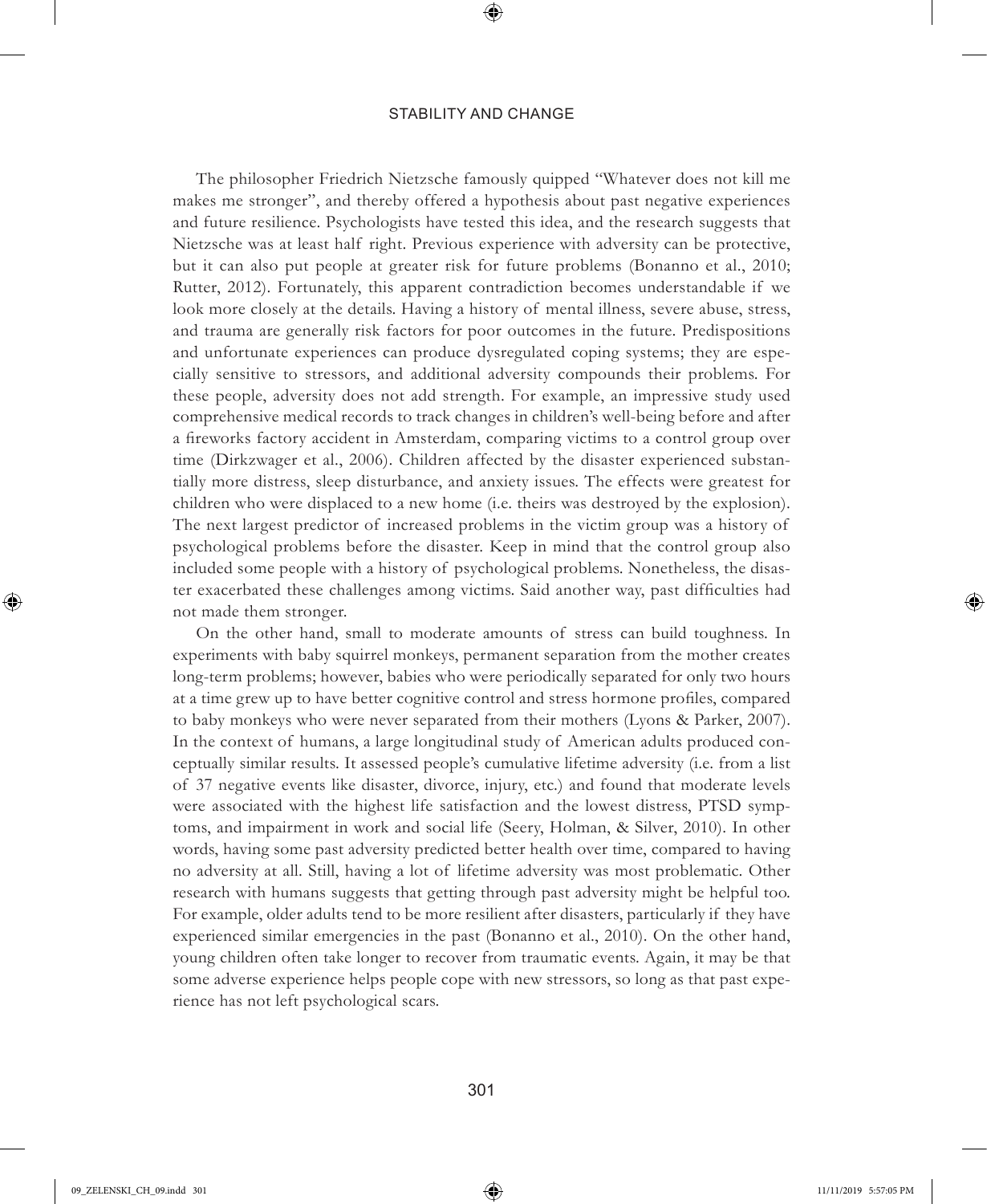⊕

The philosopher Friedrich Nietzsche famously quipped "Whatever does not kill me makes me stronger", and thereby offered a hypothesis about past negative experiences and future resilience. Psychologists have tested this idea, and the research suggests that Nietzsche was at least half right. Previous experience with adversity can be protective, but it can also put people at greater risk for future problems (Bonanno et al., 2010; Rutter, 2012). Fortunately, this apparent contradiction becomes understandable if we look more closely at the details. Having a history of mental illness, severe abuse, stress, and trauma are generally risk factors for poor outcomes in the future. Predispositions and unfortunate experiences can produce dysregulated coping systems; they are especially sensitive to stressors, and additional adversity compounds their problems. For these people, adversity does not add strength. For example, an impressive study used comprehensive medical records to track changes in children's well-being before and after a fireworks factory accident in Amsterdam, comparing victims to a control group over time (Dirkzwager et al., 2006). Children affected by the disaster experienced substantially more distress, sleep disturbance, and anxiety issues. The effects were greatest for children who were displaced to a new home (i.e. theirs was destroyed by the explosion). The next largest predictor of increased problems in the victim group was a history of psychological problems before the disaster. Keep in mind that the control group also included some people with a history of psychological problems. Nonetheless, the disaster exacerbated these challenges among victims. Said another way, past difficulties had not made them stronger.

On the other hand, small to moderate amounts of stress can build toughness. In experiments with baby squirrel monkeys, permanent separation from the mother creates long-term problems; however, babies who were periodically separated for only two hours at a time grew up to have better cognitive control and stress hormone profiles, compared to baby monkeys who were never separated from their mothers (Lyons & Parker, 2007). In the context of humans, a large longitudinal study of American adults produced conceptually similar results. It assessed people's cumulative lifetime adversity (i.e. from a list of 37 negative events like disaster, divorce, injury, etc.) and found that moderate levels were associated with the highest life satisfaction and the lowest distress, PTSD symptoms, and impairment in work and social life (Seery, Holman, & Silver, 2010). In other words, having some past adversity predicted better health over time, compared to having no adversity at all. Still, having a lot of lifetime adversity was most problematic. Other research with humans suggests that getting through past adversity might be helpful too. For example, older adults tend to be more resilient after disasters, particularly if they have experienced similar emergencies in the past (Bonanno et al., 2010). On the other hand, young children often take longer to recover from traumatic events. Again, it may be that some adverse experience helps people cope with new stressors, so long as that past experience has not left psychological scars.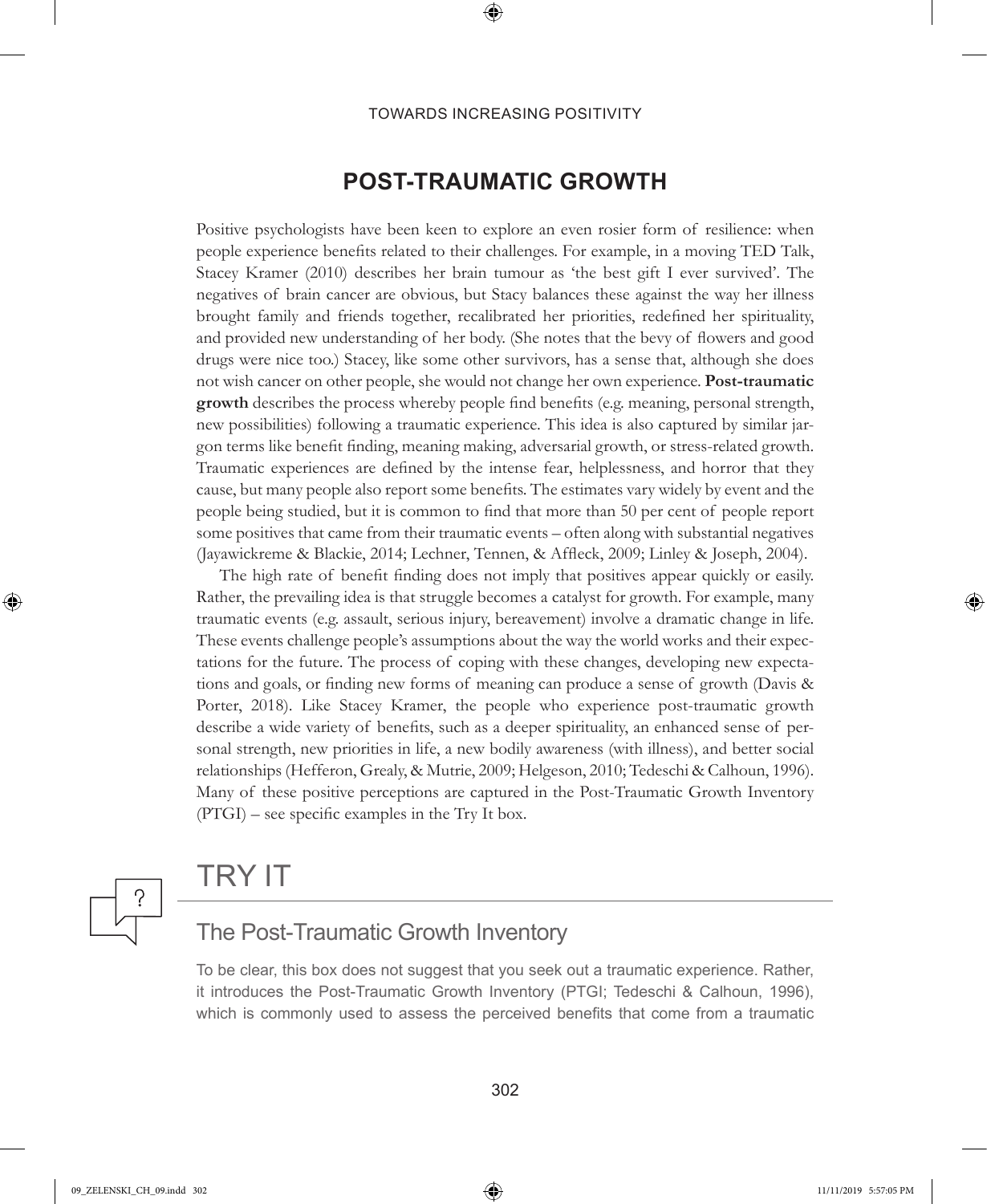⊕

### **POST-TRAUMATIC GROWTH**

Positive psychologists have been keen to explore an even rosier form of resilience: when people experience benefits related to their challenges. For example, in a moving TED Talk, Stacey Kramer (2010) describes her brain tumour as 'the best gift I ever survived'. The negatives of brain cancer are obvious, but Stacy balances these against the way her illness brought family and friends together, recalibrated her priorities, redefined her spirituality, and provided new understanding of her body. (She notes that the bevy of flowers and good drugs were nice too.) Stacey, like some other survivors, has a sense that, although she does not wish cancer on other people, she would not change her own experience. **Post-traumatic growth** describes the process whereby people find benefits (e.g. meaning, personal strength, new possibilities) following a traumatic experience. This idea is also captured by similar jargon terms like benefit finding, meaning making, adversarial growth, or stress-related growth. Traumatic experiences are defined by the intense fear, helplessness, and horror that they cause, but many people also report some benefits. The estimates vary widely by event and the people being studied, but it is common to find that more than 50 per cent of people report some positives that came from their traumatic events – often along with substantial negatives (Jayawickreme & Blackie, 2014; Lechner, Tennen, & Affleck, 2009; Linley & Joseph, 2004).

The high rate of benefit finding does not imply that positives appear quickly or easily. Rather, the prevailing idea is that struggle becomes a catalyst for growth. For example, many traumatic events (e.g. assault, serious injury, bereavement) involve a dramatic change in life. These events challenge people's assumptions about the way the world works and their expectations for the future. The process of coping with these changes, developing new expectations and goals, or finding new forms of meaning can produce a sense of growth (Davis & Porter, 2018). Like Stacey Kramer, the people who experience post-traumatic growth describe a wide variety of benefits, such as a deeper spirituality, an enhanced sense of personal strength, new priorities in life, a new bodily awareness (with illness), and better social relationships (Hefferon, Grealy, & Mutrie, 2009; Helgeson, 2010; Tedeschi & Calhoun, 1996). Many of these positive perceptions are captured in the Post-Traumatic Growth Inventory (PTGI) – see specific examples in the Try It box.

### TRY IT

⊕

### The Post-Traumatic Growth Inventory

To be clear, this box does not suggest that you seek out a traumatic experience. Rather, it introduces the Post-Traumatic Growth Inventory (PTGI; Tedeschi & Calhoun, 1996), which is commonly used to assess the perceived benefits that come from a traumatic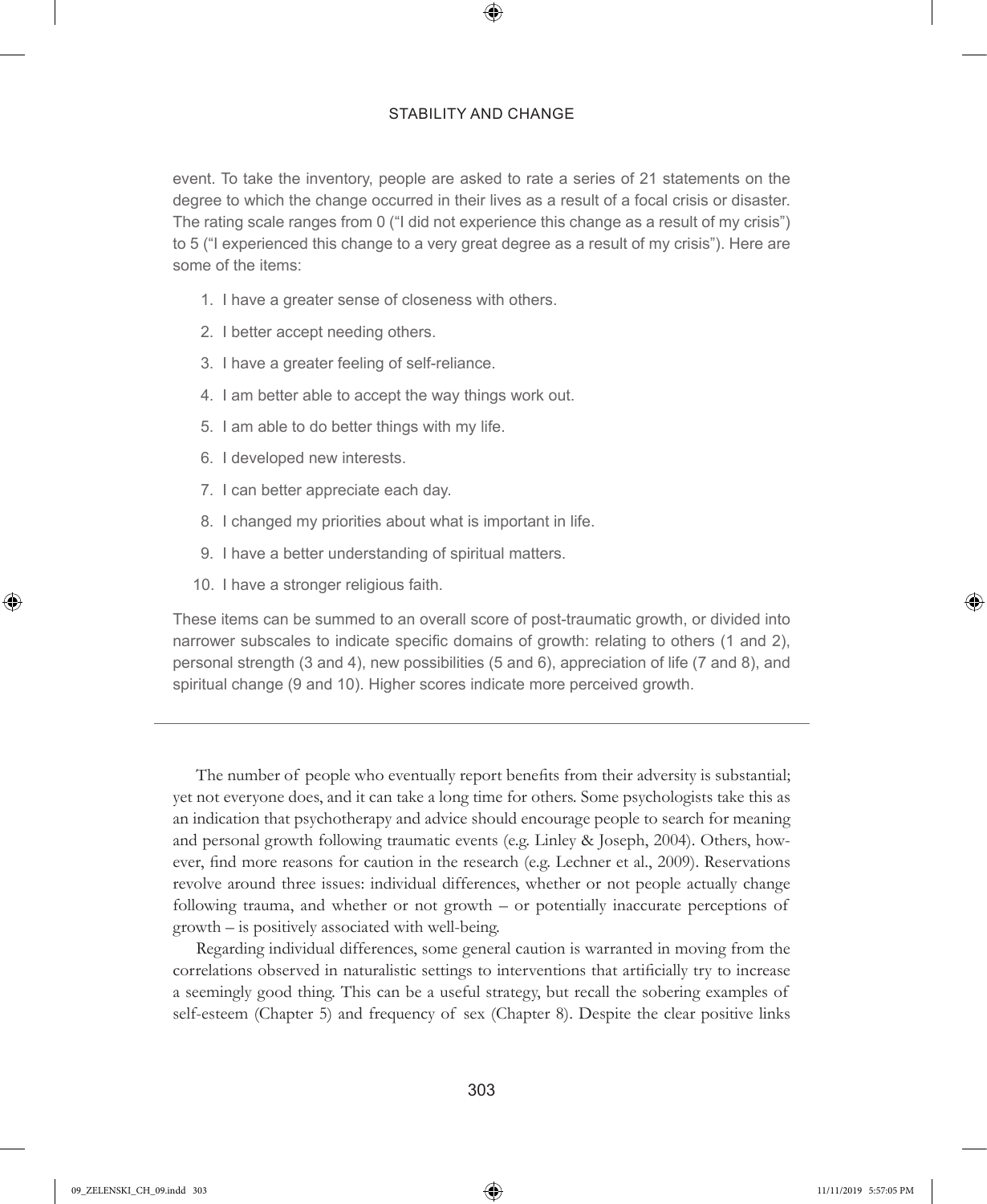⊕

event. To take the inventory, people are asked to rate a series of 21 statements on the degree to which the change occurred in their lives as a result of a focal crisis or disaster. The rating scale ranges from 0 ("I did not experience this change as a result of my crisis") to 5 ("I experienced this change to a very great degree as a result of my crisis"). Here are some of the items:

- 1. I have a greater sense of closeness with others.
- 2. I better accept needing others.
- 3. I have a greater feeling of self-reliance.
- 4. I am better able to accept the way things work out.
- 5. I am able to do better things with my life.
- 6. I developed new interests.
- 7. I can better appreciate each day.
- 8. I changed my priorities about what is important in life.
- 9. I have a better understanding of spiritual matters.
- 10. I have a stronger religious faith.

These items can be summed to an overall score of post-traumatic growth, or divided into narrower subscales to indicate specific domains of growth: relating to others (1 and 2), personal strength (3 and 4), new possibilities (5 and 6), appreciation of life (7 and 8), and spiritual change (9 and 10). Higher scores indicate more perceived growth.

The number of people who eventually report benefits from their adversity is substantial; yet not everyone does, and it can take a long time for others. Some psychologists take this as an indication that psychotherapy and advice should encourage people to search for meaning and personal growth following traumatic events (e.g. Linley & Joseph, 2004). Others, however, find more reasons for caution in the research (e.g. Lechner et al., 2009). Reservations revolve around three issues: individual differences, whether or not people actually change following trauma, and whether or not growth – or potentially inaccurate perceptions of growth – is positively associated with well-being.

Regarding individual differences, some general caution is warranted in moving from the correlations observed in naturalistic settings to interventions that artificially try to increase a seemingly good thing. This can be a useful strategy, but recall the sobering examples of self-esteem (Chapter 5) and frequency of sex (Chapter 8). Despite the clear positive links

⊕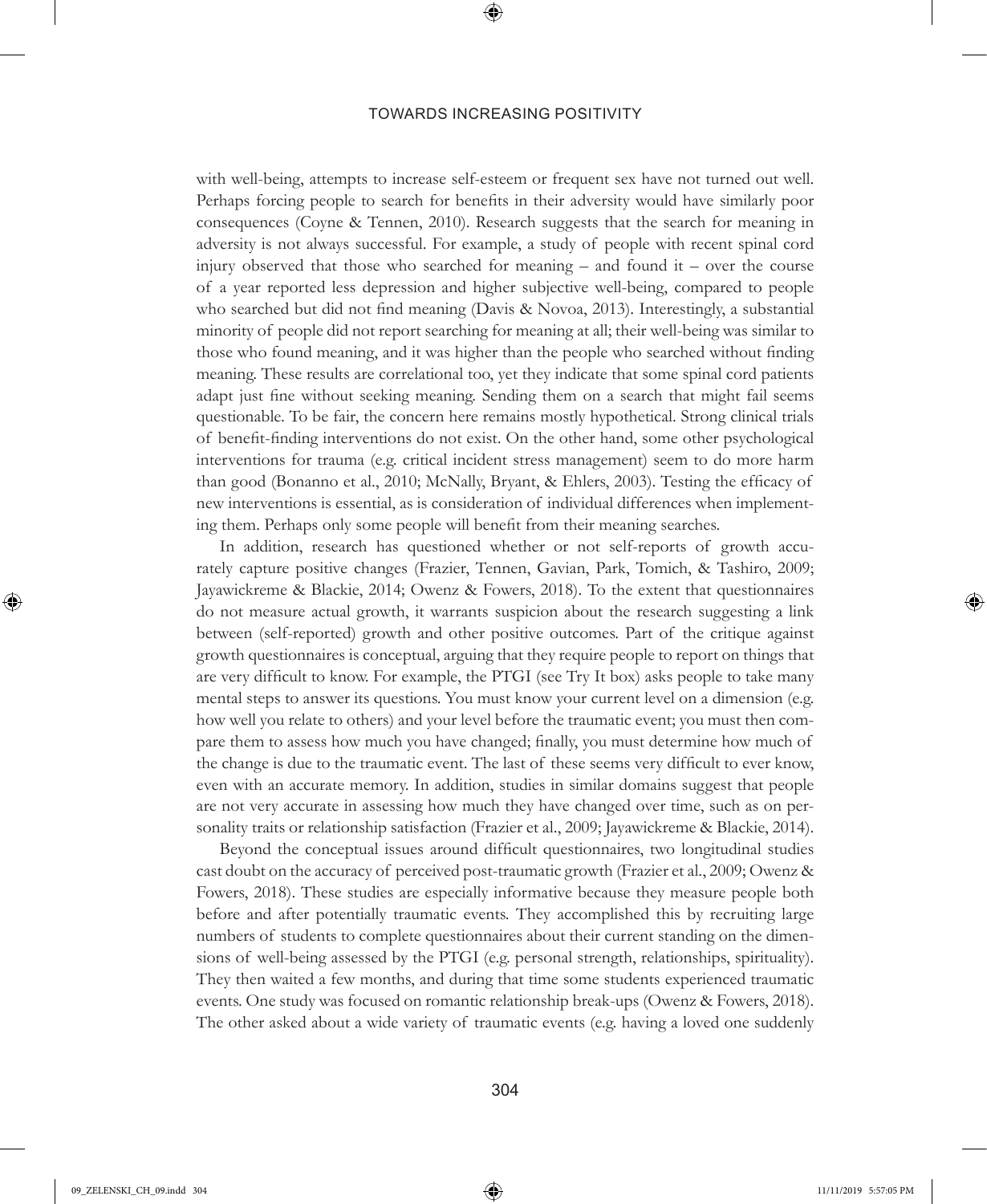⊕

with well-being, attempts to increase self-esteem or frequent sex have not turned out well. Perhaps forcing people to search for benefits in their adversity would have similarly poor consequences (Coyne & Tennen, 2010). Research suggests that the search for meaning in adversity is not always successful. For example, a study of people with recent spinal cord injury observed that those who searched for meaning – and found it – over the course of a year reported less depression and higher subjective well-being, compared to people who searched but did not find meaning (Davis & Novoa, 2013). Interestingly, a substantial minority of people did not report searching for meaning at all; their well-being was similar to those who found meaning, and it was higher than the people who searched without finding meaning. These results are correlational too, yet they indicate that some spinal cord patients adapt just fine without seeking meaning. Sending them on a search that might fail seems questionable. To be fair, the concern here remains mostly hypothetical. Strong clinical trials of benefit-finding interventions do not exist. On the other hand, some other psychological interventions for trauma (e.g. critical incident stress management) seem to do more harm than good (Bonanno et al., 2010; McNally, Bryant, & Ehlers, 2003). Testing the efficacy of new interventions is essential, as is consideration of individual differences when implementing them. Perhaps only some people will benefit from their meaning searches.

In addition, research has questioned whether or not self-reports of growth accurately capture positive changes (Frazier, Tennen, Gavian, Park, Tomich, & Tashiro, 2009; Jayawickreme & Blackie, 2014; Owenz & Fowers, 2018). To the extent that questionnaires do not measure actual growth, it warrants suspicion about the research suggesting a link between (self-reported) growth and other positive outcomes. Part of the critique against growth questionnaires is conceptual, arguing that they require people to report on things that are very difficult to know. For example, the PTGI (see Try It box) asks people to take many mental steps to answer its questions. You must know your current level on a dimension (e.g. how well you relate to others) and your level before the traumatic event; you must then compare them to assess how much you have changed; finally, you must determine how much of the change is due to the traumatic event. The last of these seems very difficult to ever know, even with an accurate memory. In addition, studies in similar domains suggest that people are not very accurate in assessing how much they have changed over time, such as on personality traits or relationship satisfaction (Frazier et al., 2009; Jayawickreme & Blackie, 2014).

Beyond the conceptual issues around difficult questionnaires, two longitudinal studies cast doubt on the accuracy of perceived post-traumatic growth (Frazier et al., 2009; Owenz & Fowers, 2018). These studies are especially informative because they measure people both before and after potentially traumatic events. They accomplished this by recruiting large numbers of students to complete questionnaires about their current standing on the dimensions of well-being assessed by the PTGI (e.g. personal strength, relationships, spirituality). They then waited a few months, and during that time some students experienced traumatic events. One study was focused on romantic relationship break-ups (Owenz & Fowers, 2018). The other asked about a wide variety of traumatic events (e.g. having a loved one suddenly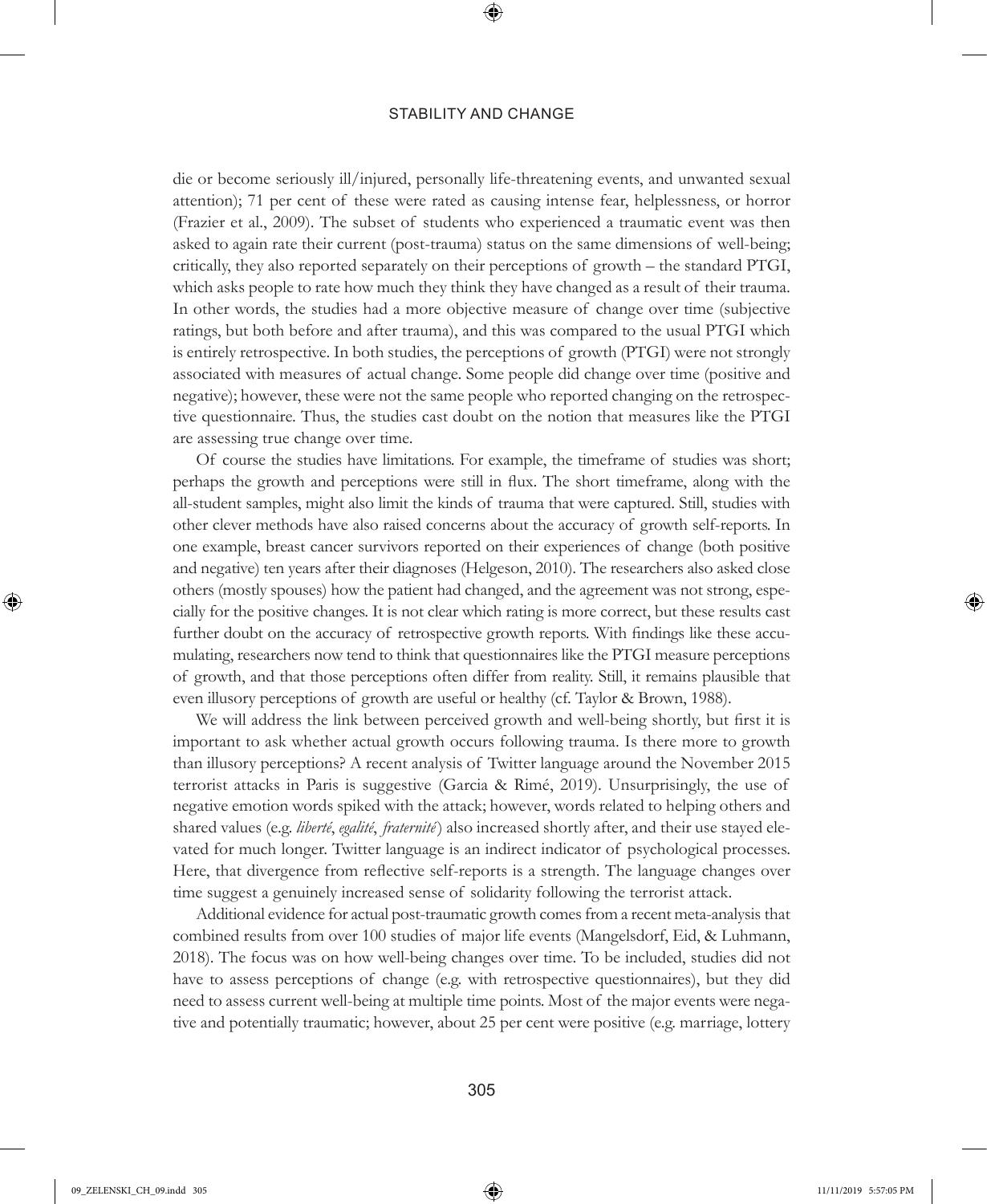⊕

die or become seriously ill/injured, personally life-threatening events, and unwanted sexual attention); 71 per cent of these were rated as causing intense fear, helplessness, or horror (Frazier et al., 2009). The subset of students who experienced a traumatic event was then asked to again rate their current (post-trauma) status on the same dimensions of well-being; critically, they also reported separately on their perceptions of growth – the standard PTGI, which asks people to rate how much they think they have changed as a result of their trauma. In other words, the studies had a more objective measure of change over time (subjective ratings, but both before and after trauma), and this was compared to the usual PTGI which is entirely retrospective. In both studies, the perceptions of growth (PTGI) were not strongly associated with measures of actual change. Some people did change over time (positive and negative); however, these were not the same people who reported changing on the retrospective questionnaire. Thus, the studies cast doubt on the notion that measures like the PTGI are assessing true change over time.

Of course the studies have limitations. For example, the timeframe of studies was short; perhaps the growth and perceptions were still in flux. The short timeframe, along with the all-student samples, might also limit the kinds of trauma that were captured. Still, studies with other clever methods have also raised concerns about the accuracy of growth self-reports. In one example, breast cancer survivors reported on their experiences of change (both positive and negative) ten years after their diagnoses (Helgeson, 2010). The researchers also asked close others (mostly spouses) how the patient had changed, and the agreement was not strong, especially for the positive changes. It is not clear which rating is more correct, but these results cast further doubt on the accuracy of retrospective growth reports. With findings like these accumulating, researchers now tend to think that questionnaires like the PTGI measure perceptions of growth, and that those perceptions often differ from reality. Still, it remains plausible that even illusory perceptions of growth are useful or healthy (cf. Taylor & Brown, 1988).

We will address the link between perceived growth and well-being shortly, but first it is important to ask whether actual growth occurs following trauma. Is there more to growth than illusory perceptions? A recent analysis of Twitter language around the November 2015 terrorist attacks in Paris is suggestive (Garcia & Rimé, 2019). Unsurprisingly, the use of negative emotion words spiked with the attack; however, words related to helping others and shared values (e.g. *liberté*, *egalité*, *fraternité*) also increased shortly after, and their use stayed elevated for much longer. Twitter language is an indirect indicator of psychological processes. Here, that divergence from reflective self-reports is a strength. The language changes over time suggest a genuinely increased sense of solidarity following the terrorist attack.

Additional evidence for actual post-traumatic growth comes from a recent meta-analysis that combined results from over 100 studies of major life events (Mangelsdorf, Eid, & Luhmann, 2018). The focus was on how well-being changes over time. To be included, studies did not have to assess perceptions of change (e.g. with retrospective questionnaires), but they did need to assess current well-being at multiple time points. Most of the major events were negative and potentially traumatic; however, about 25 per cent were positive (e.g. marriage, lottery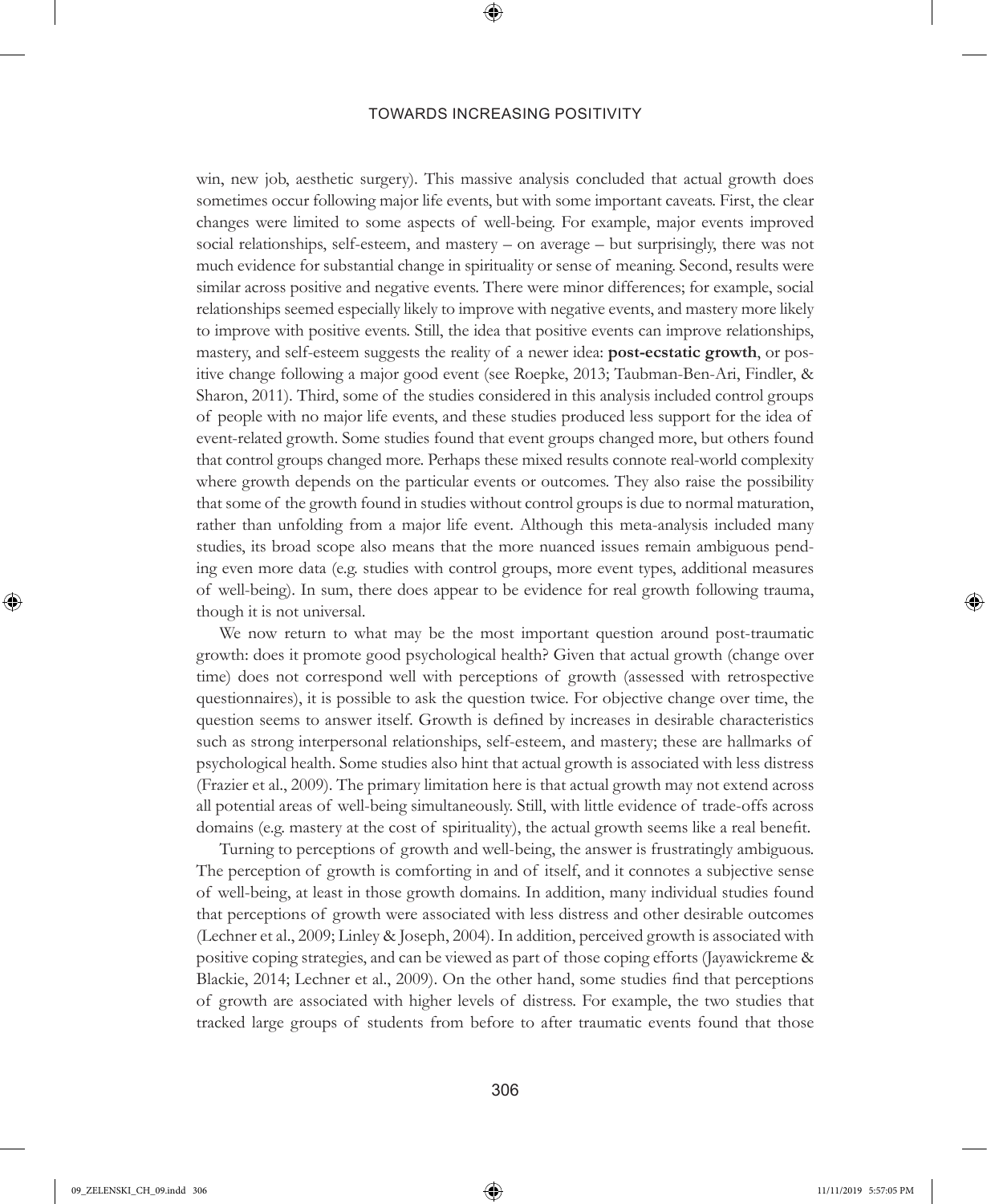⊕

win, new job, aesthetic surgery). This massive analysis concluded that actual growth does sometimes occur following major life events, but with some important caveats. First, the clear changes were limited to some aspects of well-being. For example, major events improved social relationships, self-esteem, and mastery – on average – but surprisingly, there was not much evidence for substantial change in spirituality or sense of meaning. Second, results were similar across positive and negative events. There were minor differences; for example, social relationships seemed especially likely to improve with negative events, and mastery more likely to improve with positive events. Still, the idea that positive events can improve relationships, mastery, and self-esteem suggests the reality of a newer idea: **post-ecstatic growth**, or positive change following a major good event (see Roepke, 2013; Taubman-Ben-Ari, Findler, & Sharon, 2011). Third, some of the studies considered in this analysis included control groups of people with no major life events, and these studies produced less support for the idea of event-related growth. Some studies found that event groups changed more, but others found that control groups changed more. Perhaps these mixed results connote real-world complexity where growth depends on the particular events or outcomes. They also raise the possibility that some of the growth found in studies without control groups is due to normal maturation, rather than unfolding from a major life event. Although this meta-analysis included many studies, its broad scope also means that the more nuanced issues remain ambiguous pending even more data (e.g. studies with control groups, more event types, additional measures of well-being). In sum, there does appear to be evidence for real growth following trauma, though it is not universal.

We now return to what may be the most important question around post-traumatic growth: does it promote good psychological health? Given that actual growth (change over time) does not correspond well with perceptions of growth (assessed with retrospective questionnaires), it is possible to ask the question twice. For objective change over time, the question seems to answer itself. Growth is defined by increases in desirable characteristics such as strong interpersonal relationships, self-esteem, and mastery; these are hallmarks of psychological health. Some studies also hint that actual growth is associated with less distress (Frazier et al., 2009). The primary limitation here is that actual growth may not extend across all potential areas of well-being simultaneously. Still, with little evidence of trade-offs across domains (e.g. mastery at the cost of spirituality), the actual growth seems like a real benefit.

Turning to perceptions of growth and well-being, the answer is frustratingly ambiguous. The perception of growth is comforting in and of itself, and it connotes a subjective sense of well-being, at least in those growth domains. In addition, many individual studies found that perceptions of growth were associated with less distress and other desirable outcomes (Lechner et al., 2009; Linley & Joseph, 2004). In addition, perceived growth is associated with positive coping strategies, and can be viewed as part of those coping efforts (Jayawickreme & Blackie, 2014; Lechner et al., 2009). On the other hand, some studies find that perceptions of growth are associated with higher levels of distress. For example, the two studies that tracked large groups of students from before to after traumatic events found that those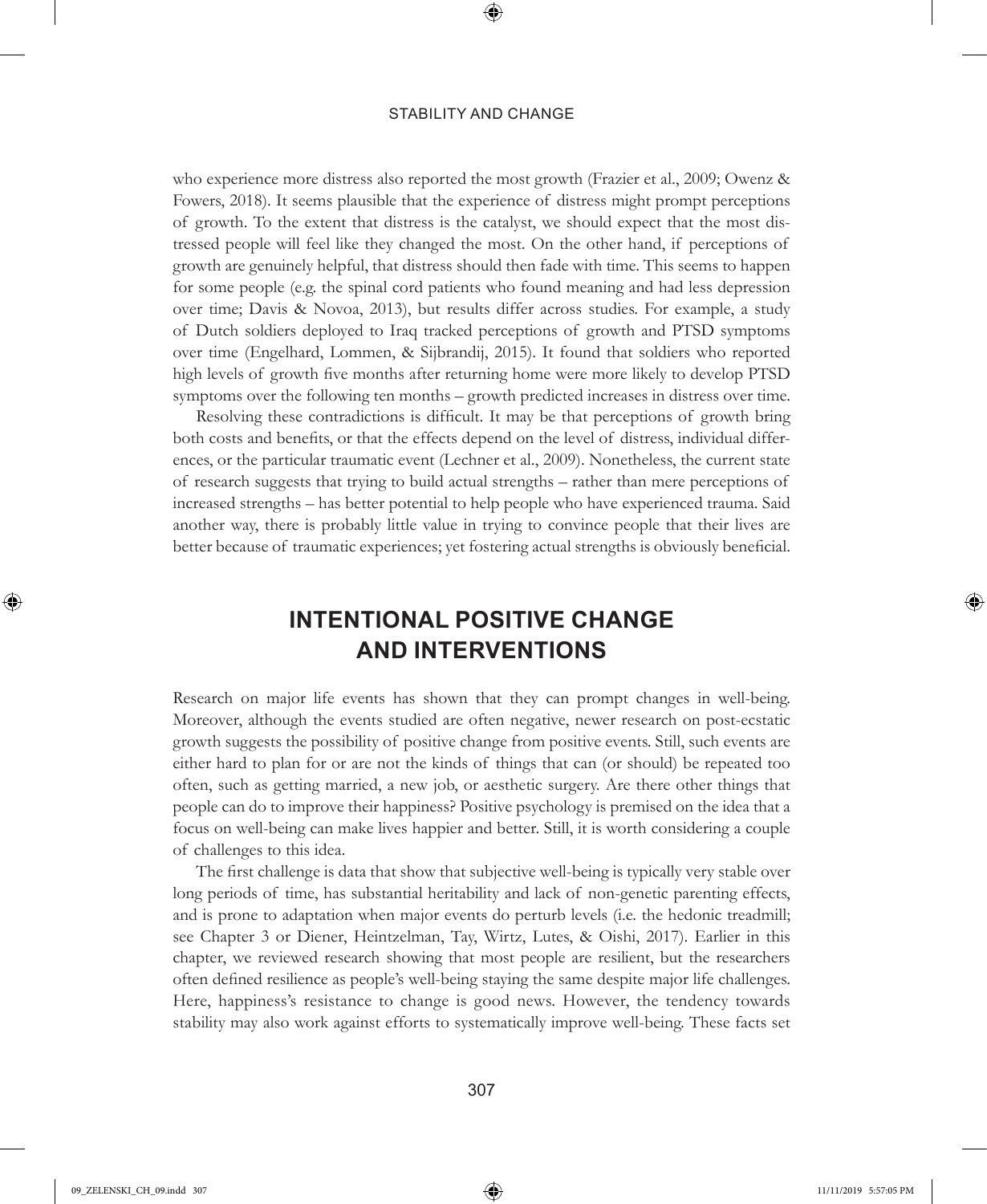⊕

who experience more distress also reported the most growth (Frazier et al., 2009; Owenz & Fowers, 2018). It seems plausible that the experience of distress might prompt perceptions of growth. To the extent that distress is the catalyst, we should expect that the most distressed people will feel like they changed the most. On the other hand, if perceptions of growth are genuinely helpful, that distress should then fade with time. This seems to happen for some people (e.g. the spinal cord patients who found meaning and had less depression over time; Davis & Novoa, 2013), but results differ across studies. For example, a study of Dutch soldiers deployed to Iraq tracked perceptions of growth and PTSD symptoms over time (Engelhard, Lommen, & Sijbrandij, 2015). It found that soldiers who reported high levels of growth five months after returning home were more likely to develop PTSD symptoms over the following ten months – growth predicted increases in distress over time.

Resolving these contradictions is difficult. It may be that perceptions of growth bring both costs and benefits, or that the effects depend on the level of distress, individual differences, or the particular traumatic event (Lechner et al., 2009). Nonetheless, the current state of research suggests that trying to build actual strengths – rather than mere perceptions of increased strengths – has better potential to help people who have experienced trauma. Said another way, there is probably little value in trying to convince people that their lives are better because of traumatic experiences; yet fostering actual strengths is obviously beneficial.

### **INTENTIONAL POSITIVE CHANGE AND INTERVENTIONS**

Research on major life events has shown that they can prompt changes in well-being. Moreover, although the events studied are often negative, newer research on post-ecstatic growth suggests the possibility of positive change from positive events. Still, such events are either hard to plan for or are not the kinds of things that can (or should) be repeated too often, such as getting married, a new job, or aesthetic surgery. Are there other things that people can do to improve their happiness? Positive psychology is premised on the idea that a focus on well-being can make lives happier and better. Still, it is worth considering a couple of challenges to this idea.

The first challenge is data that show that subjective well-being is typically very stable over long periods of time, has substantial heritability and lack of non-genetic parenting effects, and is prone to adaptation when major events do perturb levels (i.e. the hedonic treadmill; see Chapter 3 or Diener, Heintzelman, Tay, Wirtz, Lutes, & Oishi, 2017). Earlier in this chapter, we reviewed research showing that most people are resilient, but the researchers often defined resilience as people's well-being staying the same despite major life challenges. Here, happiness's resistance to change is good news. However, the tendency towards stability may also work against efforts to systematically improve well-being. These facts set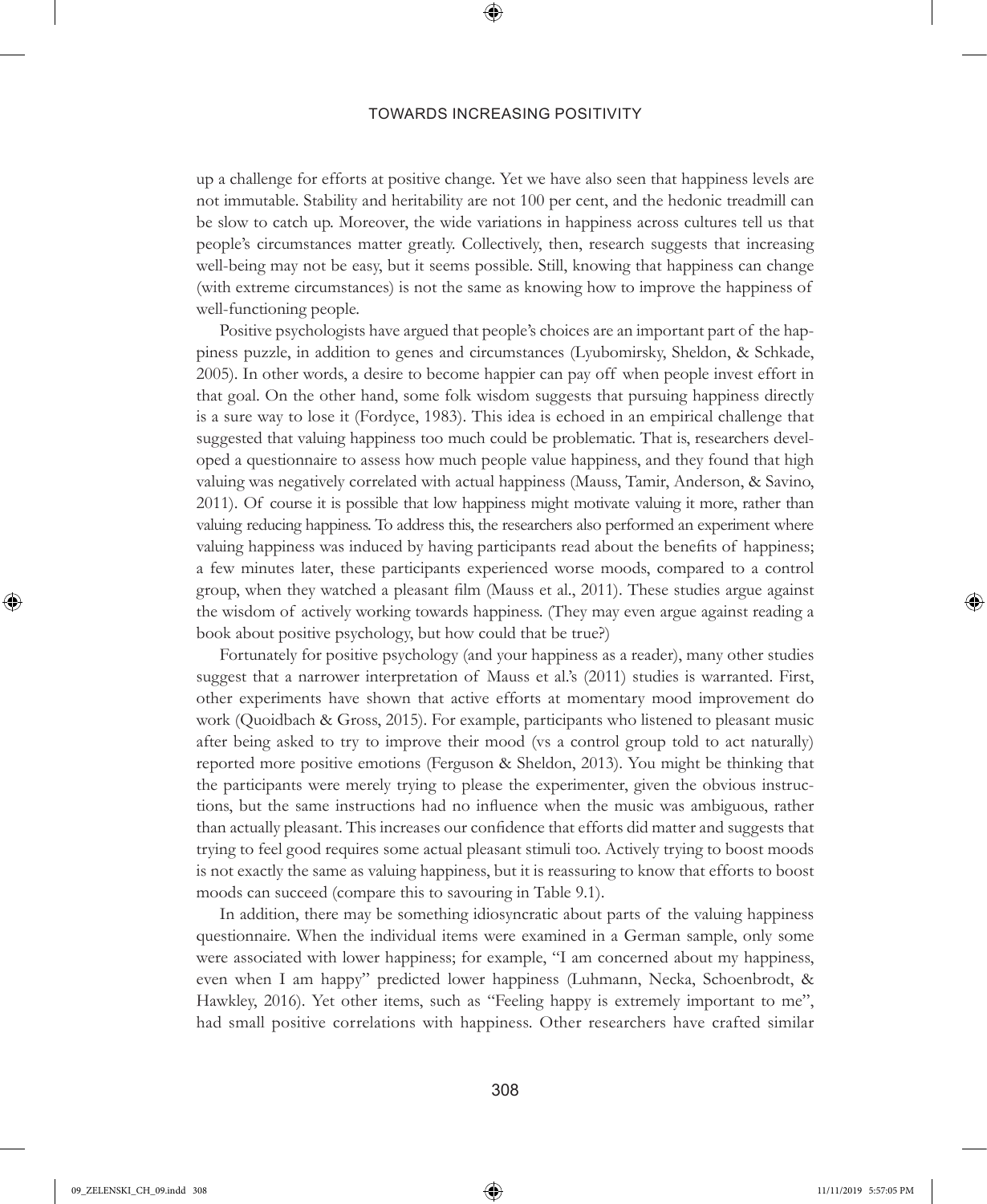⊕

up a challenge for efforts at positive change. Yet we have also seen that happiness levels are not immutable. Stability and heritability are not 100 per cent, and the hedonic treadmill can be slow to catch up. Moreover, the wide variations in happiness across cultures tell us that people's circumstances matter greatly. Collectively, then, research suggests that increasing well-being may not be easy, but it seems possible. Still, knowing that happiness can change (with extreme circumstances) is not the same as knowing how to improve the happiness of well-functioning people.

Positive psychologists have argued that people's choices are an important part of the happiness puzzle, in addition to genes and circumstances (Lyubomirsky, Sheldon, & Schkade, 2005). In other words, a desire to become happier can pay off when people invest effort in that goal. On the other hand, some folk wisdom suggests that pursuing happiness directly is a sure way to lose it (Fordyce, 1983). This idea is echoed in an empirical challenge that suggested that valuing happiness too much could be problematic. That is, researchers developed a questionnaire to assess how much people value happiness, and they found that high valuing was negatively correlated with actual happiness (Mauss, Tamir, Anderson, & Savino, 2011). Of course it is possible that low happiness might motivate valuing it more, rather than valuing reducing happiness. To address this, the researchers also performed an experiment where valuing happiness was induced by having participants read about the benefits of happiness; a few minutes later, these participants experienced worse moods, compared to a control group, when they watched a pleasant film (Mauss et al., 2011). These studies argue against the wisdom of actively working towards happiness. (They may even argue against reading a book about positive psychology, but how could that be true?)

Fortunately for positive psychology (and your happiness as a reader), many other studies suggest that a narrower interpretation of Mauss et al.'s (2011) studies is warranted. First, other experiments have shown that active efforts at momentary mood improvement do work (Quoidbach & Gross, 2015). For example, participants who listened to pleasant music after being asked to try to improve their mood (vs a control group told to act naturally) reported more positive emotions (Ferguson & Sheldon, 2013). You might be thinking that the participants were merely trying to please the experimenter, given the obvious instructions, but the same instructions had no influence when the music was ambiguous, rather than actually pleasant. This increases our confidence that efforts did matter and suggests that trying to feel good requires some actual pleasant stimuli too. Actively trying to boost moods is not exactly the same as valuing happiness, but it is reassuring to know that efforts to boost moods can succeed (compare this to savouring in Table 9.1).

In addition, there may be something idiosyncratic about parts of the valuing happiness questionnaire. When the individual items were examined in a German sample, only some were associated with lower happiness; for example, "I am concerned about my happiness, even when I am happy" predicted lower happiness (Luhmann, Necka, Schoenbrodt, & Hawkley, 2016). Yet other items, such as "Feeling happy is extremely important to me", had small positive correlations with happiness. Other researchers have crafted similar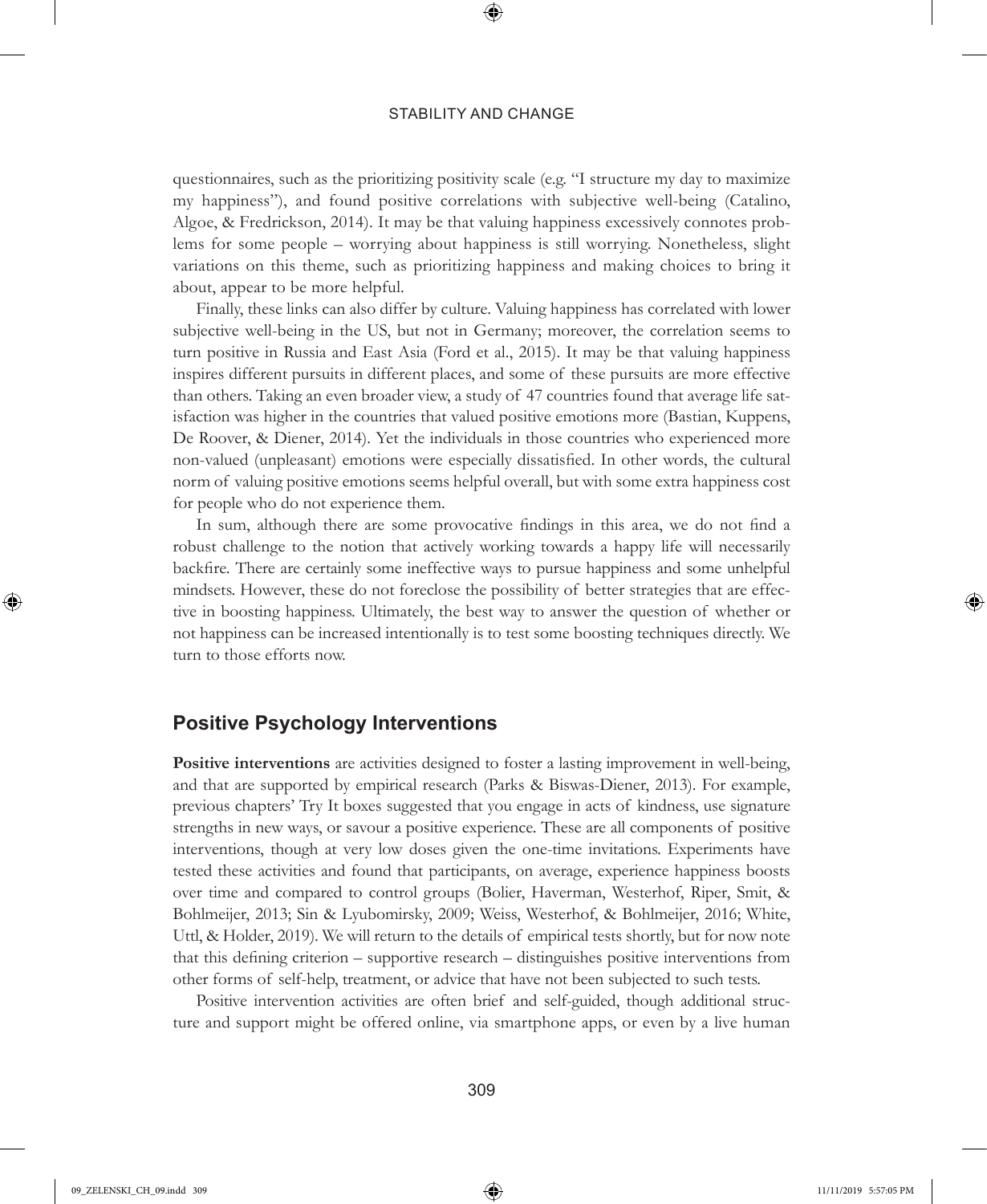⊕

questionnaires, such as the prioritizing positivity scale (e.g. "I structure my day to maximize my happiness"), and found positive correlations with subjective well-being (Catalino, Algoe, & Fredrickson, 2014). It may be that valuing happiness excessively connotes problems for some people – worrying about happiness is still worrying. Nonetheless, slight variations on this theme, such as prioritizing happiness and making choices to bring it about, appear to be more helpful.

Finally, these links can also differ by culture. Valuing happiness has correlated with lower subjective well-being in the US, but not in Germany; moreover, the correlation seems to turn positive in Russia and East Asia (Ford et al., 2015). It may be that valuing happiness inspires different pursuits in different places, and some of these pursuits are more effective than others. Taking an even broader view, a study of 47 countries found that average life satisfaction was higher in the countries that valued positive emotions more (Bastian, Kuppens, De Roover, & Diener, 2014). Yet the individuals in those countries who experienced more non-valued (unpleasant) emotions were especially dissatisfied. In other words, the cultural norm of valuing positive emotions seems helpful overall, but with some extra happiness cost for people who do not experience them.

In sum, although there are some provocative findings in this area, we do not find a robust challenge to the notion that actively working towards a happy life will necessarily backfire. There are certainly some ineffective ways to pursue happiness and some unhelpful mindsets. However, these do not foreclose the possibility of better strategies that are effective in boosting happiness. Ultimately, the best way to answer the question of whether or not happiness can be increased intentionally is to test some boosting techniques directly. We turn to those efforts now.

### **Positive Psychology Interventions**

**Positive interventions** are activities designed to foster a lasting improvement in well-being, and that are supported by empirical research (Parks & Biswas-Diener, 2013). For example, previous chapters' Try It boxes suggested that you engage in acts of kindness, use signature strengths in new ways, or savour a positive experience. These are all components of positive interventions, though at very low doses given the one-time invitations. Experiments have tested these activities and found that participants, on average, experience happiness boosts over time and compared to control groups (Bolier, Haverman, Westerhof, Riper, Smit, & Bohlmeijer, 2013; Sin & Lyubomirsky, 2009; Weiss, Westerhof, & Bohlmeijer, 2016; White, Uttl, & Holder, 2019). We will return to the details of empirical tests shortly, but for now note that this defining criterion – supportive research – distinguishes positive interventions from other forms of self-help, treatment, or advice that have not been subjected to such tests.

Positive intervention activities are often brief and self-guided, though additional structure and support might be offered online, via smartphone apps, or even by a live human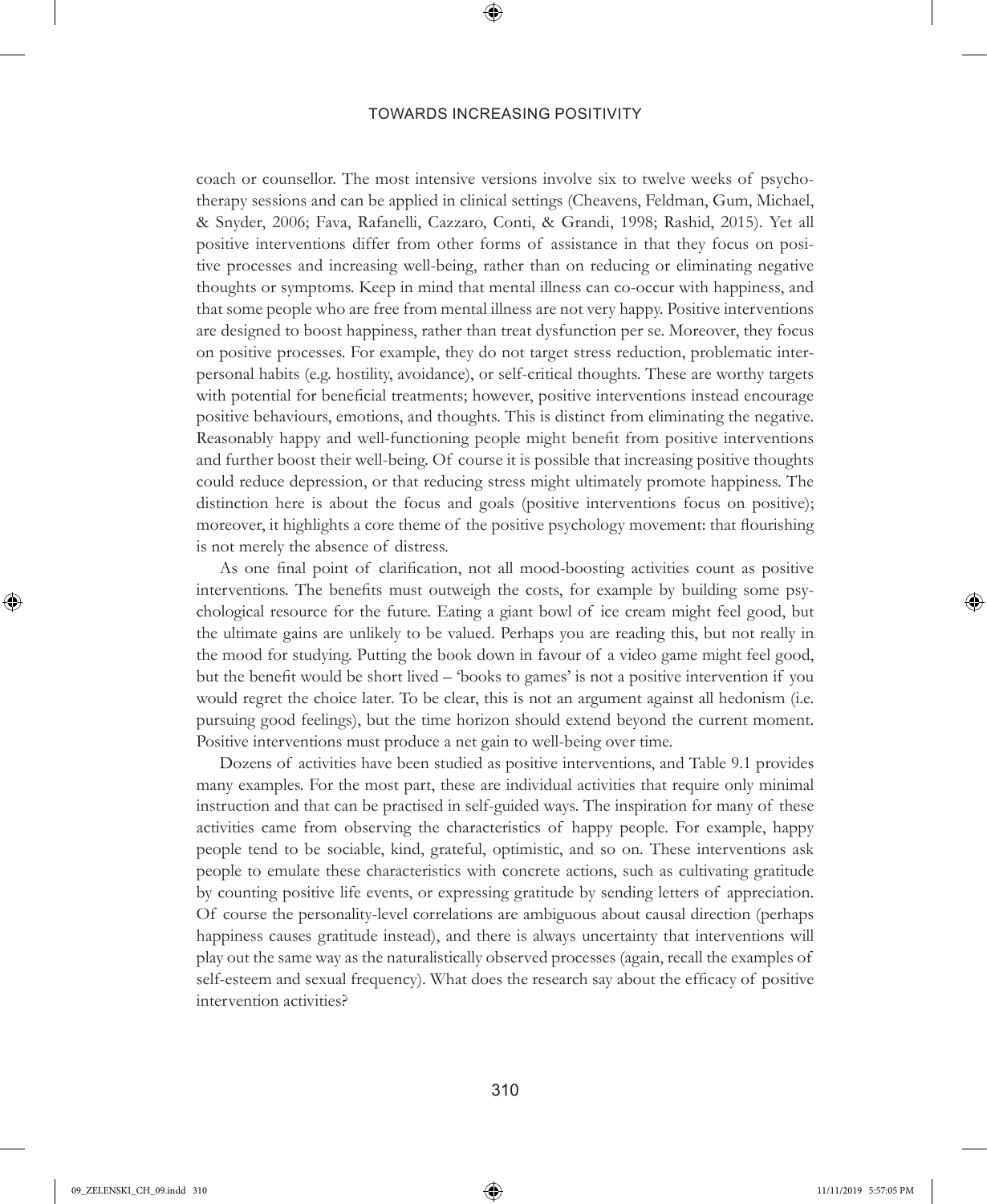⊕

coach or counsellor. The most intensive versions involve six to twelve weeks of psychotherapy sessions and can be applied in clinical settings (Cheavens, Feldman, Gum, Michael, & Snyder, 2006; Fava, Rafanelli, Cazzaro, Conti, & Grandi, 1998; Rashid, 2015). Yet all positive interventions differ from other forms of assistance in that they focus on positive processes and increasing well-being, rather than on reducing or eliminating negative thoughts or symptoms. Keep in mind that mental illness can co-occur with happiness, and that some people who are free from mental illness are not very happy. Positive interventions are designed to boost happiness, rather than treat dysfunction per se. Moreover, they focus on positive processes. For example, they do not target stress reduction, problematic interpersonal habits (e.g. hostility, avoidance), or self-critical thoughts. These are worthy targets with potential for beneficial treatments; however, positive interventions instead encourage positive behaviours, emotions, and thoughts. This is distinct from eliminating the negative. Reasonably happy and well-functioning people might benefit from positive interventions and further boost their well-being. Of course it is possible that increasing positive thoughts could reduce depression, or that reducing stress might ultimately promote happiness. The distinction here is about the focus and goals (positive interventions focus on positive); moreover, it highlights a core theme of the positive psychology movement: that flourishing is not merely the absence of distress.

As one final point of clarification, not all mood-boosting activities count as positive interventions. The benefits must outweigh the costs, for example by building some psychological resource for the future. Eating a giant bowl of ice cream might feel good, but the ultimate gains are unlikely to be valued. Perhaps you are reading this, but not really in the mood for studying. Putting the book down in favour of a video game might feel good, but the benefit would be short lived – 'books to games' is not a positive intervention if you would regret the choice later. To be clear, this is not an argument against all hedonism (i.e. pursuing good feelings), but the time horizon should extend beyond the current moment. Positive interventions must produce a net gain to well-being over time.

Dozens of activities have been studied as positive interventions, and Table 9.1 provides many examples. For the most part, these are individual activities that require only minimal instruction and that can be practised in self-guided ways. The inspiration for many of these activities came from observing the characteristics of happy people. For example, happy people tend to be sociable, kind, grateful, optimistic, and so on. These interventions ask people to emulate these characteristics with concrete actions, such as cultivating gratitude by counting positive life events, or expressing gratitude by sending letters of appreciation. Of course the personality-level correlations are ambiguous about causal direction (perhaps happiness causes gratitude instead), and there is always uncertainty that interventions will play out the same way as the naturalistically observed processes (again, recall the examples of self-esteem and sexual frequency). What does the research say about the efficacy of positive intervention activities?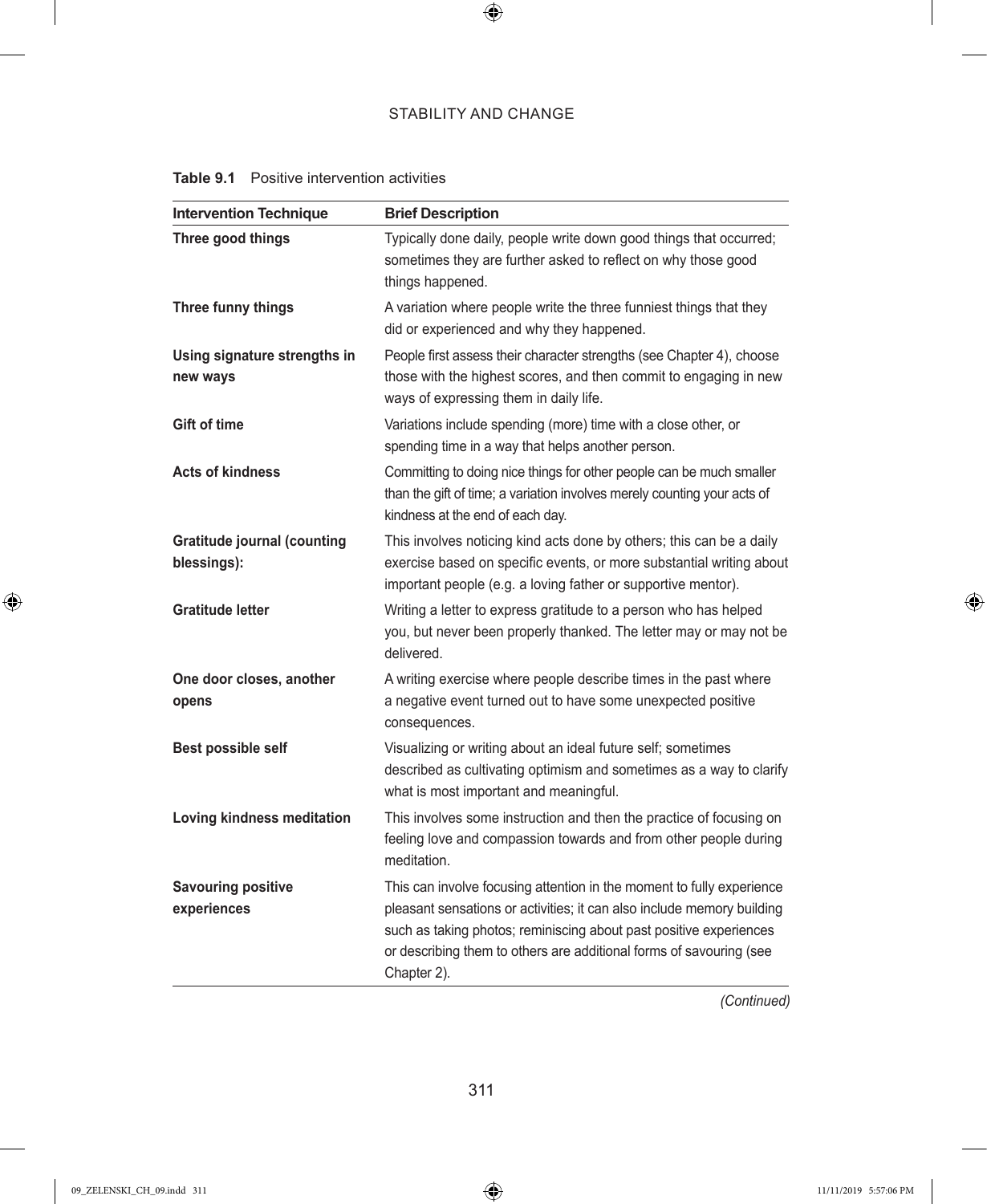$\bigoplus$ 

| <b>Intervention Technique</b>                     | <b>Brief Description</b>                                                                                                                                                                                                                                                                                    |
|---------------------------------------------------|-------------------------------------------------------------------------------------------------------------------------------------------------------------------------------------------------------------------------------------------------------------------------------------------------------------|
| Three good things                                 | Typically done daily, people write down good things that occurred;<br>sometimes they are further asked to reflect on why those good<br>things happened.                                                                                                                                                     |
| Three funny things                                | A variation where people write the three funniest things that they<br>did or experienced and why they happened.                                                                                                                                                                                             |
| Using signature strengths in<br>new ways          | People first assess their character strengths (see Chapter 4), choose<br>those with the highest scores, and then commit to engaging in new<br>ways of expressing them in daily life.                                                                                                                        |
| <b>Gift of time</b>                               | Variations include spending (more) time with a close other, or<br>spending time in a way that helps another person.                                                                                                                                                                                         |
| <b>Acts of kindness</b>                           | Committing to doing nice things for other people can be much smaller<br>than the gift of time; a variation involves merely counting your acts of<br>kindness at the end of each day.                                                                                                                        |
| <b>Gratitude journal (counting</b><br>blessings): | This involves noticing kind acts done by others; this can be a daily<br>exercise based on specific events, or more substantial writing about<br>important people (e.g. a loving father or supportive mentor).                                                                                               |
| <b>Gratitude letter</b>                           | Writing a letter to express gratitude to a person who has helped<br>you, but never been properly thanked. The letter may or may not be<br>delivered.                                                                                                                                                        |
| One door closes, another<br>opens                 | A writing exercise where people describe times in the past where<br>a negative event turned out to have some unexpected positive<br>consequences.                                                                                                                                                           |
| Best possible self                                | Visualizing or writing about an ideal future self; sometimes<br>described as cultivating optimism and sometimes as a way to clarify<br>what is most important and meaningful.                                                                                                                               |
| Loving kindness meditation                        | This involves some instruction and then the practice of focusing on<br>feeling love and compassion towards and from other people during<br>meditation.                                                                                                                                                      |
| <b>Savouring positive</b><br>experiences          | This can involve focusing attention in the moment to fully experience<br>pleasant sensations or activities; it can also include memory building<br>such as taking photos; reminiscing about past positive experiences<br>or describing them to others are additional forms of savouring (see<br>Chapter 2). |

### **Table 9.1** Positive intervention activities

 $\overline{\phantom{a}}$ 

 $\bigoplus$ 

*(Continued)*

 $\overline{\phantom{a}}$ 

 $\bigoplus$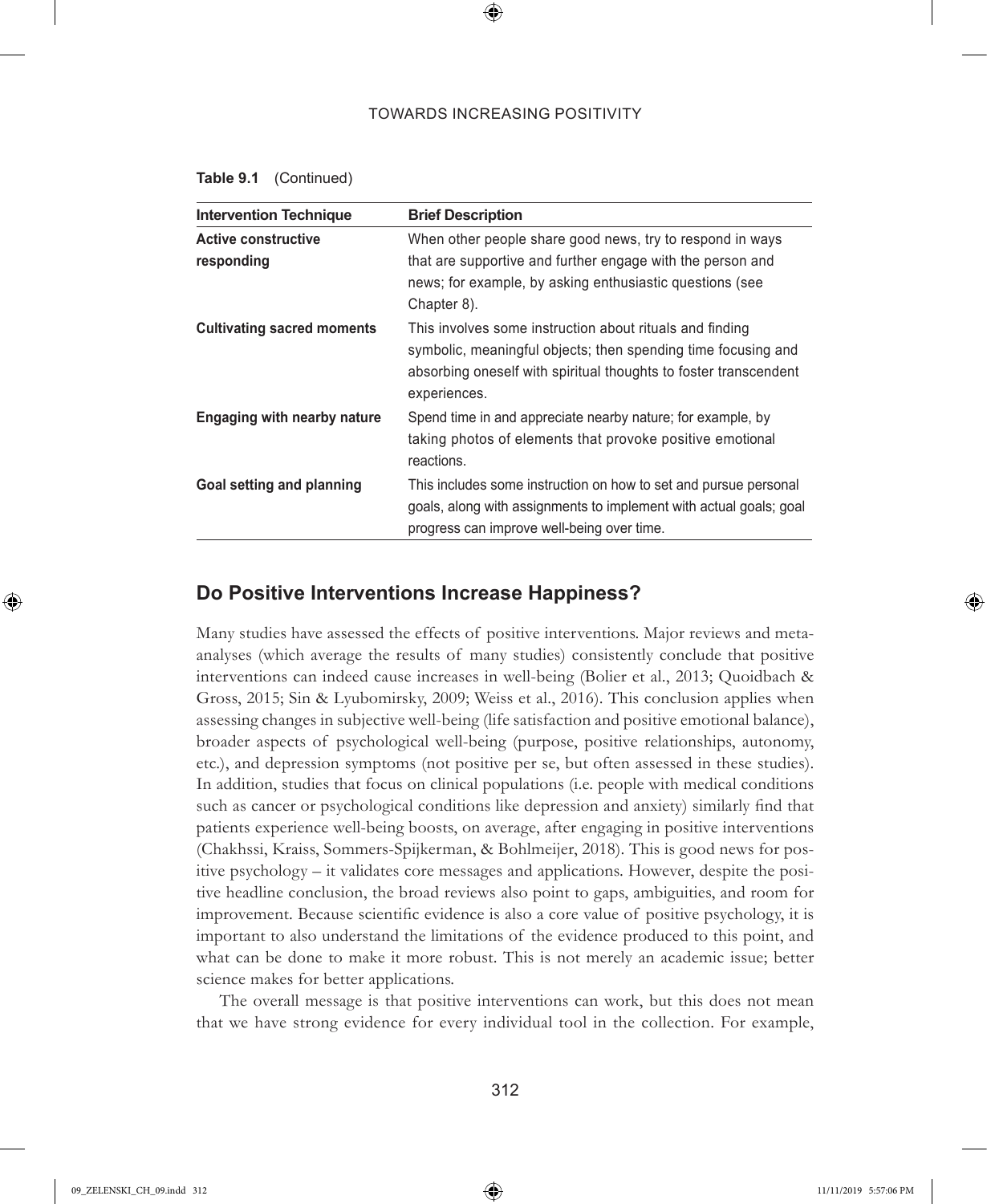⊕

| Table 9.1 | (Continued) |
|-----------|-------------|
|-----------|-------------|

| <b>Intervention Technique</b>            | <b>Brief Description</b>                                                                                                                                                                                      |
|------------------------------------------|---------------------------------------------------------------------------------------------------------------------------------------------------------------------------------------------------------------|
| <b>Active constructive</b><br>responding | When other people share good news, try to respond in ways<br>that are supportive and further engage with the person and<br>news; for example, by asking enthusiastic questions (see<br>Chapter 8).            |
| <b>Cultivating sacred moments</b>        | This involves some instruction about rituals and finding<br>symbolic, meaningful objects; then spending time focusing and<br>absorbing oneself with spiritual thoughts to foster transcendent<br>experiences. |
| <b>Engaging with nearby nature</b>       | Spend time in and appreciate nearby nature; for example, by<br>taking photos of elements that provoke positive emotional<br>reactions.                                                                        |
| Goal setting and planning                | This includes some instruction on how to set and pursue personal<br>goals, along with assignments to implement with actual goals; goal<br>progress can improve well-being over time.                          |

### **Do Positive Interventions Increase Happiness?**

Many studies have assessed the effects of positive interventions. Major reviews and metaanalyses (which average the results of many studies) consistently conclude that positive interventions can indeed cause increases in well-being (Bolier et al., 2013; Quoidbach & Gross, 2015; Sin & Lyubomirsky, 2009; Weiss et al., 2016). This conclusion applies when assessing changes in subjective well-being (life satisfaction and positive emotional balance), broader aspects of psychological well-being (purpose, positive relationships, autonomy, etc.), and depression symptoms (not positive per se, but often assessed in these studies). In addition, studies that focus on clinical populations (i.e. people with medical conditions such as cancer or psychological conditions like depression and anxiety) similarly find that patients experience well-being boosts, on average, after engaging in positive interventions (Chakhssi, Kraiss, Sommers-Spijkerman, & Bohlmeijer, 2018). This is good news for positive psychology – it validates core messages and applications. However, despite the positive headline conclusion, the broad reviews also point to gaps, ambiguities, and room for improvement. Because scientific evidence is also a core value of positive psychology, it is important to also understand the limitations of the evidence produced to this point, and what can be done to make it more robust. This is not merely an academic issue; better science makes for better applications.

The overall message is that positive interventions can work, but this does not mean that we have strong evidence for every individual tool in the collection. For example,

♠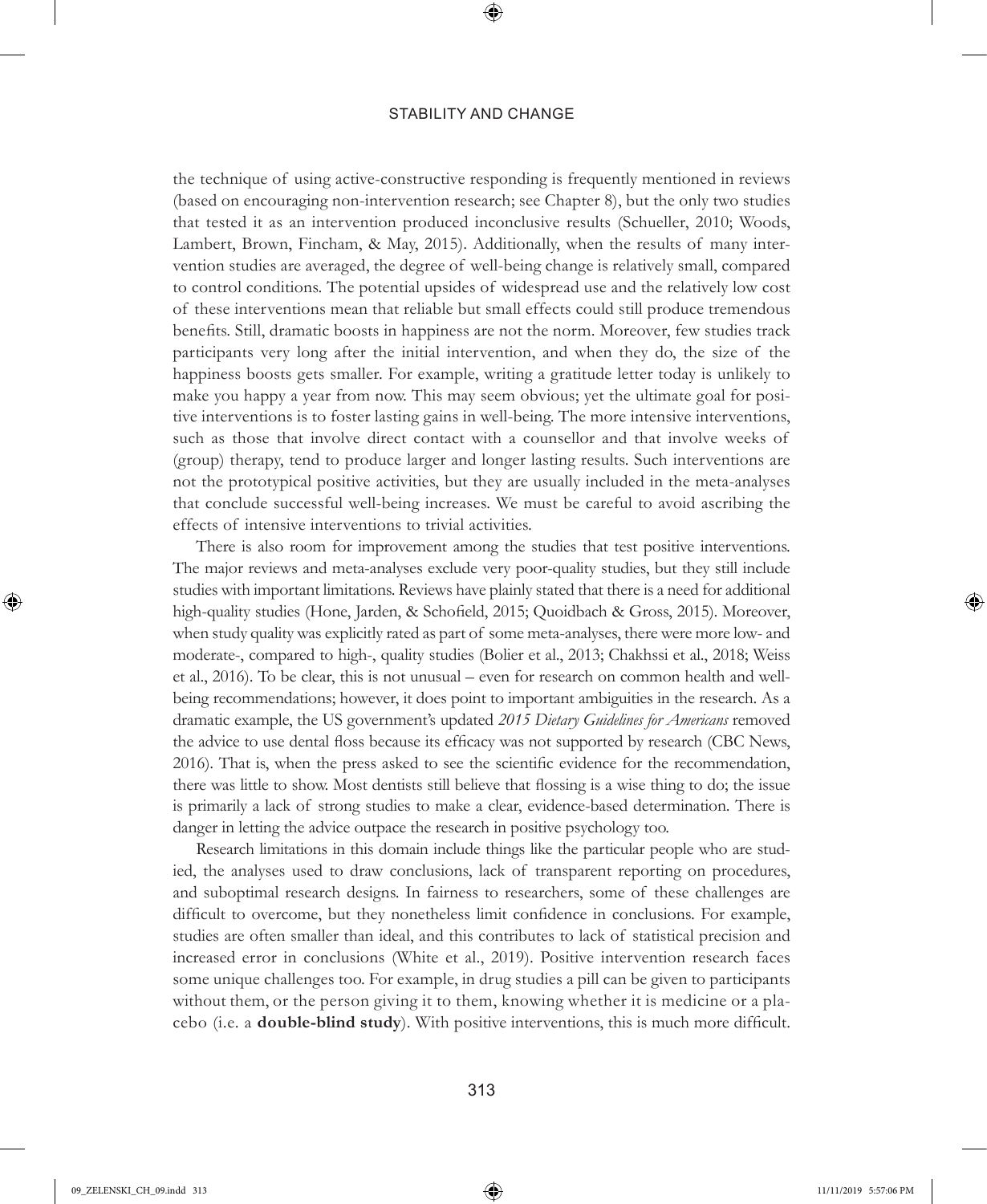⊕

the technique of using active-constructive responding is frequently mentioned in reviews (based on encouraging non-intervention research; see Chapter 8), but the only two studies that tested it as an intervention produced inconclusive results (Schueller, 2010; Woods, Lambert, Brown, Fincham, & May, 2015). Additionally, when the results of many intervention studies are averaged, the degree of well-being change is relatively small, compared to control conditions. The potential upsides of widespread use and the relatively low cost of these interventions mean that reliable but small effects could still produce tremendous benefits. Still, dramatic boosts in happiness are not the norm. Moreover, few studies track participants very long after the initial intervention, and when they do, the size of the happiness boosts gets smaller. For example, writing a gratitude letter today is unlikely to make you happy a year from now. This may seem obvious; yet the ultimate goal for positive interventions is to foster lasting gains in well-being. The more intensive interventions, such as those that involve direct contact with a counsellor and that involve weeks of (group) therapy, tend to produce larger and longer lasting results. Such interventions are not the prototypical positive activities, but they are usually included in the meta-analyses that conclude successful well-being increases. We must be careful to avoid ascribing the effects of intensive interventions to trivial activities.

There is also room for improvement among the studies that test positive interventions. The major reviews and meta-analyses exclude very poor-quality studies, but they still include studies with important limitations. Reviews have plainly stated that there is a need for additional high-quality studies (Hone, Jarden, & Schofield, 2015; Quoidbach & Gross, 2015). Moreover, when study quality was explicitly rated as part of some meta-analyses, there were more low- and moderate-, compared to high-, quality studies (Bolier et al., 2013; Chakhssi et al., 2018; Weiss et al., 2016). To be clear, this is not unusual – even for research on common health and wellbeing recommendations; however, it does point to important ambiguities in the research. As a dramatic example, the US government's updated *2015 Dietary Guidelines for Americans* removed the advice to use dental floss because its efficacy was not supported by research (CBC News, 2016). That is, when the press asked to see the scientific evidence for the recommendation, there was little to show. Most dentists still believe that flossing is a wise thing to do; the issue is primarily a lack of strong studies to make a clear, evidence-based determination. There is danger in letting the advice outpace the research in positive psychology too.

Research limitations in this domain include things like the particular people who are studied, the analyses used to draw conclusions, lack of transparent reporting on procedures, and suboptimal research designs. In fairness to researchers, some of these challenges are difficult to overcome, but they nonetheless limit confidence in conclusions. For example, studies are often smaller than ideal, and this contributes to lack of statistical precision and increased error in conclusions (White et al., 2019). Positive intervention research faces some unique challenges too. For example, in drug studies a pill can be given to participants without them, or the person giving it to them, knowing whether it is medicine or a placebo (i.e. a **double-blind study**). With positive interventions, this is much more difficult.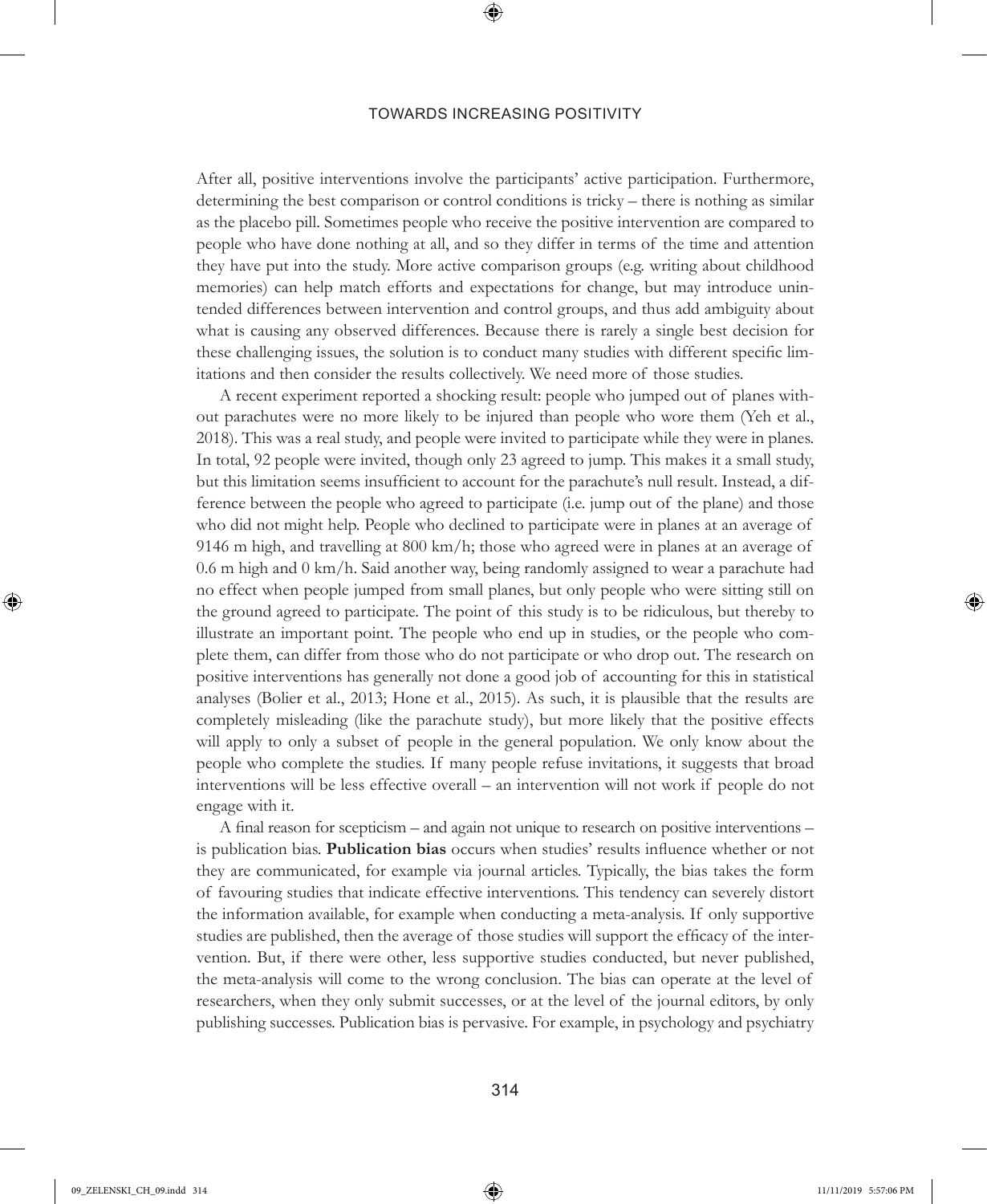⊕

After all, positive interventions involve the participants' active participation. Furthermore, determining the best comparison or control conditions is tricky – there is nothing as similar as the placebo pill. Sometimes people who receive the positive intervention are compared to people who have done nothing at all, and so they differ in terms of the time and attention they have put into the study. More active comparison groups (e.g. writing about childhood memories) can help match efforts and expectations for change, but may introduce unintended differences between intervention and control groups, and thus add ambiguity about what is causing any observed differences. Because there is rarely a single best decision for these challenging issues, the solution is to conduct many studies with different specific limitations and then consider the results collectively. We need more of those studies.

A recent experiment reported a shocking result: people who jumped out of planes without parachutes were no more likely to be injured than people who wore them (Yeh et al., 2018). This was a real study, and people were invited to participate while they were in planes. In total, 92 people were invited, though only 23 agreed to jump. This makes it a small study, but this limitation seems insufficient to account for the parachute's null result. Instead, a difference between the people who agreed to participate (i.e. jump out of the plane) and those who did not might help. People who declined to participate were in planes at an average of 9146 m high, and travelling at 800 km/h; those who agreed were in planes at an average of 0.6 m high and 0 km/h. Said another way, being randomly assigned to wear a parachute had no effect when people jumped from small planes, but only people who were sitting still on the ground agreed to participate. The point of this study is to be ridiculous, but thereby to illustrate an important point. The people who end up in studies, or the people who complete them, can differ from those who do not participate or who drop out. The research on positive interventions has generally not done a good job of accounting for this in statistical analyses (Bolier et al., 2013; Hone et al., 2015). As such, it is plausible that the results are completely misleading (like the parachute study), but more likely that the positive effects will apply to only a subset of people in the general population. We only know about the people who complete the studies. If many people refuse invitations, it suggests that broad interventions will be less effective overall – an intervention will not work if people do not engage with it.

A final reason for scepticism – and again not unique to research on positive interventions – is publication bias. **Publication bias** occurs when studies' results influence whether or not they are communicated, for example via journal articles. Typically, the bias takes the form of favouring studies that indicate effective interventions. This tendency can severely distort the information available, for example when conducting a meta-analysis. If only supportive studies are published, then the average of those studies will support the efficacy of the intervention. But, if there were other, less supportive studies conducted, but never published, the meta-analysis will come to the wrong conclusion. The bias can operate at the level of researchers, when they only submit successes, or at the level of the journal editors, by only publishing successes. Publication bias is pervasive. For example, in psychology and psychiatry

09\_ZELENSKI\_CH\_09.indd 314 11/11/2019 5:57:06 PM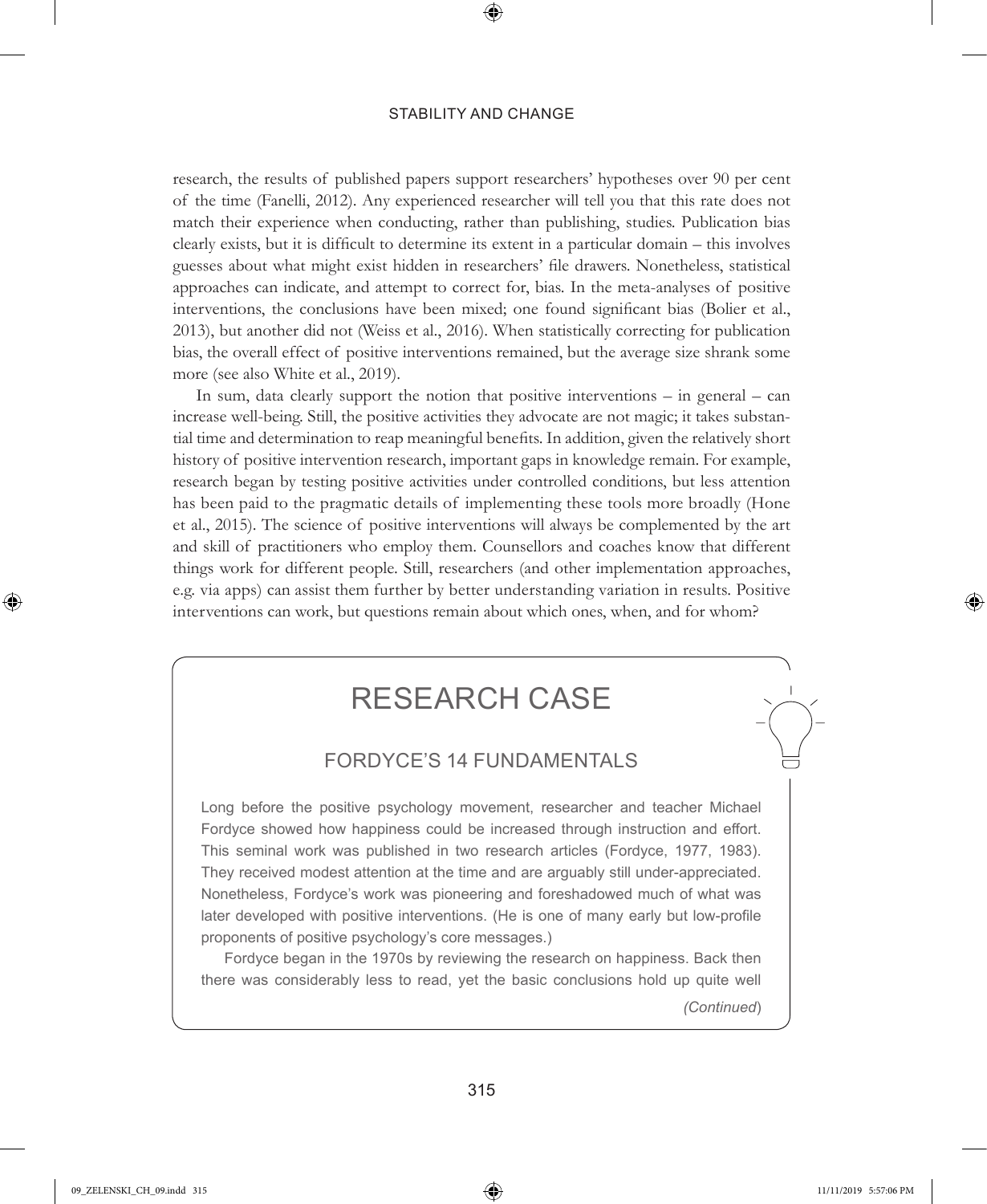⊕

research, the results of published papers support researchers' hypotheses over 90 per cent of the time (Fanelli, 2012). Any experienced researcher will tell you that this rate does not match their experience when conducting, rather than publishing, studies. Publication bias clearly exists, but it is difficult to determine its extent in a particular domain – this involves guesses about what might exist hidden in researchers' file drawers. Nonetheless, statistical approaches can indicate, and attempt to correct for, bias. In the meta-analyses of positive interventions, the conclusions have been mixed; one found significant bias (Bolier et al., 2013), but another did not (Weiss et al., 2016). When statistically correcting for publication bias, the overall effect of positive interventions remained, but the average size shrank some more (see also White et al., 2019).

In sum, data clearly support the notion that positive interventions – in general – can increase well-being. Still, the positive activities they advocate are not magic; it takes substantial time and determination to reap meaningful benefits. In addition, given the relatively short history of positive intervention research, important gaps in knowledge remain. For example, research began by testing positive activities under controlled conditions, but less attention has been paid to the pragmatic details of implementing these tools more broadly (Hone et al., 2015). The science of positive interventions will always be complemented by the art and skill of practitioners who employ them. Counsellors and coaches know that different things work for different people. Still, researchers (and other implementation approaches, e.g. via apps) can assist them further by better understanding variation in results. Positive interventions can work, but questions remain about which ones, when, and for whom?

### RESEARCH CASE

### FORDYCE'S 14 FUNDAMENTALS

Long before the positive psychology movement, researcher and teacher Michael Fordyce showed how happiness could be increased through instruction and effort. This seminal work was published in two research articles (Fordyce, 1977, 1983). They received modest attention at the time and are arguably still under-appreciated. Nonetheless, Fordyce's work was pioneering and foreshadowed much of what was later developed with positive interventions. (He is one of many early but low-profile proponents of positive psychology's core messages.)

Fordyce began in the 1970s by reviewing the research on happiness. Back then there was considerably less to read, yet the basic conclusions hold up quite well

*(Continued*)

⊕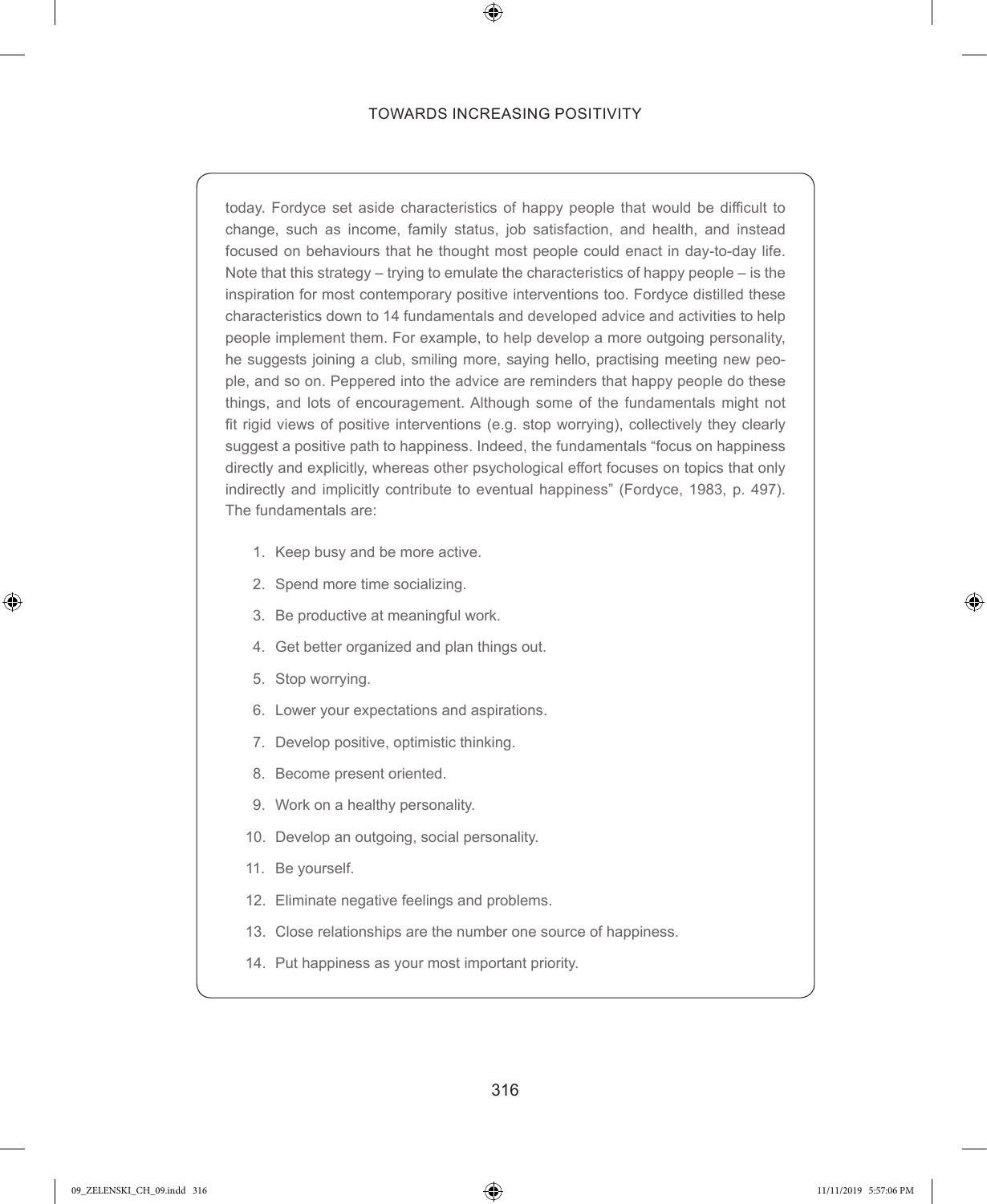$\bigoplus$ 

today. Fordyce set aside characteristics of happy people that would be difficult to change, such as income, family status, job satisfaction, and health, and instead focused on behaviours that he thought most people could enact in day-to-day life. Note that this strategy – trying to emulate the characteristics of happy people – is the inspiration for most contemporary positive interventions too. Fordyce distilled these characteristics down to 14 fundamentals and developed advice and activities to help people implement them. For example, to help develop a more outgoing personality, he suggests joining a club, smiling more, saying hello, practising meeting new people, and so on. Peppered into the advice are reminders that happy people do these things, and lots of encouragement. Although some of the fundamentals might not fit rigid views of positive interventions (e.g. stop worrying), collectively they clearly suggest a positive path to happiness. Indeed, the fundamentals "focus on happiness directly and explicitly, whereas other psychological effort focuses on topics that only indirectly and implicitly contribute to eventual happiness" (Fordyce, 1983, p. 497). The fundamentals are:

- 1. Keep busy and be more active.
- 2. Spend more time socializing.
- 3. Be productive at meaningful work.
- 4. Get better organized and plan things out.
- 5. Stop worrying.
- 6. Lower your expectations and aspirations.
- 7. Develop positive, optimistic thinking.
- 8. Become present oriented.
- 9. Work on a healthy personality.
- 10. Develop an outgoing, social personality.
- 11. Be yourself.
- 12. Eliminate negative feelings and problems.
- 13. Close relationships are the number one source of happiness.
- 14. Put happiness as your most important priority.

⊕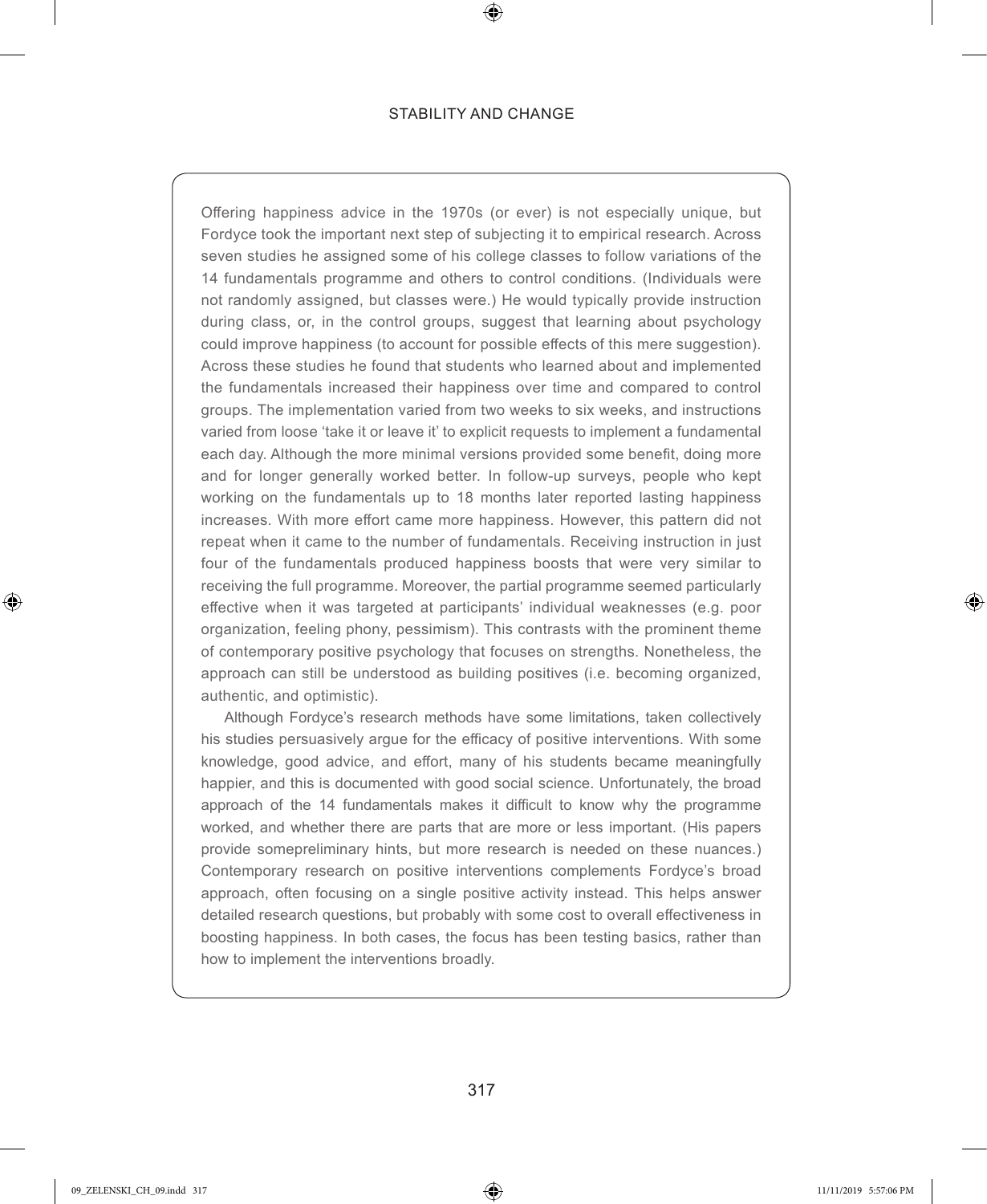⊕

Offering happiness advice in the 1970s (or ever) is not especially unique, but Fordyce took the important next step of subjecting it to empirical research. Across seven studies he assigned some of his college classes to follow variations of the 14 fundamentals programme and others to control conditions. (Individuals were not randomly assigned, but classes were.) He would typically provide instruction during class, or, in the control groups, suggest that learning about psychology could improve happiness (to account for possible effects of this mere suggestion). Across these studies he found that students who learned about and implemented the fundamentals increased their happiness over time and compared to control groups. The implementation varied from two weeks to six weeks, and instructions varied from loose 'take it or leave it' to explicit requests to implement a fundamental each day. Although the more minimal versions provided some benefit, doing more and for longer generally worked better. In follow-up surveys, people who kept working on the fundamentals up to 18 months later reported lasting happiness increases. With more effort came more happiness. However, this pattern did not repeat when it came to the number of fundamentals. Receiving instruction in just four of the fundamentals produced happiness boosts that were very similar to receiving the full programme. Moreover, the partial programme seemed particularly effective when it was targeted at participants' individual weaknesses (e.g. poor organization, feeling phony, pessimism). This contrasts with the prominent theme of contemporary positive psychology that focuses on strengths. Nonetheless, the approach can still be understood as building positives (i.e. becoming organized, authentic, and optimistic).

Although Fordyce's research methods have some limitations, taken collectively his studies persuasively argue for the efficacy of positive interventions. With some knowledge, good advice, and effort, many of his students became meaningfully happier, and this is documented with good social science. Unfortunately, the broad approach of the 14 fundamentals makes it difficult to know why the programme worked, and whether there are parts that are more or less important. (His papers provide somepreliminary hints, but more research is needed on these nuances.) Contemporary research on positive interventions complements Fordyce's broad approach, often focusing on a single positive activity instead. This helps answer detailed research questions, but probably with some cost to overall effectiveness in boosting happiness. In both cases, the focus has been testing basics, rather than how to implement the interventions broadly.

♠

♠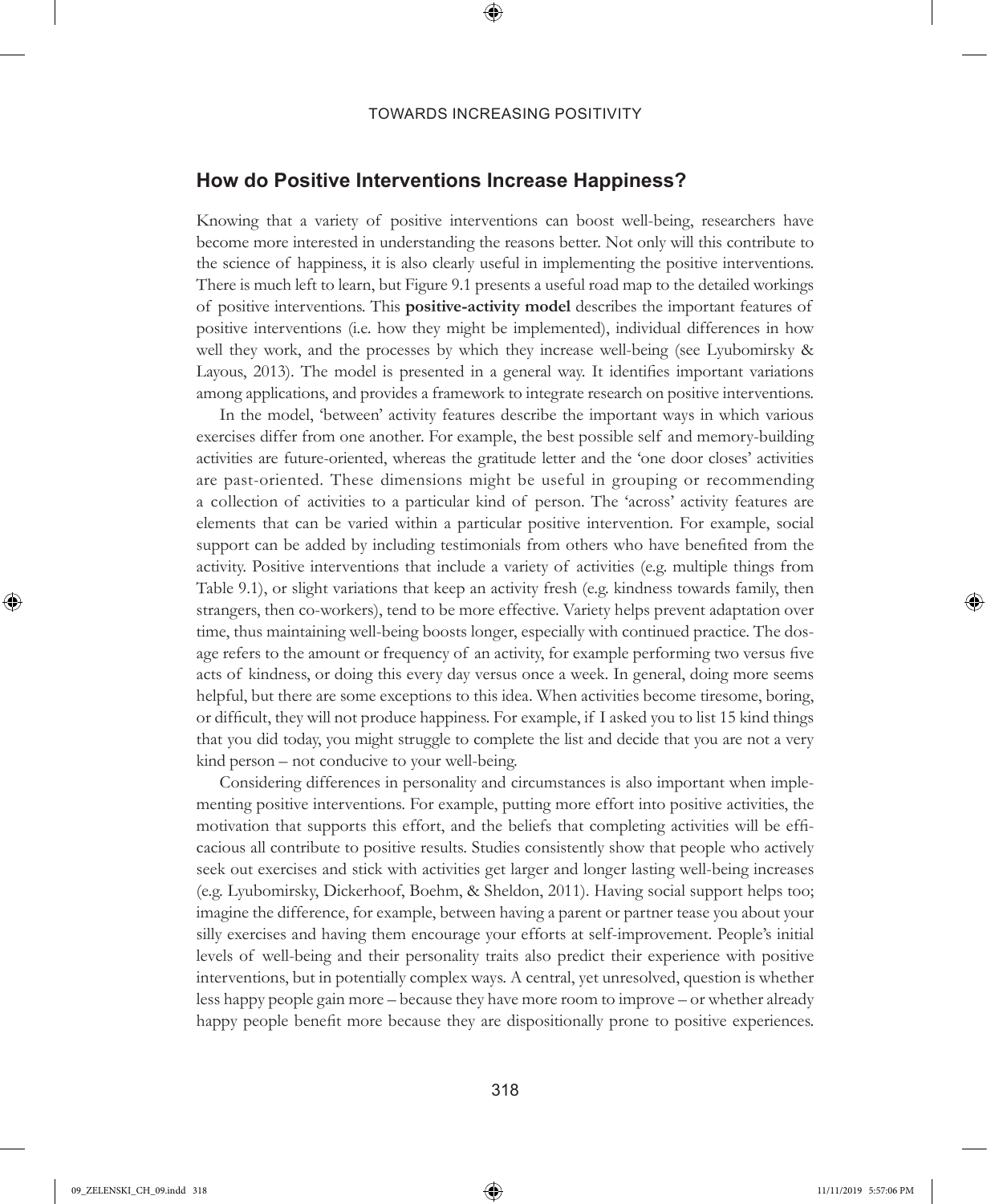⊕

### **How do Positive Interventions Increase Happiness?**

Knowing that a variety of positive interventions can boost well-being, researchers have become more interested in understanding the reasons better. Not only will this contribute to the science of happiness, it is also clearly useful in implementing the positive interventions. There is much left to learn, but Figure 9.1 presents a useful road map to the detailed workings of positive interventions. This **positive-activity model** describes the important features of positive interventions (i.e. how they might be implemented), individual differences in how well they work, and the processes by which they increase well-being (see Lyubomirsky & Layous, 2013). The model is presented in a general way. It identifies important variations among applications, and provides a framework to integrate research on positive interventions.

In the model, 'between' activity features describe the important ways in which various exercises differ from one another. For example, the best possible self and memory-building activities are future-oriented, whereas the gratitude letter and the 'one door closes' activities are past-oriented. These dimensions might be useful in grouping or recommending a collection of activities to a particular kind of person. The 'across' activity features are elements that can be varied within a particular positive intervention. For example, social support can be added by including testimonials from others who have benefited from the activity. Positive interventions that include a variety of activities (e.g. multiple things from Table 9.1), or slight variations that keep an activity fresh (e.g. kindness towards family, then strangers, then co-workers), tend to be more effective. Variety helps prevent adaptation over time, thus maintaining well-being boosts longer, especially with continued practice. The dosage refers to the amount or frequency of an activity, for example performing two versus five acts of kindness, or doing this every day versus once a week. In general, doing more seems helpful, but there are some exceptions to this idea. When activities become tiresome, boring, or difficult, they will not produce happiness. For example, if I asked you to list 15 kind things that you did today, you might struggle to complete the list and decide that you are not a very kind person – not conducive to your well-being.

Considering differences in personality and circumstances is also important when implementing positive interventions. For example, putting more effort into positive activities, the motivation that supports this effort, and the beliefs that completing activities will be efficacious all contribute to positive results. Studies consistently show that people who actively seek out exercises and stick with activities get larger and longer lasting well-being increases (e.g. Lyubomirsky, Dickerhoof, Boehm, & Sheldon, 2011). Having social support helps too; imagine the difference, for example, between having a parent or partner tease you about your silly exercises and having them encourage your efforts at self-improvement. People's initial levels of well-being and their personality traits also predict their experience with positive interventions, but in potentially complex ways. A central, yet unresolved, question is whether less happy people gain more – because they have more room to improve – or whether already happy people benefit more because they are dispositionally prone to positive experiences.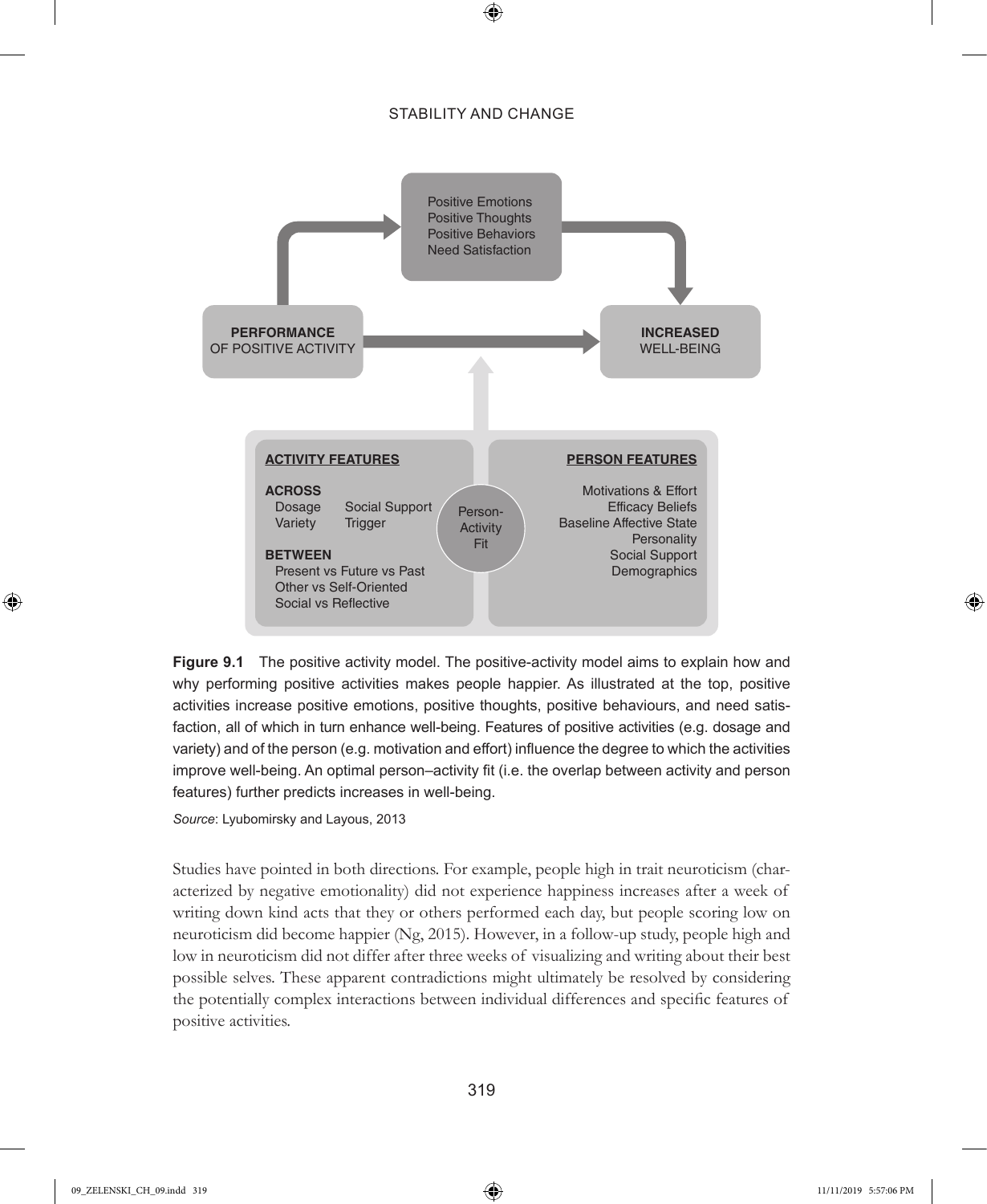⊕



**Figure 9.1** The positive activity model. The positive-activity model aims to explain how and why performing positive activities makes people happier. As illustrated at the top, positive activities increase positive emotions, positive thoughts, positive behaviours, and need satisfaction, all of which in turn enhance well-being. Features of positive activities (e.g. dosage and variety) and of the person (e.g. motivation and effort) influence the degree to which the activities improve well-being. An optimal person–activity fit (i.e. the overlap between activity and person features) further predicts increases in well-being.

*Source*: Lyubomirsky and Layous, 2013

Studies have pointed in both directions. For example, people high in trait neuroticism (characterized by negative emotionality) did not experience happiness increases after a week of writing down kind acts that they or others performed each day, but people scoring low on neuroticism did become happier (Ng, 2015). However, in a follow-up study, people high and low in neuroticism did not differ after three weeks of visualizing and writing about their best possible selves. These apparent contradictions might ultimately be resolved by considering the potentially complex interactions between individual differences and specific features of positive activities.

⊕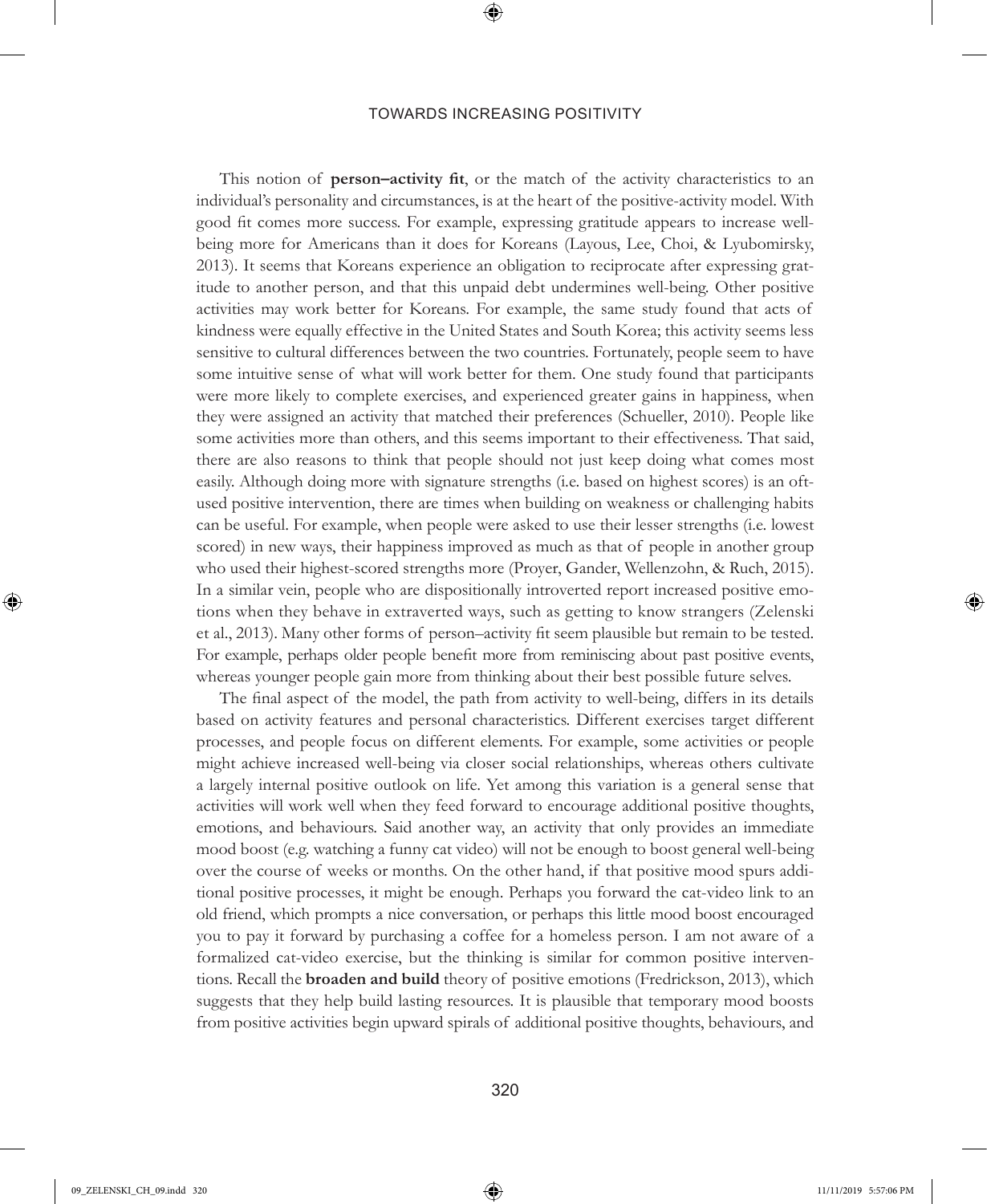⊕

This notion of **person–activity fit**, or the match of the activity characteristics to an individual's personality and circumstances, is at the heart of the positive-activity model. With good fit comes more success. For example, expressing gratitude appears to increase wellbeing more for Americans than it does for Koreans (Layous, Lee, Choi, & Lyubomirsky, 2013). It seems that Koreans experience an obligation to reciprocate after expressing gratitude to another person, and that this unpaid debt undermines well-being. Other positive activities may work better for Koreans. For example, the same study found that acts of kindness were equally effective in the United States and South Korea; this activity seems less sensitive to cultural differences between the two countries. Fortunately, people seem to have some intuitive sense of what will work better for them. One study found that participants were more likely to complete exercises, and experienced greater gains in happiness, when they were assigned an activity that matched their preferences (Schueller, 2010). People like some activities more than others, and this seems important to their effectiveness. That said, there are also reasons to think that people should not just keep doing what comes most easily. Although doing more with signature strengths (i.e. based on highest scores) is an oftused positive intervention, there are times when building on weakness or challenging habits can be useful. For example, when people were asked to use their lesser strengths (i.e. lowest scored) in new ways, their happiness improved as much as that of people in another group who used their highest-scored strengths more (Proyer, Gander, Wellenzohn, & Ruch, 2015). In a similar vein, people who are dispositionally introverted report increased positive emotions when they behave in extraverted ways, such as getting to know strangers (Zelenski et al., 2013). Many other forms of person–activity fit seem plausible but remain to be tested. For example, perhaps older people benefit more from reminiscing about past positive events, whereas younger people gain more from thinking about their best possible future selves.

The final aspect of the model, the path from activity to well-being, differs in its details based on activity features and personal characteristics. Different exercises target different processes, and people focus on different elements. For example, some activities or people might achieve increased well-being via closer social relationships, whereas others cultivate a largely internal positive outlook on life. Yet among this variation is a general sense that activities will work well when they feed forward to encourage additional positive thoughts, emotions, and behaviours. Said another way, an activity that only provides an immediate mood boost (e.g. watching a funny cat video) will not be enough to boost general well-being over the course of weeks or months. On the other hand, if that positive mood spurs additional positive processes, it might be enough. Perhaps you forward the cat-video link to an old friend, which prompts a nice conversation, or perhaps this little mood boost encouraged you to pay it forward by purchasing a coffee for a homeless person. I am not aware of a formalized cat-video exercise, but the thinking is similar for common positive interventions. Recall the **broaden and build** theory of positive emotions (Fredrickson, 2013), which suggests that they help build lasting resources. It is plausible that temporary mood boosts from positive activities begin upward spirals of additional positive thoughts, behaviours, and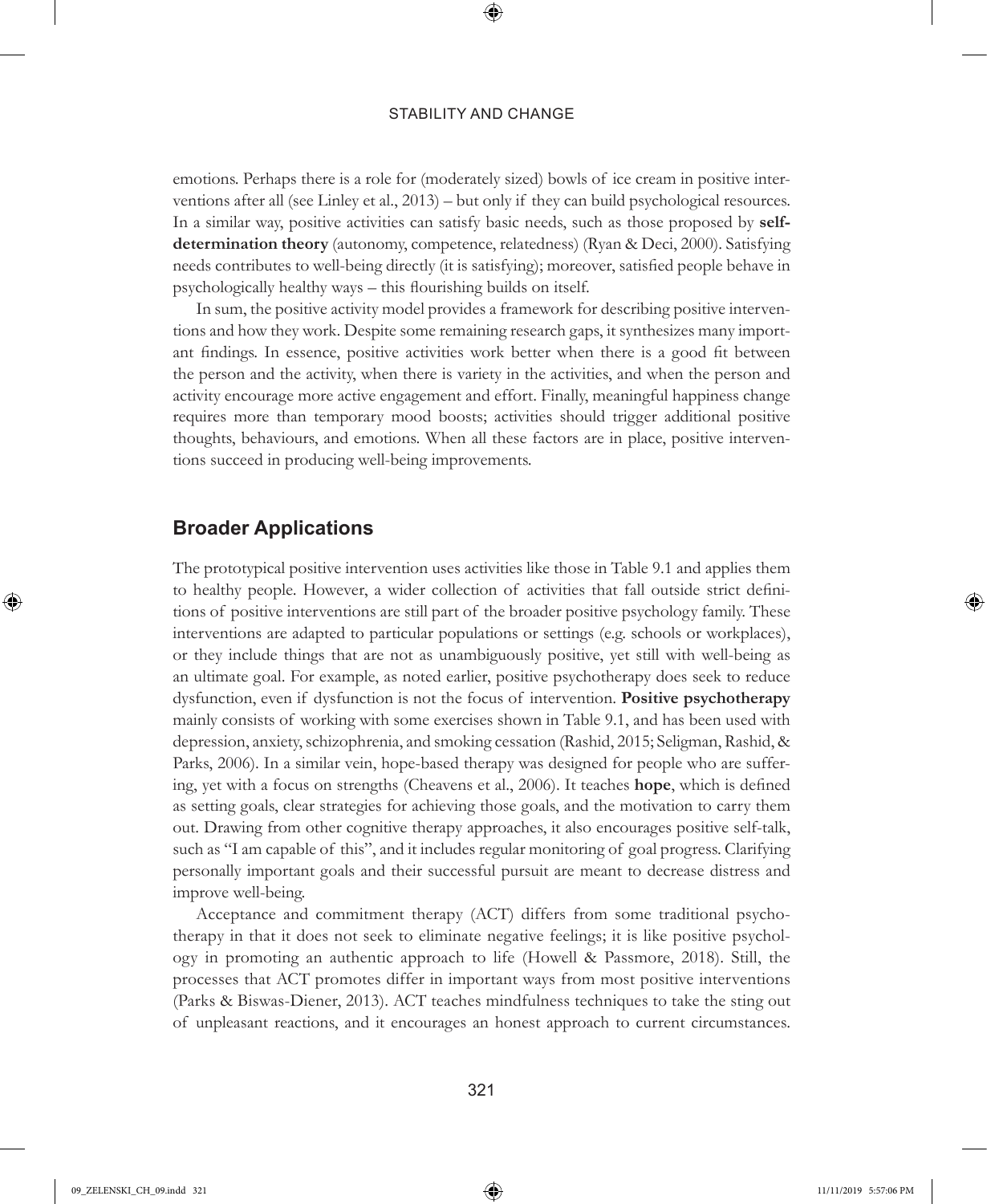⊕

emotions. Perhaps there is a role for (moderately sized) bowls of ice cream in positive interventions after all (see Linley et al., 2013) – but only if they can build psychological resources. In a similar way, positive activities can satisfy basic needs, such as those proposed by **selfdetermination theory** (autonomy, competence, relatedness) (Ryan & Deci, 2000). Satisfying needs contributes to well-being directly (it is satisfying); moreover, satisfied people behave in psychologically healthy ways – this flourishing builds on itself.

In sum, the positive activity model provides a framework for describing positive interventions and how they work. Despite some remaining research gaps, it synthesizes many important findings. In essence, positive activities work better when there is a good fit between the person and the activity, when there is variety in the activities, and when the person and activity encourage more active engagement and effort. Finally, meaningful happiness change requires more than temporary mood boosts; activities should trigger additional positive thoughts, behaviours, and emotions. When all these factors are in place, positive interventions succeed in producing well-being improvements.

### **Broader Applications**

The prototypical positive intervention uses activities like those in Table 9.1 and applies them to healthy people. However, a wider collection of activities that fall outside strict definitions of positive interventions are still part of the broader positive psychology family. These interventions are adapted to particular populations or settings (e.g. schools or workplaces), or they include things that are not as unambiguously positive, yet still with well-being as an ultimate goal. For example, as noted earlier, positive psychotherapy does seek to reduce dysfunction, even if dysfunction is not the focus of intervention. **Positive psychotherapy** mainly consists of working with some exercises shown in Table 9.1, and has been used with depression, anxiety, schizophrenia, and smoking cessation (Rashid, 2015; Seligman, Rashid, & Parks, 2006). In a similar vein, hope-based therapy was designed for people who are suffering, yet with a focus on strengths (Cheavens et al., 2006). It teaches **hope**, which is defined as setting goals, clear strategies for achieving those goals, and the motivation to carry them out. Drawing from other cognitive therapy approaches, it also encourages positive self-talk, such as "I am capable of this", and it includes regular monitoring of goal progress. Clarifying personally important goals and their successful pursuit are meant to decrease distress and improve well-being.

Acceptance and commitment therapy (ACT) differs from some traditional psychotherapy in that it does not seek to eliminate negative feelings; it is like positive psychology in promoting an authentic approach to life (Howell & Passmore, 2018). Still, the processes that ACT promotes differ in important ways from most positive interventions (Parks & Biswas-Diener, 2013). ACT teaches mindfulness techniques to take the sting out of unpleasant reactions, and it encourages an honest approach to current circumstances.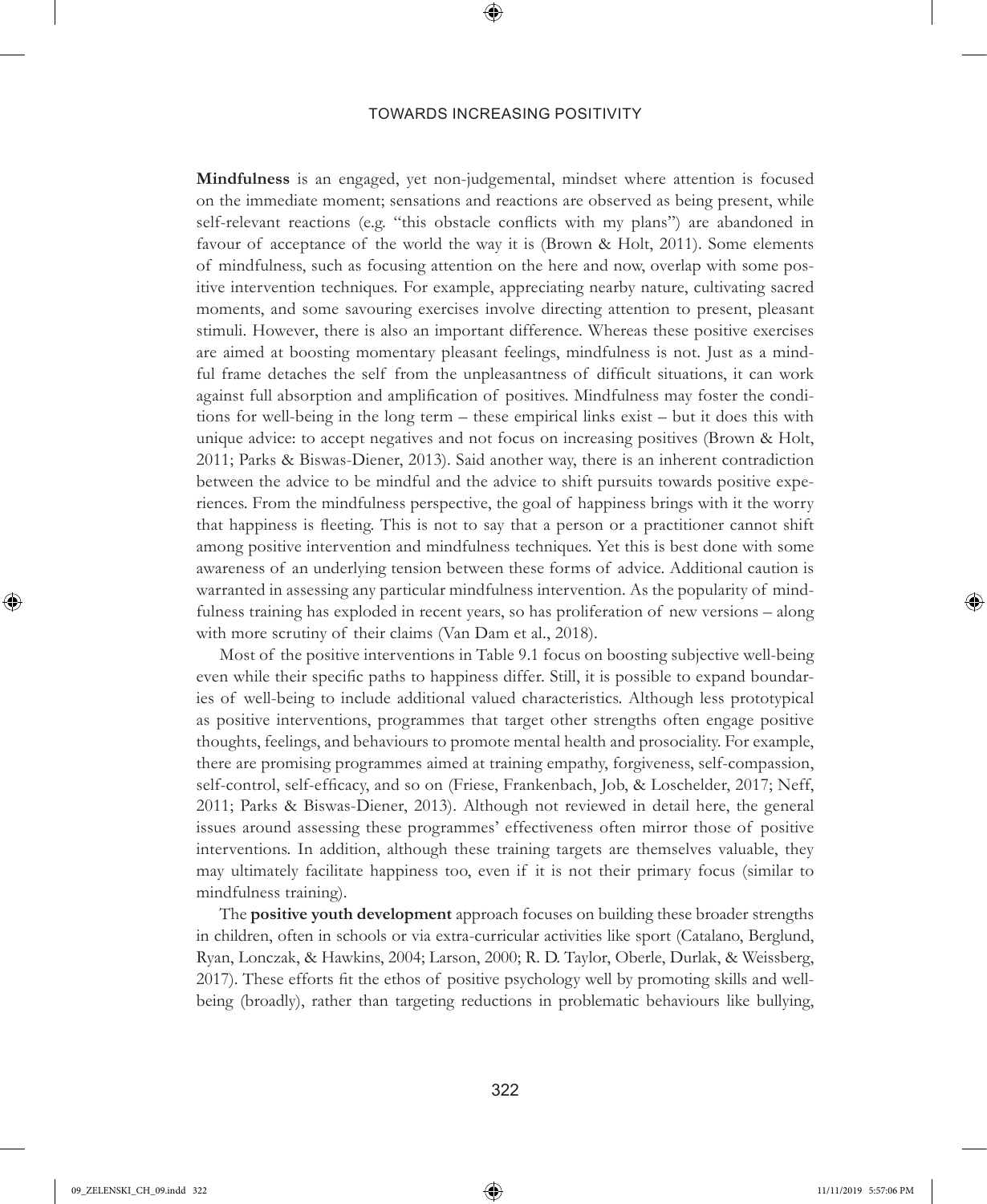⊕

**Mindfulness** is an engaged, yet non-judgemental, mindset where attention is focused on the immediate moment; sensations and reactions are observed as being present, while self-relevant reactions (e.g. "this obstacle conflicts with my plans") are abandoned in favour of acceptance of the world the way it is (Brown & Holt, 2011). Some elements of mindfulness, such as focusing attention on the here and now, overlap with some positive intervention techniques. For example, appreciating nearby nature, cultivating sacred moments, and some savouring exercises involve directing attention to present, pleasant stimuli. However, there is also an important difference. Whereas these positive exercises are aimed at boosting momentary pleasant feelings, mindfulness is not. Just as a mindful frame detaches the self from the unpleasantness of difficult situations, it can work against full absorption and amplification of positives. Mindfulness may foster the conditions for well-being in the long term – these empirical links exist – but it does this with unique advice: to accept negatives and not focus on increasing positives (Brown & Holt, 2011; Parks & Biswas-Diener, 2013). Said another way, there is an inherent contradiction between the advice to be mindful and the advice to shift pursuits towards positive experiences. From the mindfulness perspective, the goal of happiness brings with it the worry that happiness is fleeting. This is not to say that a person or a practitioner cannot shift among positive intervention and mindfulness techniques. Yet this is best done with some awareness of an underlying tension between these forms of advice. Additional caution is warranted in assessing any particular mindfulness intervention. As the popularity of mindfulness training has exploded in recent years, so has proliferation of new versions – along with more scrutiny of their claims (Van Dam et al., 2018).

Most of the positive interventions in Table 9.1 focus on boosting subjective well-being even while their specific paths to happiness differ. Still, it is possible to expand boundaries of well-being to include additional valued characteristics. Although less prototypical as positive interventions, programmes that target other strengths often engage positive thoughts, feelings, and behaviours to promote mental health and prosociality. For example, there are promising programmes aimed at training empathy, forgiveness, self-compassion, self-control, self-efficacy, and so on (Friese, Frankenbach, Job, & Loschelder, 2017; Neff, 2011; Parks & Biswas-Diener, 2013). Although not reviewed in detail here, the general issues around assessing these programmes' effectiveness often mirror those of positive interventions. In addition, although these training targets are themselves valuable, they may ultimately facilitate happiness too, even if it is not their primary focus (similar to mindfulness training).

The **positive youth development** approach focuses on building these broader strengths in children, often in schools or via extra-curricular activities like sport (Catalano, Berglund, Ryan, Lonczak, & Hawkins, 2004; Larson, 2000; R. D. Taylor, Oberle, Durlak, & Weissberg, 2017). These efforts fit the ethos of positive psychology well by promoting skills and wellbeing (broadly), rather than targeting reductions in problematic behaviours like bullying,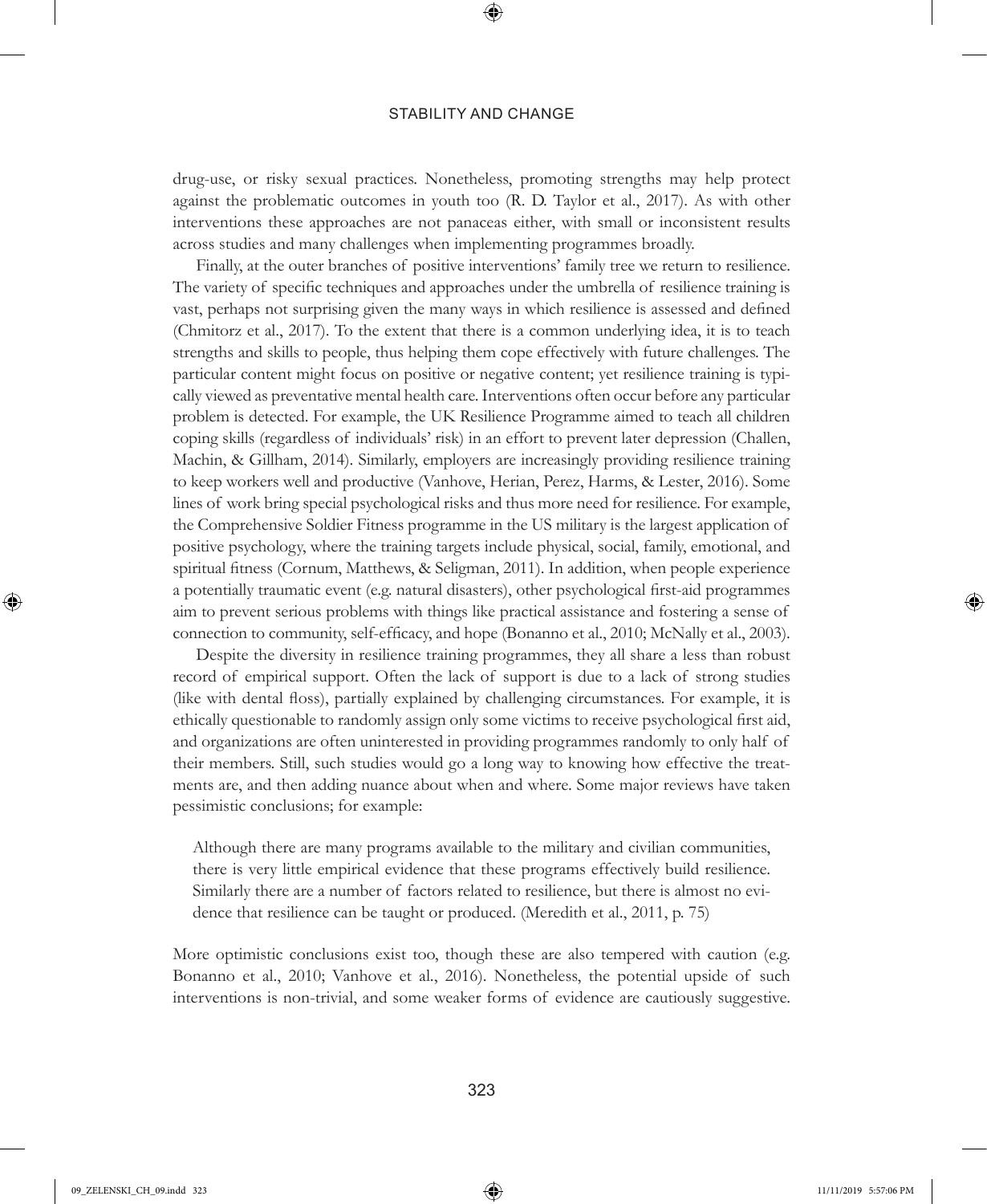⊕

drug-use, or risky sexual practices. Nonetheless, promoting strengths may help protect against the problematic outcomes in youth too (R. D. Taylor et al., 2017). As with other interventions these approaches are not panaceas either, with small or inconsistent results across studies and many challenges when implementing programmes broadly.

Finally, at the outer branches of positive interventions' family tree we return to resilience. The variety of specific techniques and approaches under the umbrella of resilience training is vast, perhaps not surprising given the many ways in which resilience is assessed and defined (Chmitorz et al., 2017). To the extent that there is a common underlying idea, it is to teach strengths and skills to people, thus helping them cope effectively with future challenges. The particular content might focus on positive or negative content; yet resilience training is typically viewed as preventative mental health care. Interventions often occur before any particular problem is detected. For example, the UK Resilience Programme aimed to teach all children coping skills (regardless of individuals' risk) in an effort to prevent later depression (Challen, Machin, & Gillham, 2014). Similarly, employers are increasingly providing resilience training to keep workers well and productive (Vanhove, Herian, Perez, Harms, & Lester, 2016). Some lines of work bring special psychological risks and thus more need for resilience. For example, the Comprehensive Soldier Fitness programme in the US military is the largest application of positive psychology, where the training targets include physical, social, family, emotional, and spiritual fitness (Cornum, Matthews, & Seligman, 2011). In addition, when people experience a potentially traumatic event (e.g. natural disasters), other psychological first-aid programmes aim to prevent serious problems with things like practical assistance and fostering a sense of connection to community, self-efficacy, and hope (Bonanno et al., 2010; McNally et al., 2003).

Despite the diversity in resilience training programmes, they all share a less than robust record of empirical support. Often the lack of support is due to a lack of strong studies (like with dental floss), partially explained by challenging circumstances. For example, it is ethically questionable to randomly assign only some victims to receive psychological first aid, and organizations are often uninterested in providing programmes randomly to only half of their members. Still, such studies would go a long way to knowing how effective the treatments are, and then adding nuance about when and where. Some major reviews have taken pessimistic conclusions; for example:

Although there are many programs available to the military and civilian communities, there is very little empirical evidence that these programs effectively build resilience. Similarly there are a number of factors related to resilience, but there is almost no evidence that resilience can be taught or produced. (Meredith et al., 2011, p. 75)

More optimistic conclusions exist too, though these are also tempered with caution (e.g. Bonanno et al., 2010; Vanhove et al., 2016). Nonetheless, the potential upside of such interventions is non-trivial, and some weaker forms of evidence are cautiously suggestive.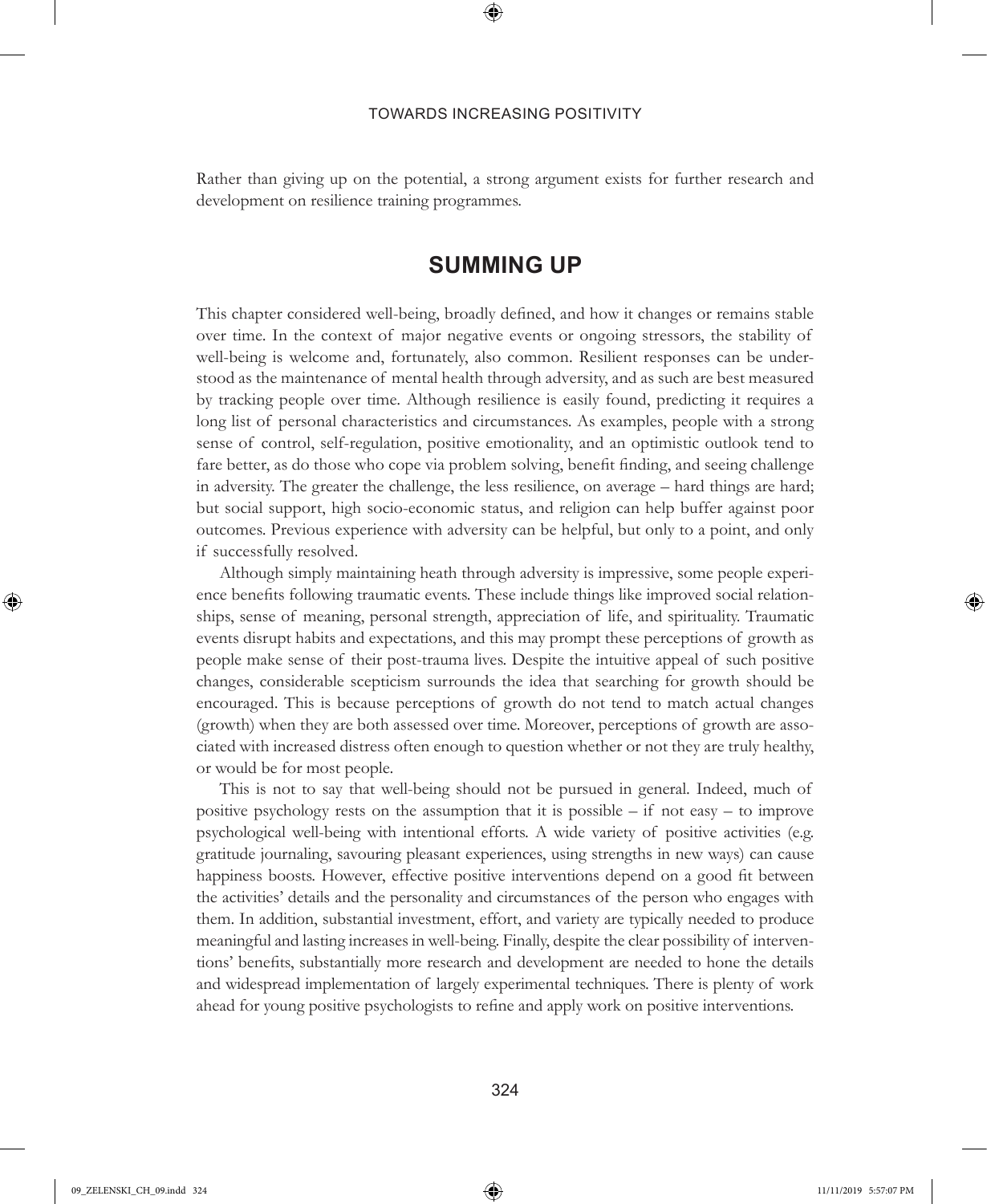⊕

Rather than giving up on the potential, a strong argument exists for further research and development on resilience training programmes.

### **SUMMING UP**

This chapter considered well-being, broadly defined, and how it changes or remains stable over time. In the context of major negative events or ongoing stressors, the stability of well-being is welcome and, fortunately, also common. Resilient responses can be understood as the maintenance of mental health through adversity, and as such are best measured by tracking people over time. Although resilience is easily found, predicting it requires a long list of personal characteristics and circumstances. As examples, people with a strong sense of control, self-regulation, positive emotionality, and an optimistic outlook tend to fare better, as do those who cope via problem solving, benefit finding, and seeing challenge in adversity. The greater the challenge, the less resilience, on average – hard things are hard; but social support, high socio-economic status, and religion can help buffer against poor outcomes. Previous experience with adversity can be helpful, but only to a point, and only if successfully resolved.

Although simply maintaining heath through adversity is impressive, some people experience benefits following traumatic events. These include things like improved social relationships, sense of meaning, personal strength, appreciation of life, and spirituality. Traumatic events disrupt habits and expectations, and this may prompt these perceptions of growth as people make sense of their post-trauma lives. Despite the intuitive appeal of such positive changes, considerable scepticism surrounds the idea that searching for growth should be encouraged. This is because perceptions of growth do not tend to match actual changes (growth) when they are both assessed over time. Moreover, perceptions of growth are associated with increased distress often enough to question whether or not they are truly healthy, or would be for most people.

This is not to say that well-being should not be pursued in general. Indeed, much of positive psychology rests on the assumption that it is possible – if not easy – to improve psychological well-being with intentional efforts. A wide variety of positive activities (e.g. gratitude journaling, savouring pleasant experiences, using strengths in new ways) can cause happiness boosts. However, effective positive interventions depend on a good fit between the activities' details and the personality and circumstances of the person who engages with them. In addition, substantial investment, effort, and variety are typically needed to produce meaningful and lasting increases in well-being. Finally, despite the clear possibility of interventions' benefits, substantially more research and development are needed to hone the details and widespread implementation of largely experimental techniques. There is plenty of work ahead for young positive psychologists to refine and apply work on positive interventions.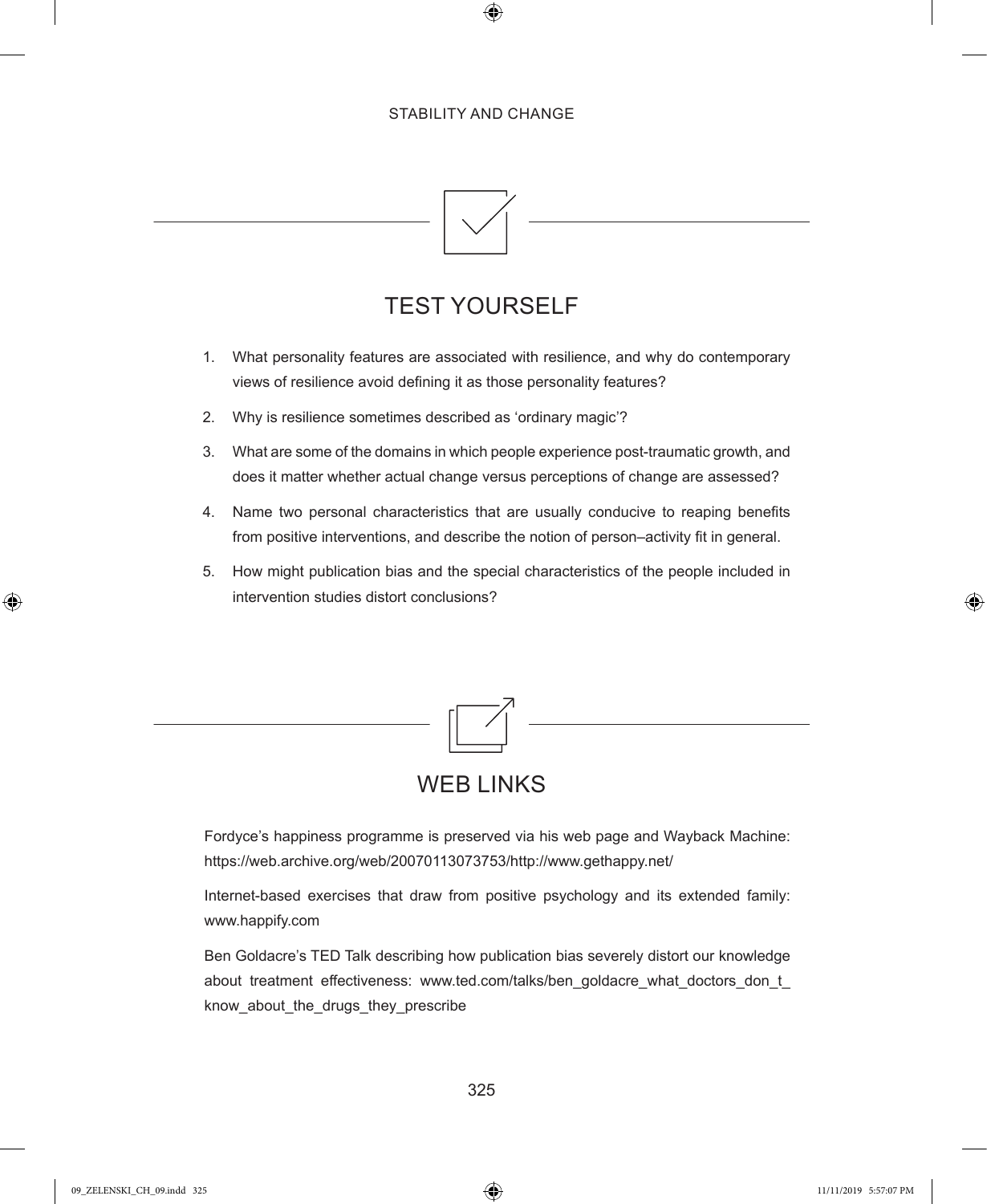$\bigoplus$ 



### TEST YOURSELF

- 1. What personality features are associated with resilience, and why do contemporary views of resilience avoid defining it as those personality features?
- 2. Why is resilience sometimes described as 'ordinary magic'?
- 3. What are some of the domains in which people experience post-traumatic growth, and does it matter whether actual change versus perceptions of change are assessed?
- 4. Name two personal characteristics that are usually conducive to reaping benefits from positive interventions, and describe the notion of person–activity fit in general.
- 5. How might publication bias and the special characteristics of the people included in intervention studies distort conclusions?



Fordyce's happiness programme is preserved via his web page and Wayback Machine: https://web.archive.org/web/20070113073753/http://www.gethappy.net/

Internet-based exercises that draw from positive psychology and its extended family: www.happify.com

Ben Goldacre's TED Talk describing how publication bias severely distort our knowledge about treatment effectiveness: www.ted.com/talks/ben\_goldacre\_what\_doctors\_don\_t know about the drugs they prescribe

♠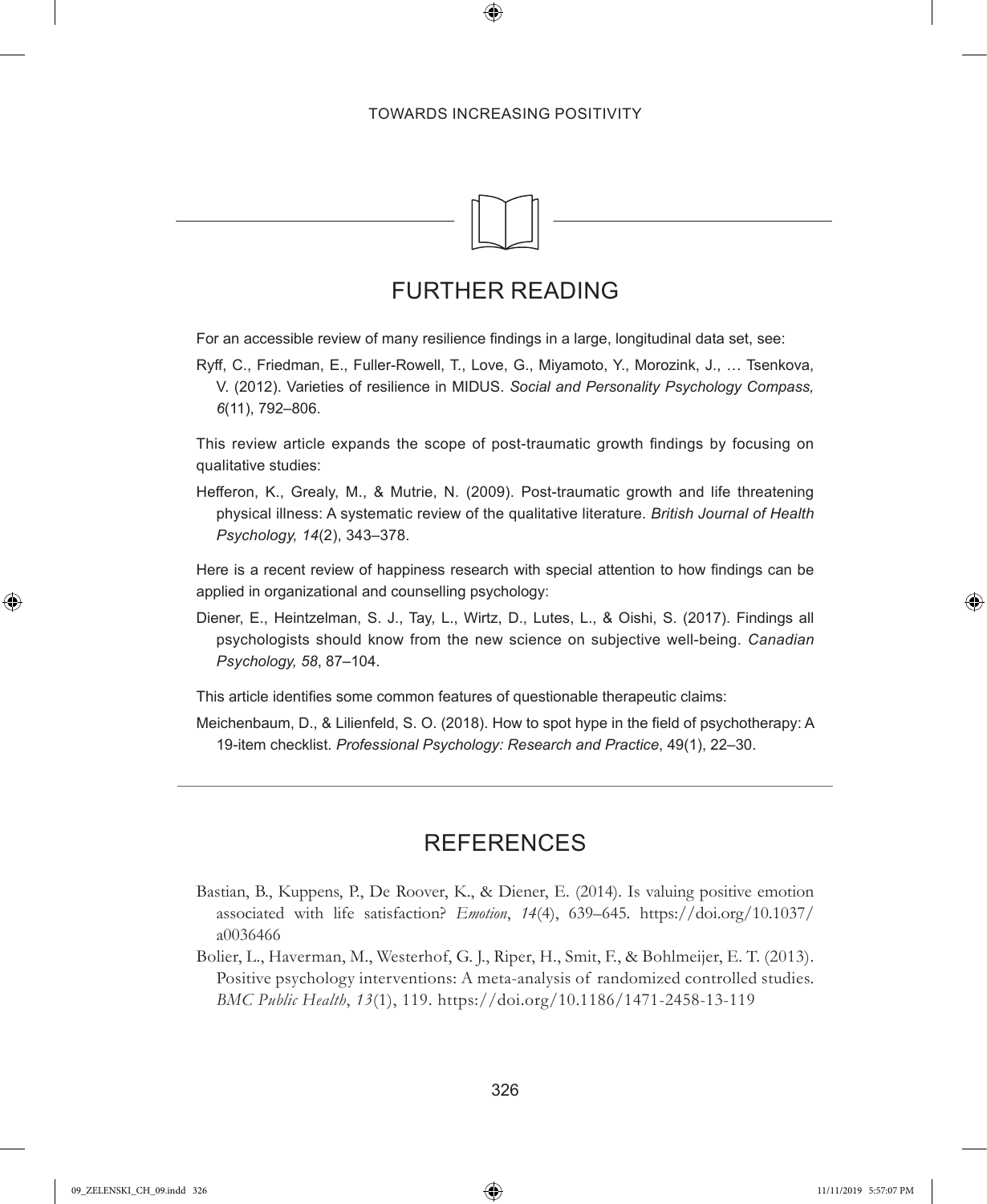⊕



### FURTHER READING

For an accessible review of many resilience findings in a large, longitudinal data set, see:

Ryff, C., Friedman, E., Fuller-Rowell, T., Love, G., Miyamoto, Y., Morozink, J., … Tsenkova, V. (2012). Varieties of resilience in MIDUS. *Social and Personality Psychology Compass, 6*(11), 792–806.

This review article expands the scope of post-traumatic growth findings by focusing on qualitative studies:

Hefferon, K., Grealy, M., & Mutrie, N. (2009). Post-traumatic growth and life threatening physical illness: A systematic review of the qualitative literature. *British Journal of Health Psychology, 14*(2), 343–378.

Here is a recent review of happiness research with special attention to how findings can be applied in organizational and counselling psychology:

Diener, E., Heintzelman, S. J., Tay, L., Wirtz, D., Lutes, L., & Oishi, S. (2017). Findings all psychologists should know from the new science on subjective well-being. *Canadian Psychology, 58*, 87–104.

This article identifies some common features of questionable therapeutic claims:

Meichenbaum, D., & Lilienfeld, S. O. (2018). How to spot hype in the field of psychotherapy: A 19-item checklist. *Professional Psychology: Research and Practice*, 49(1), 22–30.

### **REFERENCES**

- Bastian, B., Kuppens, P., De Roover, K., & Diener, E. (2014). Is valuing positive emotion associated with life satisfaction? *Emotion*, *14*(4), 639–645. https://doi.org/10.1037/ a0036466
- Bolier, L., Haverman, M., Westerhof, G. J., Riper, H., Smit, F., & Bohlmeijer, E. T. (2013). Positive psychology interventions: A meta-analysis of randomized controlled studies. *BMC Public Health*, *13*(1), 119. https://doi.org/10.1186/1471-2458-13-119

♠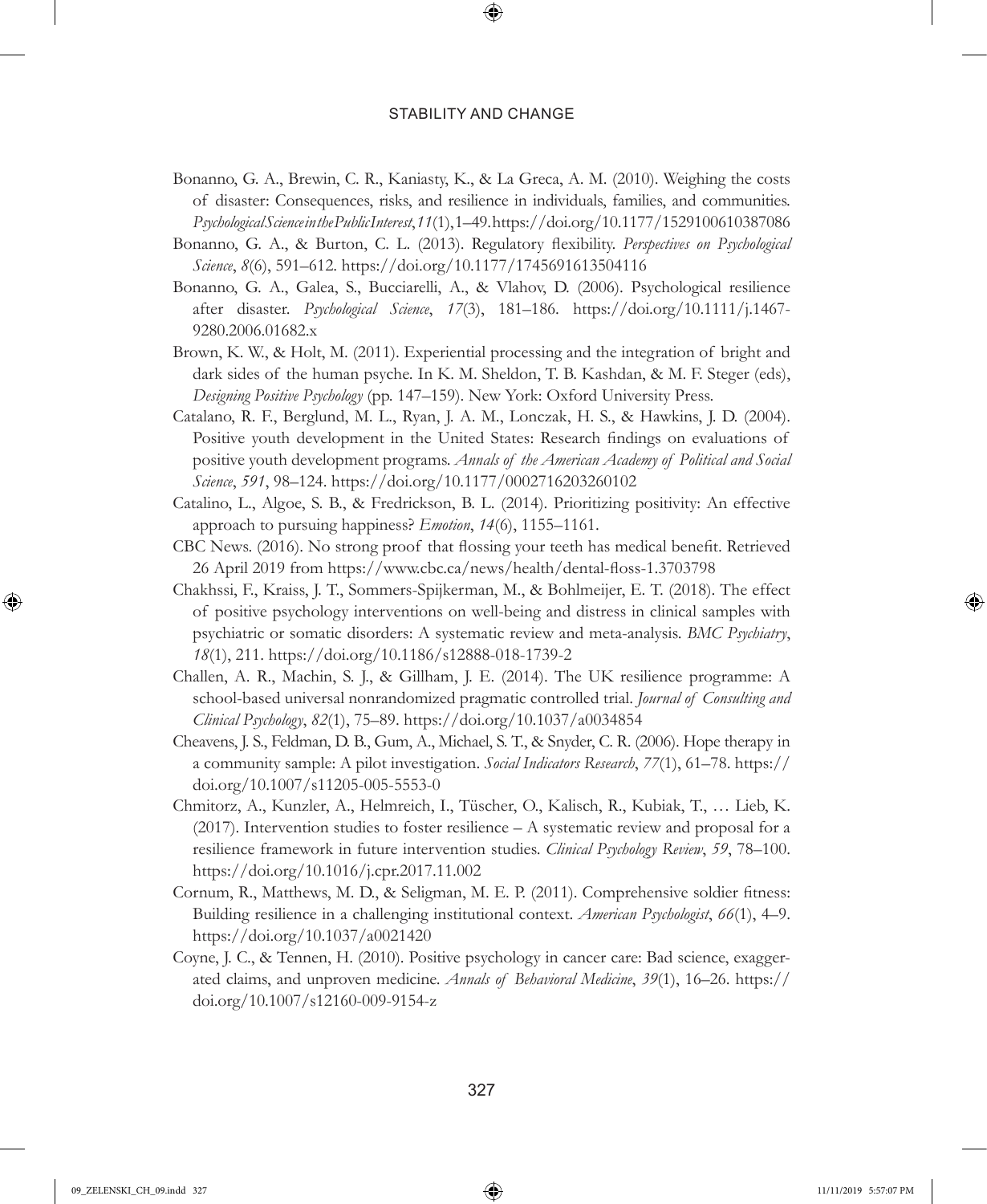⊕

- Bonanno, G. A., Brewin, C. R., Kaniasty, K., & La Greca, A. M. (2010). Weighing the costs of disaster: Consequences, risks, and resilience in individuals, families, and communities. *Psychological Science in the Public Interest*, *11*(1), 1–49. https://doi.org/10.1177/1529100610387086
- Bonanno, G. A., & Burton, C. L. (2013). Regulatory flexibility. *Perspectives on Psychological Science*, *8*(6), 591–612. https://doi.org/10.1177/1745691613504116
- Bonanno, G. A., Galea, S., Bucciarelli, A., & Vlahov, D. (2006). Psychological resilience after disaster. *Psychological Science*, *17*(3), 181–186. https://doi.org/10.1111/j.1467- 9280.2006.01682.x
- Brown, K. W., & Holt, M. (2011). Experiential processing and the integration of bright and dark sides of the human psyche. In K. M. Sheldon, T. B. Kashdan, & M. F. Steger (eds), *Designing Positive Psychology* (pp. 147–159). New York: Oxford University Press.
- Catalano, R. F., Berglund, M. L., Ryan, J. A. M., Lonczak, H. S., & Hawkins, J. D. (2004). Positive youth development in the United States: Research findings on evaluations of positive youth development programs. *Annals of the American Academy of Political and Social Science*, *591*, 98–124. https://doi.org/10.1177/0002716203260102
- Catalino, L., Algoe, S. B., & Fredrickson, B. L. (2014). Prioritizing positivity: An effective approach to pursuing happiness? *Emotion*, *14*(6), 1155–1161.
- CBC News. (2016). No strong proof that flossing your teeth has medical benefit. Retrieved 26 April 2019 from https://www.cbc.ca/news/health/dental-floss-1.3703798
- Chakhssi, F., Kraiss, J. T., Sommers-Spijkerman, M., & Bohlmeijer, E. T. (2018). The effect of positive psychology interventions on well-being and distress in clinical samples with psychiatric or somatic disorders: A systematic review and meta-analysis. *BMC Psychiatry*, *18*(1), 211. https://doi.org/10.1186/s12888-018-1739-2
- Challen, A. R., Machin, S. J., & Gillham, J. E. (2014). The UK resilience programme: A school-based universal nonrandomized pragmatic controlled trial. *Journal of Consulting and Clinical Psychology*, *82*(1), 75–89. https://doi.org/10.1037/a0034854
- Cheavens, J. S., Feldman, D. B., Gum, A., Michael, S. T., & Snyder, C. R. (2006). Hope therapy in a community sample: A pilot investigation. *Social Indicators Research*, *77*(1), 61–78. https:// doi.org/10.1007/s11205-005-5553-0
- Chmitorz, A., Kunzler, A., Helmreich, I., Tüscher, O., Kalisch, R., Kubiak, T., … Lieb, K.  $(2017)$ . Intervention studies to foster resilience – A systematic review and proposal for a resilience framework in future intervention studies. *Clinical Psychology Review*, *59*, 78–100. https://doi.org/10.1016/j.cpr.2017.11.002
- Cornum, R., Matthews, M. D., & Seligman, M. E. P. (2011). Comprehensive soldier fitness: Building resilience in a challenging institutional context. *American Psychologist*, *66*(1), 4–9. https://doi.org/10.1037/a0021420
- Coyne, J. C., & Tennen, H. (2010). Positive psychology in cancer care: Bad science, exaggerated claims, and unproven medicine. *Annals of Behavioral Medicine*, *39*(1), 16–26. https:// doi.org/10.1007/s12160-009-9154-z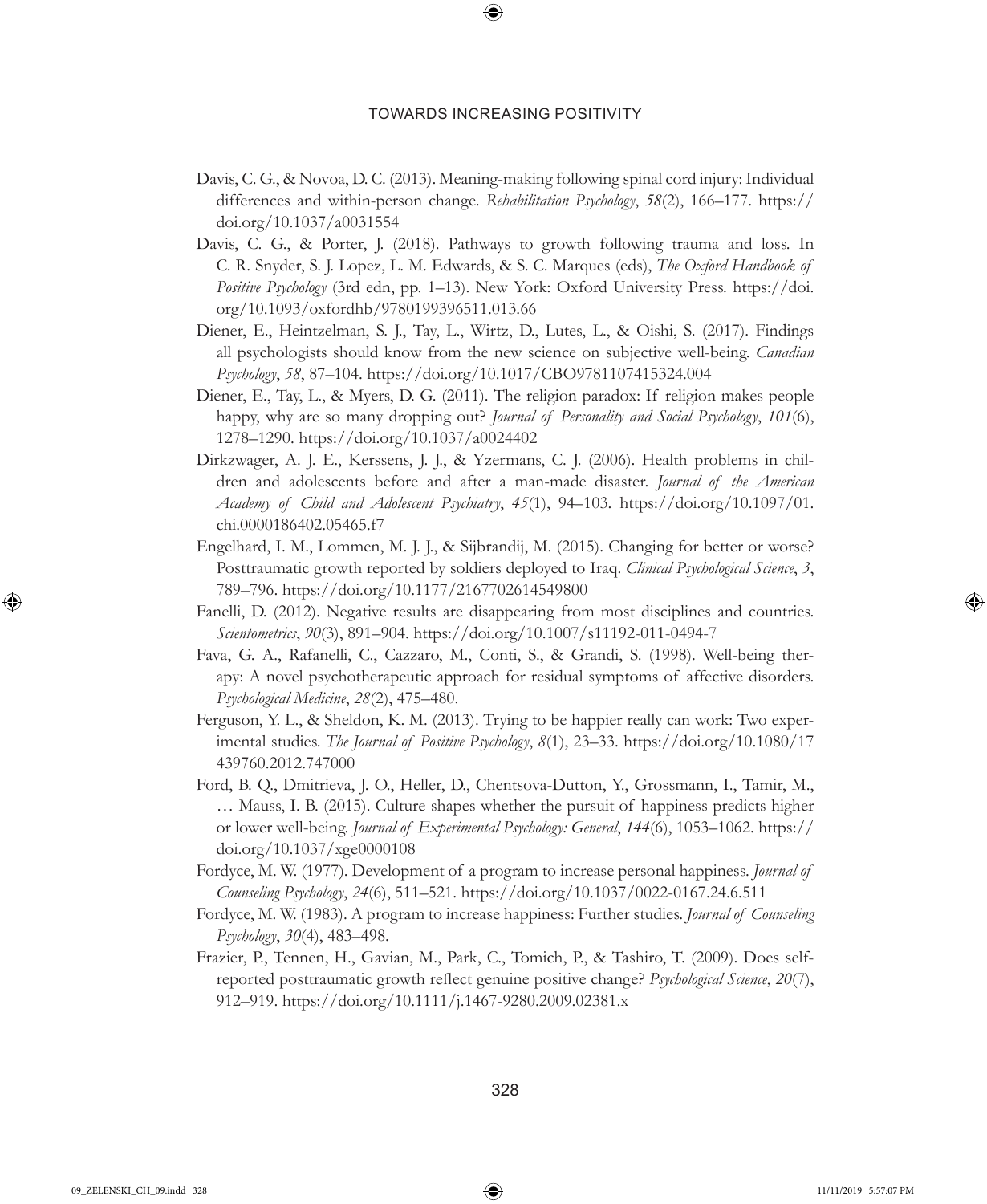⊕

- Davis, C. G., & Novoa, D. C. (2013). Meaning-making following spinal cord injury: Individual differences and within-person change. *Rehabilitation Psychology*, *58*(2), 166–177. https:// doi.org/10.1037/a0031554
- Davis, C. G., & Porter, J. (2018). Pathways to growth following trauma and loss. In C. R. Snyder, S. J. Lopez, L. M. Edwards, & S. C. Marques (eds), *The Oxford Handbook of Positive Psychology* (3rd edn, pp. 1–13). New York: Oxford University Press. https://doi. org/10.1093/oxfordhb/9780199396511.013.66
- Diener, E., Heintzelman, S. J., Tay, L., Wirtz, D., Lutes, L., & Oishi, S. (2017). Findings all psychologists should know from the new science on subjective well-being. *Canadian Psychology*, *58*, 87–104. https://doi.org/10.1017/CBO9781107415324.004
- Diener, E., Tay, L., & Myers, D. G. (2011). The religion paradox: If religion makes people happy, why are so many dropping out? *Journal of Personality and Social Psychology*, *101*(6), 1278–1290. https://doi.org/10.1037/a0024402
- Dirkzwager, A. J. E., Kerssens, J. J., & Yzermans, C. J. (2006). Health problems in children and adolescents before and after a man-made disaster. *Journal of the American Academy of Child and Adolescent Psychiatry*, *45*(1), 94–103. https://doi.org/10.1097/01. chi.0000186402.05465.f7
- Engelhard, I. M., Lommen, M. J. J., & Sijbrandij, M. (2015). Changing for better or worse? Posttraumatic growth reported by soldiers deployed to Iraq. *Clinical Psychological Science*, *3*, 789–796. https://doi.org/10.1177/2167702614549800
- Fanelli, D. (2012). Negative results are disappearing from most disciplines and countries. *Scientometrics*, *90*(3), 891–904. https://doi.org/10.1007/s11192-011-0494-7
- Fava, G. A., Rafanelli, C., Cazzaro, M., Conti, S., & Grandi, S. (1998). Well-being therapy: A novel psychotherapeutic approach for residual symptoms of affective disorders. *Psychological Medicine*, *28*(2), 475–480.
- Ferguson, Y. L., & Sheldon, K. M. (2013). Trying to be happier really can work: Two experimental studies. *The Journal of Positive Psychology*, *8*(1), 23–33. https://doi.org/10.1080/17 439760.2012.747000
- Ford, B. Q., Dmitrieva, J. O., Heller, D., Chentsova-Dutton, Y., Grossmann, I., Tamir, M., … Mauss, I. B. (2015). Culture shapes whether the pursuit of happiness predicts higher or lower well-being. *Journal of Experimental Psychology: General*, *144*(6), 1053–1062. https:// doi.org/10.1037/xge0000108
- Fordyce, M. W. (1977). Development of a program to increase personal happiness. *Journal of Counseling Psychology*, *24*(6), 511–521. https://doi.org/10.1037/0022-0167.24.6.511
- Fordyce, M. W. (1983). A program to increase happiness: Further studies. *Journal of Counseling Psychology*, *30*(4), 483–498.
- Frazier, P., Tennen, H., Gavian, M., Park, C., Tomich, P., & Tashiro, T. (2009). Does selfreported posttraumatic growth reflect genuine positive change? *Psychological Science*, *20*(7), 912–919. https://doi.org/10.1111/j.1467-9280.2009.02381.x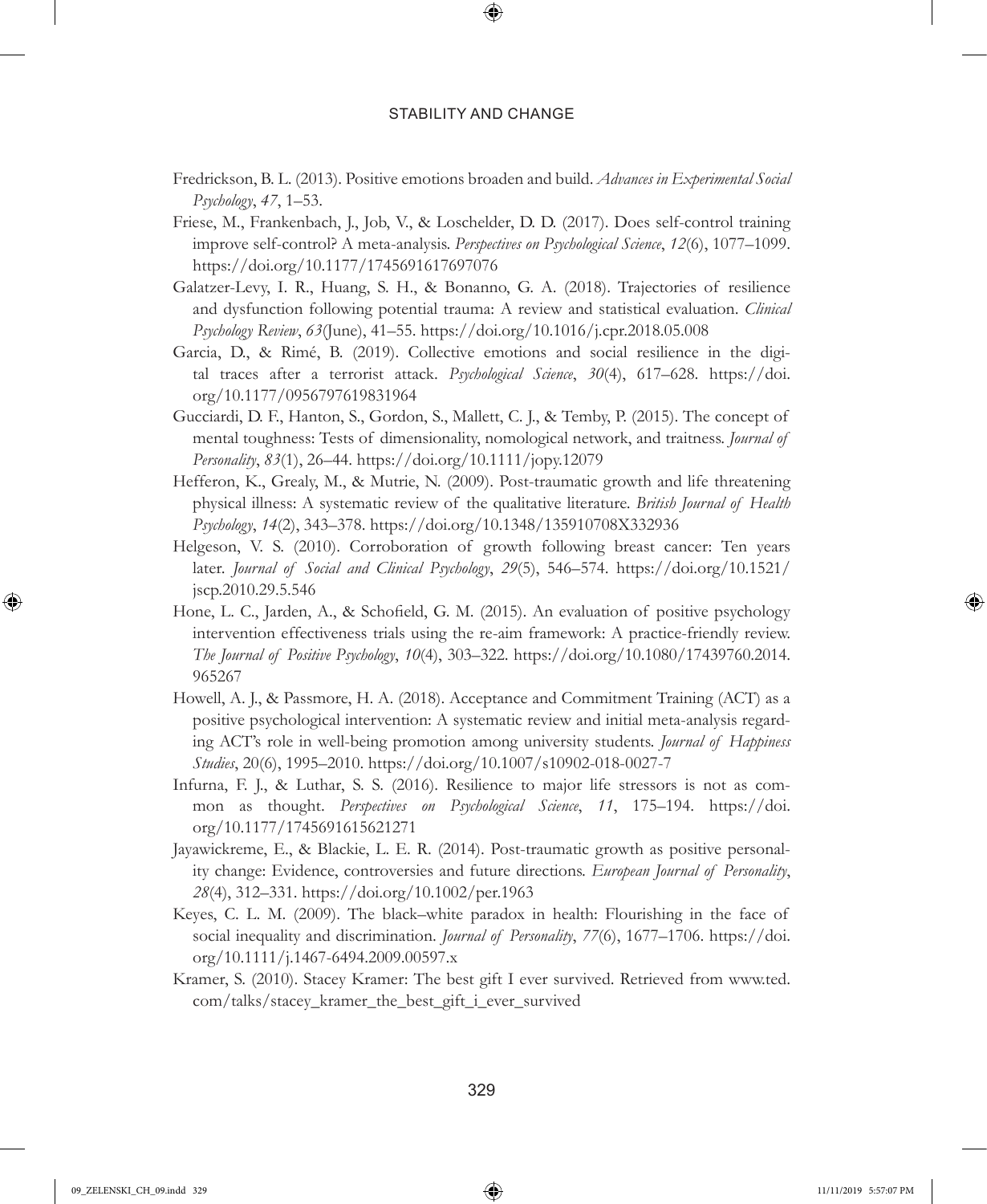⊕

- Fredrickson, B. L. (2013). Positive emotions broaden and build. *Advances in Experimental Social Psychology*, *47*, 1–53.
- Friese, M., Frankenbach, J., Job, V., & Loschelder, D. D. (2017). Does self-control training improve self-control? A meta-analysis. *Perspectives on Psychological Science*, *12*(6), 1077–1099. https://doi.org/10.1177/1745691617697076
- Galatzer-Levy, I. R., Huang, S. H., & Bonanno, G. A. (2018). Trajectories of resilience and dysfunction following potential trauma: A review and statistical evaluation. *Clinical Psychology Review*, *63*(June), 41–55. https://doi.org/10.1016/j.cpr.2018.05.008
- Garcia, D., & Rimé, B. (2019). Collective emotions and social resilience in the digital traces after a terrorist attack. *Psychological Science*, *30*(4), 617–628. https://doi. org/10.1177/0956797619831964
- Gucciardi, D. F., Hanton, S., Gordon, S., Mallett, C. J., & Temby, P. (2015). The concept of mental toughness: Tests of dimensionality, nomological network, and traitness. *Journal of Personality*, *83*(1), 26–44. https://doi.org/10.1111/jopy.12079
- Hefferon, K., Grealy, M., & Mutrie, N. (2009). Post-traumatic growth and life threatening physical illness: A systematic review of the qualitative literature. *British Journal of Health Psychology*, *14*(2), 343–378. https://doi.org/10.1348/135910708X332936
- Helgeson, V. S. (2010). Corroboration of growth following breast cancer: Ten years later. *Journal of Social and Clinical Psychology*, *29*(5), 546–574. https://doi.org/10.1521/ jscp.2010.29.5.546
- Hone, L. C., Jarden, A., & Schofield, G. M. (2015). An evaluation of positive psychology intervention effectiveness trials using the re-aim framework: A practice-friendly review. *The Journal of Positive Psychology*, *10*(4), 303–322. https://doi.org/10.1080/17439760.2014. 965267
- Howell, A. J., & Passmore, H. A. (2018). Acceptance and Commitment Training (ACT) as a positive psychological intervention: A systematic review and initial meta-analysis regarding ACT's role in well-being promotion among university students. *Journal of Happiness Studies*, 20(6), 1995–2010. https://doi.org/10.1007/s10902-018-0027-7
- Infurna, F. J., & Luthar, S. S. (2016). Resilience to major life stressors is not as common as thought. *Perspectives on Psychological Science*, *11*, 175–194. https://doi. org/10.1177/1745691615621271
- Jayawickreme, E., & Blackie, L. E. R. (2014). Post-traumatic growth as positive personality change: Evidence, controversies and future directions. *European Journal of Personality*, *28*(4), 312–331. https://doi.org/10.1002/per.1963
- Keyes, C. L. M. (2009). The black–white paradox in health: Flourishing in the face of social inequality and discrimination. *Journal of Personality*, *77*(6), 1677–1706. https://doi. org/10.1111/j.1467-6494.2009.00597.x
- Kramer, S. (2010). Stacey Kramer: The best gift I ever survived. Retrieved from www.ted. com/talks/stacey\_kramer\_the\_best\_gift\_i\_ever\_survived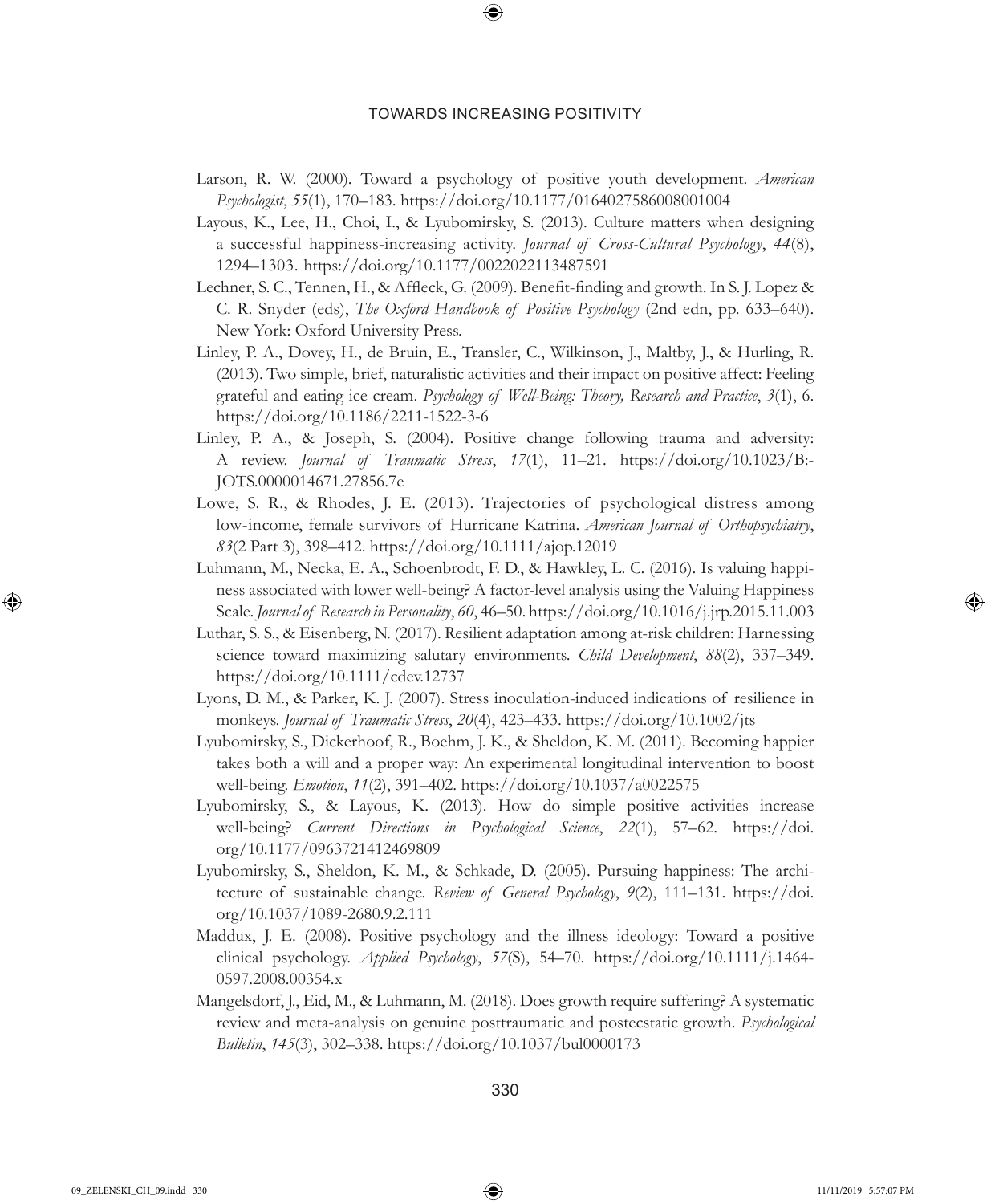⊕

- Larson, R. W. (2000). Toward a psychology of positive youth development. *American Psychologist*, *55*(1), 170–183. https://doi.org/10.1177/0164027586008001004
- Layous, K., Lee, H., Choi, I., & Lyubomirsky, S. (2013). Culture matters when designing a successful happiness-increasing activity. *Journal of Cross-Cultural Psychology*, *44*(8), 1294–1303. https://doi.org/10.1177/0022022113487591
- Lechner, S. C., Tennen, H., & Affleck, G. (2009). Benefit-finding and growth. In S. J. Lopez & C. R. Snyder (eds), *The Oxford Handbook of Positive Psychology* (2nd edn, pp. 633–640). New York: Oxford University Press.
- Linley, P. A., Dovey, H., de Bruin, E., Transler, C., Wilkinson, J., Maltby, J., & Hurling, R. (2013). Two simple, brief, naturalistic activities and their impact on positive affect: Feeling grateful and eating ice cream. *Psychology of Well-Being: Theory, Research and Practice*, *3*(1), 6. https://doi.org/10.1186/2211-1522-3-6
- Linley, P. A., & Joseph, S. (2004). Positive change following trauma and adversity: A review. *Journal of Traumatic Stress*, *17*(1), 11–21. https://doi.org/10.1023/B:- JOTS.0000014671.27856.7e
- Lowe, S. R., & Rhodes, J. E. (2013). Trajectories of psychological distress among low-income, female survivors of Hurricane Katrina. *American Journal of Orthopsychiatry*, *83*(2 Part 3), 398–412. https://doi.org/10.1111/ajop.12019
- Luhmann, M., Necka, E. A., Schoenbrodt, F. D., & Hawkley, L. C. (2016). Is valuing happiness associated with lower well-being? A factor-level analysis using the Valuing Happiness Scale. *Journal of Research in Personality*, *60*, 46–50. https://doi.org/10.1016/j.jrp.2015.11.003
- Luthar, S. S., & Eisenberg, N. (2017). Resilient adaptation among at-risk children: Harnessing science toward maximizing salutary environments. *Child Development*, *88*(2), 337–349. https://doi.org/10.1111/cdev.12737
- Lyons, D. M., & Parker, K. J. (2007). Stress inoculation-induced indications of resilience in monkeys. *Journal of Traumatic Stress*, *20*(4), 423–433. https://doi.org/10.1002/jts
- Lyubomirsky, S., Dickerhoof, R., Boehm, J. K., & Sheldon, K. M. (2011). Becoming happier takes both a will and a proper way: An experimental longitudinal intervention to boost well-being. *Emotion*, *11*(2), 391–402. https://doi.org/10.1037/a0022575
- Lyubomirsky, S., & Layous, K. (2013). How do simple positive activities increase well-being? *Current Directions in Psychological Science*, *22*(1), 57–62. https://doi. org/10.1177/0963721412469809
- Lyubomirsky, S., Sheldon, K. M., & Schkade, D. (2005). Pursuing happiness: The architecture of sustainable change. *Review of General Psychology*, *9*(2), 111–131. https://doi. org/10.1037/1089-2680.9.2.111
- Maddux, J. E. (2008). Positive psychology and the illness ideology: Toward a positive clinical psychology. *Applied Psychology*, *57*(S), 54–70. https://doi.org/10.1111/j.1464- 0597.2008.00354.x
- Mangelsdorf, J., Eid, M., & Luhmann, M. (2018). Does growth require suffering? A systematic review and meta-analysis on genuine posttraumatic and postecstatic growth. *Psychological Bulletin*, *145*(3), 302–338. https://doi.org/10.1037/bul0000173

09\_ZELENSKI\_CH\_09.indd 330 11/11/2019 5:57:07 PM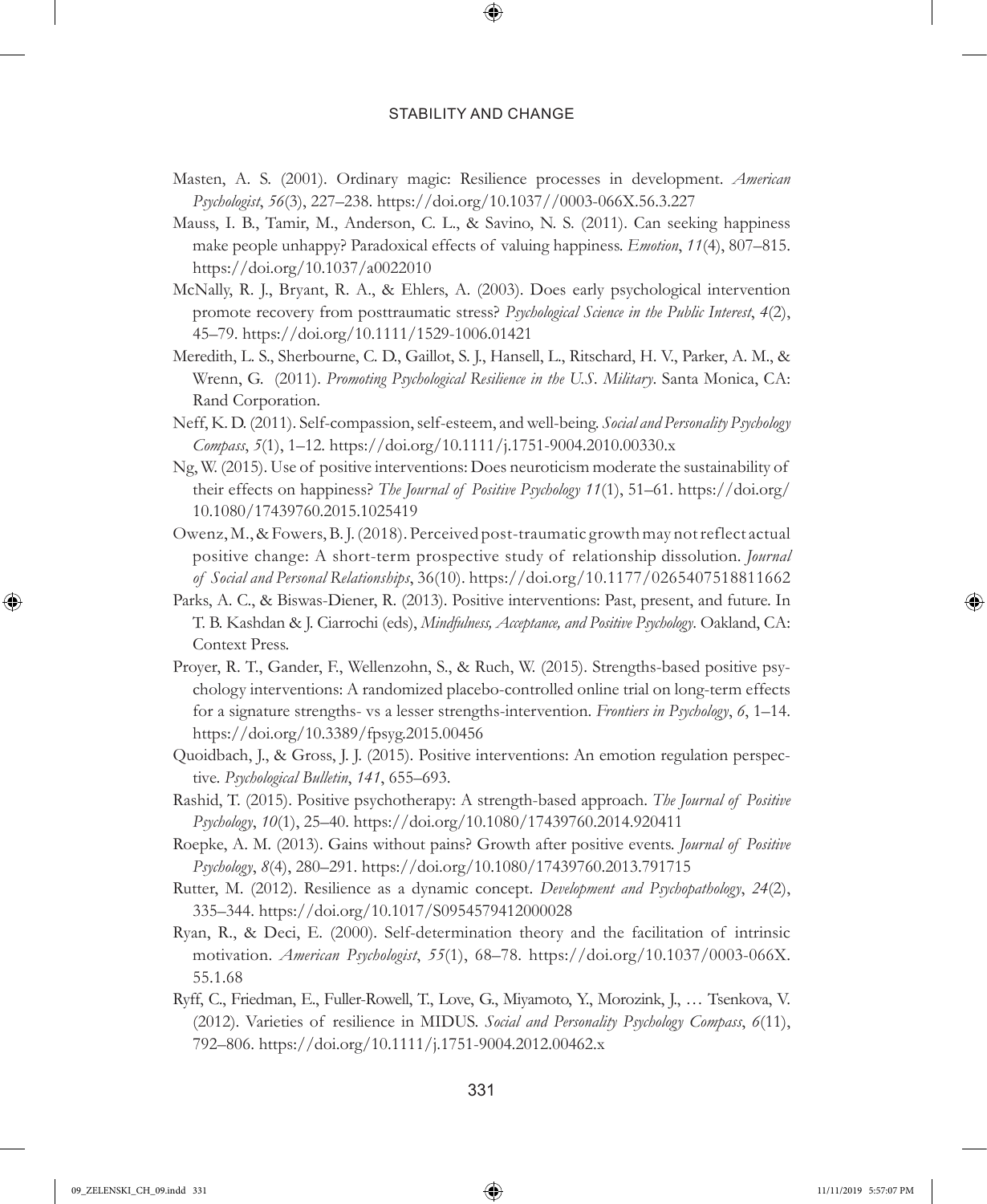⊕

- Masten, A. S. (2001). Ordinary magic: Resilience processes in development. *American Psychologist*, *56*(3), 227–238. https://doi.org/10.1037//0003-066X.56.3.227
- Mauss, I. B., Tamir, M., Anderson, C. L., & Savino, N. S. (2011). Can seeking happiness make people unhappy? Paradoxical effects of valuing happiness. *Emotion*, *11*(4), 807–815. https://doi.org/10.1037/a0022010
- McNally, R. J., Bryant, R. A., & Ehlers, A. (2003). Does early psychological intervention promote recovery from posttraumatic stress? *Psychological Science in the Public Interest*, *4*(2), 45–79. https://doi.org/10.1111/1529-1006.01421
- Meredith, L. S., Sherbourne, C. D., Gaillot, S. J., Hansell, L., Ritschard, H. V., Parker, A. M., & Wrenn, G. (2011). *Promoting Psychological Resilience in the U.S. Military*. Santa Monica, CA: Rand Corporation.
- Neff, K. D. (2011). Self-compassion, self-esteem, and well-being. *Social and Personality Psychology Compass*, *5*(1), 1–12. https://doi.org/10.1111/j.1751-9004.2010.00330.x
- Ng, W. (2015). Use of positive interventions: Does neuroticism moderate the sustainability of their effects on happiness? *The Journal of Positive Psychology 11*(1), 51–61. https://doi.org/ 10.1080/17439760.2015.1025419
- Owenz, M., & Fowers, B. J. (2018). Perceived post-traumatic growth may not reflect actual positive change: A short-term prospective study of relationship dissolution. *Journal of Social and Personal Relationships*, 36(10). https://doi.org/10.1177/0265407518811662
- Parks, A. C., & Biswas-Diener, R. (2013). Positive interventions: Past, present, and future. In T. B. Kashdan & J. Ciarrochi (eds), *Mindfulness, Acceptance, and Positive Psychology*. Oakland, CA: Context Press.
- Proyer, R. T., Gander, F., Wellenzohn, S., & Ruch, W. (2015). Strengths-based positive psychology interventions: A randomized placebo-controlled online trial on long-term effects for a signature strengths- vs a lesser strengths-intervention. *Frontiers in Psychology*, *6*, 1–14. https://doi.org/10.3389/fpsyg.2015.00456
- Quoidbach, J., & Gross, J. J. (2015). Positive interventions: An emotion regulation perspective. *Psychological Bulletin*, *141*, 655–693.
- Rashid, T. (2015). Positive psychotherapy: A strength-based approach. *The Journal of Positive Psychology*, *10*(1), 25–40. https://doi.org/10.1080/17439760.2014.920411
- Roepke, A. M. (2013). Gains without pains? Growth after positive events. *Journal of Positive Psychology*, *8*(4), 280–291. https://doi.org/10.1080/17439760.2013.791715
- Rutter, M. (2012). Resilience as a dynamic concept. *Development and Psychopathology*, *24*(2), 335–344. https://doi.org/10.1017/S0954579412000028
- Ryan, R., & Deci, E. (2000). Self-determination theory and the facilitation of intrinsic motivation. *American Psychologist*, *55*(1), 68–78. https://doi.org/10.1037/0003-066X. 55.1.68
- Ryff, C., Friedman, E., Fuller-Rowell, T., Love, G., Miyamoto, Y., Morozink, J., … Tsenkova, V. (2012). Varieties of resilience in MIDUS. *Social and Personality Psychology Compass*, *6*(11), 792–806. https://doi.org/10.1111/j.1751-9004.2012.00462.x

⊕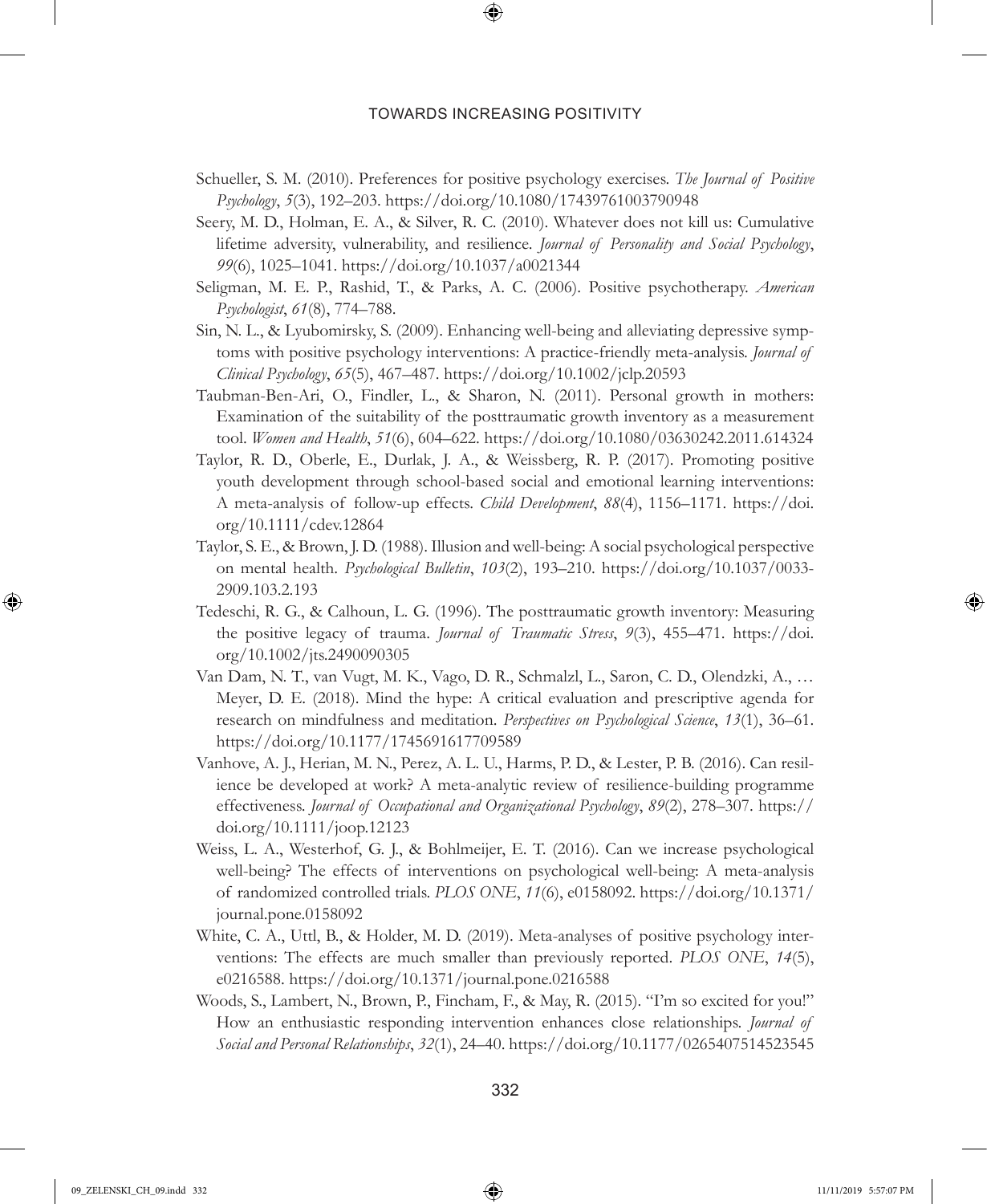⊕

- Schueller, S. M. (2010). Preferences for positive psychology exercises. *The Journal of Positive Psychology*, *5*(3), 192–203. https://doi.org/10.1080/17439761003790948
- Seery, M. D., Holman, E. A., & Silver, R. C. (2010). Whatever does not kill us: Cumulative lifetime adversity, vulnerability, and resilience. *Journal of Personality and Social Psychology*, *99*(6), 1025–1041. https://doi.org/10.1037/a0021344
- Seligman, M. E. P., Rashid, T., & Parks, A. C. (2006). Positive psychotherapy. *American Psychologist*, *61*(8), 774–788.
- Sin, N. L., & Lyubomirsky, S. (2009). Enhancing well-being and alleviating depressive symptoms with positive psychology interventions: A practice-friendly meta-analysis. *Journal of Clinical Psychology*, *65*(5), 467–487. https://doi.org/10.1002/jclp.20593
- Taubman-Ben-Ari, O., Findler, L., & Sharon, N. (2011). Personal growth in mothers: Examination of the suitability of the posttraumatic growth inventory as a measurement tool. *Women and Health*, *51*(6), 604–622. https://doi.org/10.1080/03630242.2011.614324
- Taylor, R. D., Oberle, E., Durlak, J. A., & Weissberg, R. P. (2017). Promoting positive youth development through school-based social and emotional learning interventions: A meta-analysis of follow-up effects. *Child Development*, *88*(4), 1156–1171. https://doi. org/10.1111/cdev.12864
- Taylor, S. E., & Brown, J. D. (1988). Illusion and well-being: A social psychological perspective on mental health. *Psychological Bulletin*, *103*(2), 193–210. https://doi.org/10.1037/0033- 2909.103.2.193
- Tedeschi, R. G., & Calhoun, L. G. (1996). The posttraumatic growth inventory: Measuring the positive legacy of trauma. *Journal of Traumatic Stress*, *9*(3), 455–471. https://doi. org/10.1002/jts.2490090305
- Van Dam, N. T., van Vugt, M. K., Vago, D. R., Schmalzl, L., Saron, C. D., Olendzki, A., … Meyer, D. E. (2018). Mind the hype: A critical evaluation and prescriptive agenda for research on mindfulness and meditation. *Perspectives on Psychological Science*, *13*(1), 36–61. https://doi.org/10.1177/1745691617709589
- Vanhove, A. J., Herian, M. N., Perez, A. L. U., Harms, P. D., & Lester, P. B. (2016). Can resilience be developed at work? A meta-analytic review of resilience-building programme effectiveness. *Journal of Occupational and Organizational Psychology*, *89*(2), 278–307. https:// doi.org/10.1111/joop.12123
- Weiss, L. A., Westerhof, G. J., & Bohlmeijer, E. T. (2016). Can we increase psychological well-being? The effects of interventions on psychological well-being: A meta-analysis of randomized controlled trials. *PLOS ONE*, *11*(6), e0158092. https://doi.org/10.1371/ journal.pone.0158092
- White, C. A., Uttl, B., & Holder, M. D. (2019). Meta-analyses of positive psychology interventions: The effects are much smaller than previously reported. *PLOS ONE*, *14*(5), e0216588. https://doi.org/10.1371/journal.pone.0216588
- Woods, S., Lambert, N., Brown, P., Fincham, F., & May, R. (2015). "I'm so excited for you!" How an enthusiastic responding intervention enhances close relationships. *Journal of Social and Personal Relationships*, *32*(1), 24–40. https://doi.org/10.1177/0265407514523545

09\_ZELENSKI\_CH\_09.indd 332 11/11/2019 5:57:07 PM